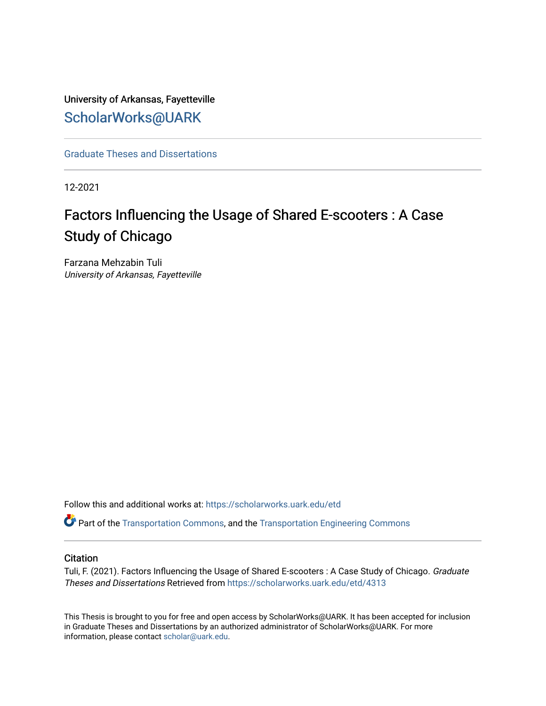# University of Arkansas, Fayetteville [ScholarWorks@UARK](https://scholarworks.uark.edu/)

[Graduate Theses and Dissertations](https://scholarworks.uark.edu/etd) 

12-2021

# Factors Influencing the Usage of Shared E-scooters : A Case Study of Chicago

Farzana Mehzabin Tuli University of Arkansas, Fayetteville

Follow this and additional works at: [https://scholarworks.uark.edu/etd](https://scholarworks.uark.edu/etd?utm_source=scholarworks.uark.edu%2Fetd%2F4313&utm_medium=PDF&utm_campaign=PDFCoverPages)

Part of the [Transportation Commons](https://network.bepress.com/hgg/discipline/1068?utm_source=scholarworks.uark.edu%2Fetd%2F4313&utm_medium=PDF&utm_campaign=PDFCoverPages), and the [Transportation Engineering Commons](https://network.bepress.com/hgg/discipline/1329?utm_source=scholarworks.uark.edu%2Fetd%2F4313&utm_medium=PDF&utm_campaign=PDFCoverPages)

# **Citation**

Tuli, F. (2021). Factors Influencing the Usage of Shared E-scooters : A Case Study of Chicago. Graduate Theses and Dissertations Retrieved from [https://scholarworks.uark.edu/etd/4313](https://scholarworks.uark.edu/etd/4313?utm_source=scholarworks.uark.edu%2Fetd%2F4313&utm_medium=PDF&utm_campaign=PDFCoverPages)

This Thesis is brought to you for free and open access by ScholarWorks@UARK. It has been accepted for inclusion in Graduate Theses and Dissertations by an authorized administrator of ScholarWorks@UARK. For more information, please contact [scholar@uark.edu.](mailto:scholar@uark.edu)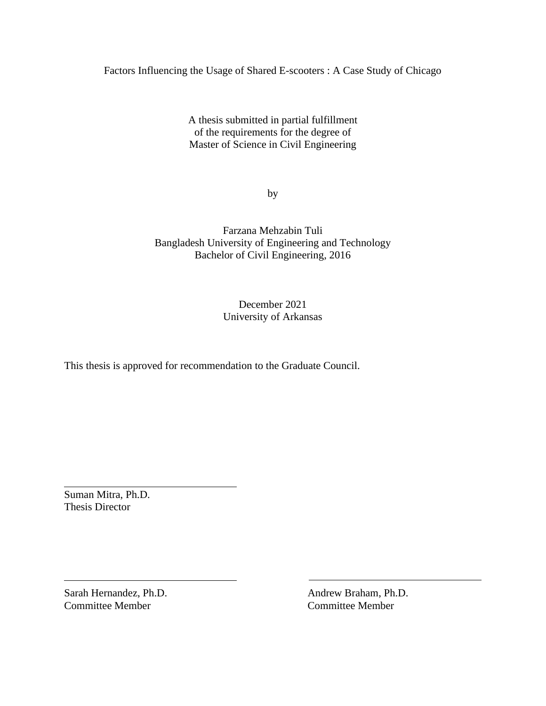Factors Influencing the Usage of Shared E-scooters : A Case Study of Chicago

A thesis submitted in partial fulfillment of the requirements for the degree of Master of Science in Civil Engineering

by

Farzana Mehzabin Tuli Bangladesh University of Engineering and Technology Bachelor of Civil Engineering, 2016

> December 2021 University of Arkansas

This thesis is approved for recommendation to the Graduate Council.

Suman Mitra, Ph.D. Thesis Director

Sarah Hernandez, Ph.D. Andrew Braham, Ph.D. Committee Member Committee Member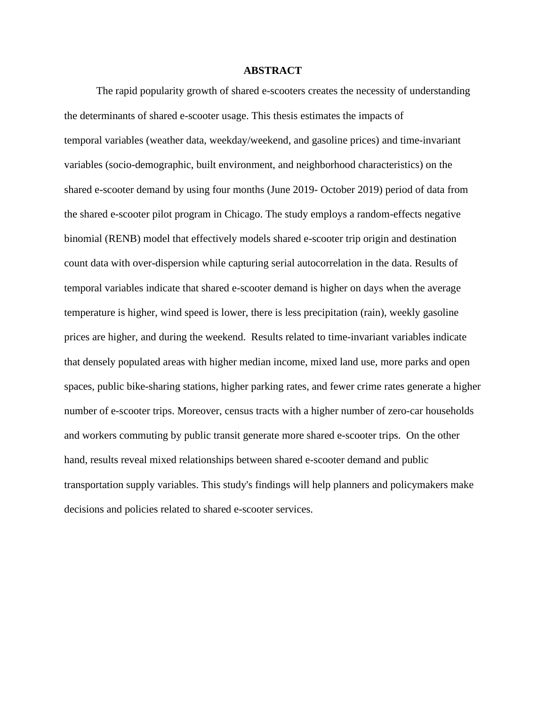# **ABSTRACT**

The rapid popularity growth of shared e-scooters creates the necessity of understanding the determinants of shared e-scooter usage. This thesis estimates the impacts of temporal variables (weather data, weekday/weekend, and gasoline prices) and time-invariant variables (socio-demographic, built environment, and neighborhood characteristics) on the shared e-scooter demand by using four months (June 2019- October 2019) period of data from the shared e-scooter pilot program in Chicago. The study employs a random-effects negative binomial (RENB) model that effectively models shared e-scooter trip origin and destination count data with over-dispersion while capturing serial autocorrelation in the data. Results of temporal variables indicate that shared e-scooter demand is higher on days when the average temperature is higher, wind speed is lower, there is less precipitation (rain), weekly gasoline prices are higher, and during the weekend. Results related to time-invariant variables indicate that densely populated areas with higher median income, mixed land use, more parks and open spaces, public bike-sharing stations, higher parking rates, and fewer crime rates generate a higher number of e-scooter trips. Moreover, census tracts with a higher number of zero-car households and workers commuting by public transit generate more shared e-scooter trips. On the other hand, results reveal mixed relationships between shared e-scooter demand and public transportation supply variables. This study's findings will help planners and policymakers make decisions and policies related to shared e-scooter services.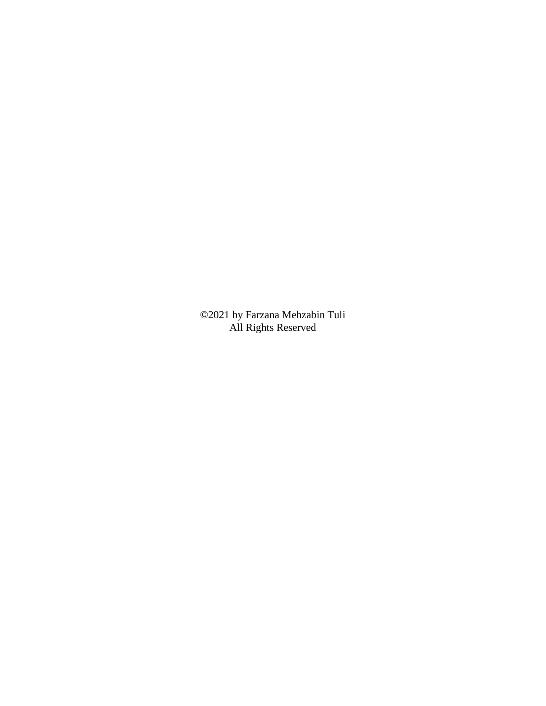©2021 by Farzana Mehzabin Tuli All Rights Reserved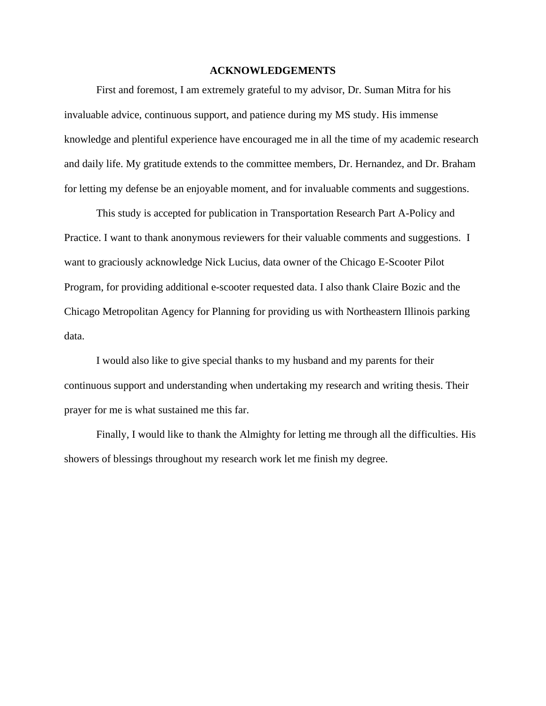# **ACKNOWLEDGEMENTS**

First and foremost, I am extremely grateful to my advisor, Dr. Suman Mitra for his invaluable advice, continuous support, and patience during my MS study. His immense knowledge and plentiful experience have encouraged me in all the time of my academic research and daily life. My gratitude extends to the committee members, Dr. Hernandez, and Dr. Braham for letting my defense be an enjoyable moment, and for invaluable comments and suggestions.

This study is accepted for publication in Transportation Research Part A-Policy and Practice. I want to thank anonymous reviewers for their valuable comments and suggestions. I want to graciously acknowledge Nick Lucius, data owner of the Chicago E-Scooter Pilot Program, for providing additional e-scooter requested data. I also thank Claire Bozic and the Chicago Metropolitan Agency for Planning for providing us with Northeastern Illinois parking data.

I would also like to give special thanks to my husband and my parents for their continuous support and understanding when undertaking my research and writing thesis. Their prayer for me is what sustained me this far.

Finally, I would like to thank the Almighty for letting me through all the difficulties. His showers of blessings throughout my research work let me finish my degree.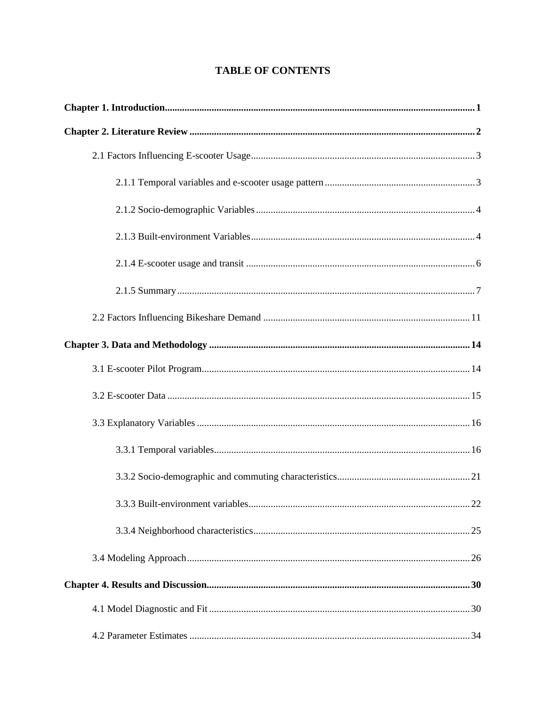# **TABLE OF CONTENTS**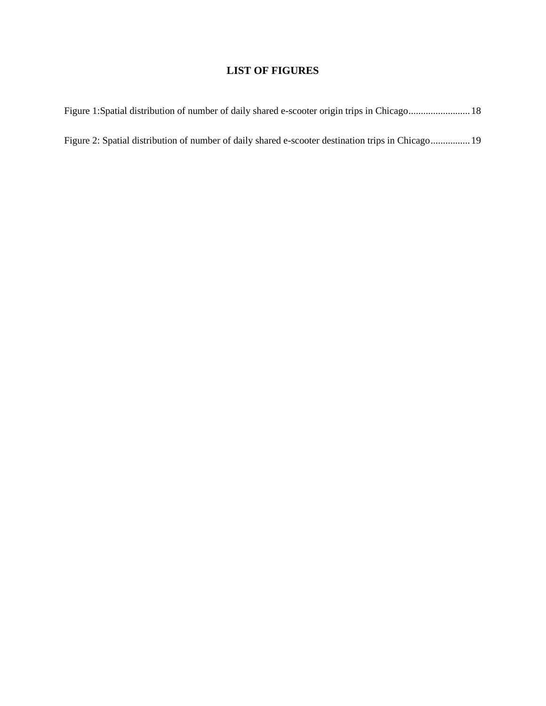# **LIST OF FIGURES**

|  |  |  | Figure 2: Spatial distribution of number of daily shared e-scooter destination trips in Chicago 19 |  |
|--|--|--|----------------------------------------------------------------------------------------------------|--|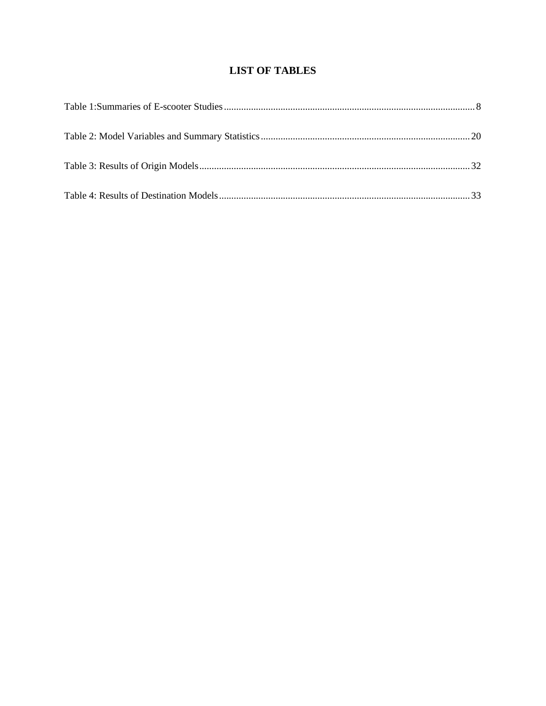# **LIST OF TABLES**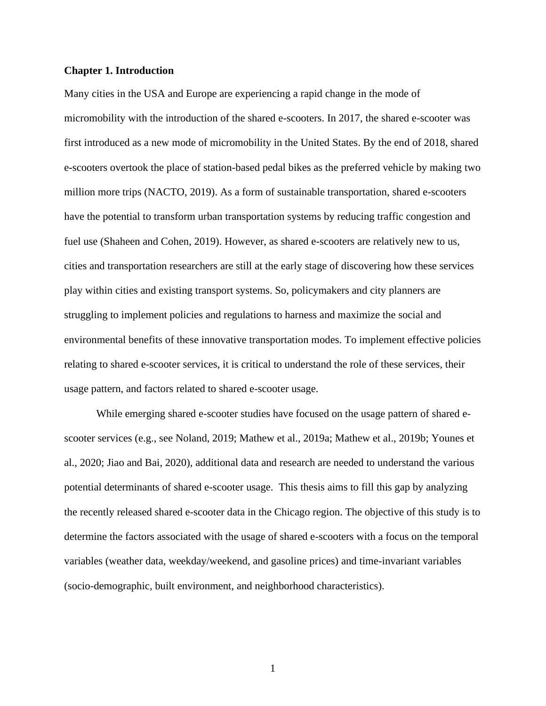# <span id="page-9-0"></span>**Chapter 1. Introduction**

Many cities in the USA and Europe are experiencing a rapid change in the mode of micromobility with the introduction of the shared e-scooters. In 2017, the shared e-scooter was first introduced as a new mode of micromobility in the United States. By the end of 2018, shared e-scooters overtook the place of station-based pedal bikes as the preferred vehicle by making two million more trips (NACTO, 2019). As a form of sustainable transportation, shared e-scooters have the potential to transform urban transportation systems by reducing traffic congestion and fuel use (Shaheen and Cohen, 2019). However, as shared e-scooters are relatively new to us, cities and transportation researchers are still at the early stage of discovering how these services play within cities and existing transport systems. So, policymakers and city planners are struggling to implement policies and regulations to harness and maximize the social and environmental benefits of these innovative transportation modes. To implement effective policies relating to shared e-scooter services, it is critical to understand the role of these services, their usage pattern, and factors related to shared e-scooter usage.

While emerging shared e-scooter studies have focused on the usage pattern of shared escooter services (e.g., see Noland, 2019; Mathew et al., 2019a; Mathew et al., 2019b; Younes et al., 2020; Jiao and Bai, 2020), additional data and research are needed to understand the various potential determinants of shared e-scooter usage. This thesis aims to fill this gap by analyzing the recently released shared e-scooter data in the Chicago region. The objective of this study is to determine the factors associated with the usage of shared e-scooters with a focus on the temporal variables (weather data, weekday/weekend, and gasoline prices) and time-invariant variables (socio-demographic, built environment, and neighborhood characteristics).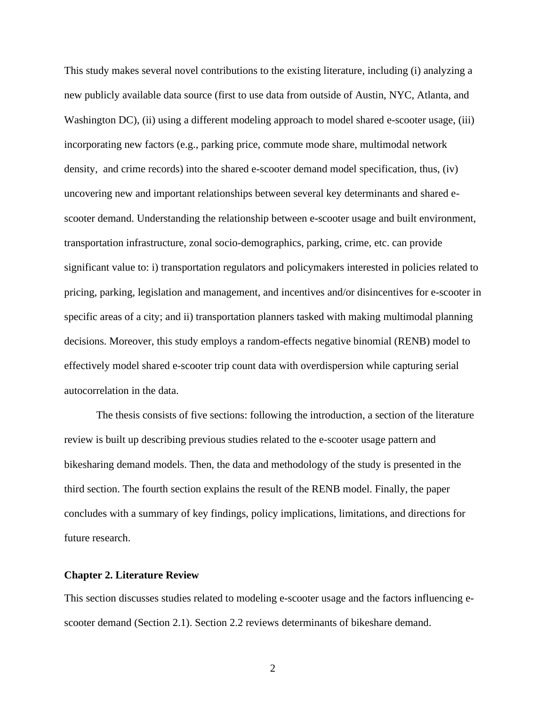This study makes several novel contributions to the existing literature, including (i) analyzing a new publicly available data source (first to use data from outside of Austin, NYC, Atlanta, and Washington DC), (ii) using a different modeling approach to model shared e-scooter usage, (iii) incorporating new factors (e.g., parking price, commute mode share, multimodal network density, and crime records) into the shared e-scooter demand model specification, thus, (iv) uncovering new and important relationships between several key determinants and shared escooter demand. Understanding the relationship between e-scooter usage and built environment, transportation infrastructure, zonal socio-demographics, parking, crime, etc. can provide significant value to: i) transportation regulators and policymakers interested in policies related to pricing, parking, legislation and management, and incentives and/or disincentives for e-scooter in specific areas of a city; and ii) transportation planners tasked with making multimodal planning decisions. Moreover, this study employs a random-effects negative binomial (RENB) model to effectively model shared e-scooter trip count data with overdispersion while capturing serial autocorrelation in the data.

The thesis consists of five sections: following the introduction, a section of the literature review is built up describing previous studies related to the e-scooter usage pattern and bikesharing demand models. Then, the data and methodology of the study is presented in the third section. The fourth section explains the result of the RENB model. Finally, the paper concludes with a summary of key findings, policy implications, limitations, and directions for future research.

### <span id="page-10-0"></span>**Chapter 2. Literature Review**

This section discusses studies related to modeling e-scooter usage and the factors influencing escooter demand (Section 2.1). Section 2.2 reviews determinants of bikeshare demand.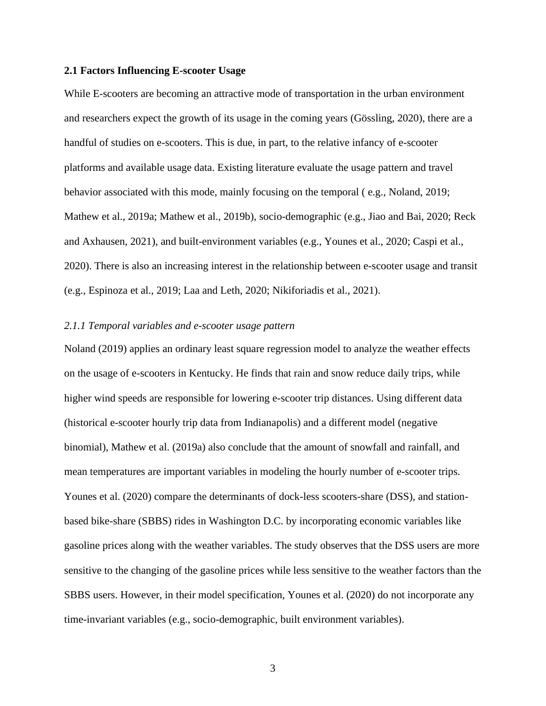# <span id="page-11-0"></span>**2.1 Factors Influencing E-scooter Usage**

While E-scooters are becoming an attractive mode of transportation in the urban environment and researchers expect the growth of its usage in the coming years (Gössling, 2020), there are a handful of studies on e-scooters. This is due, in part, to the relative infancy of e-scooter platforms and available usage data. Existing literature evaluate the usage pattern and travel behavior associated with this mode, mainly focusing on the temporal ( e.g., Noland, 2019; Mathew et al., 2019a; Mathew et al., 2019b), socio-demographic (e.g., Jiao and Bai, 2020; Reck and Axhausen, 2021), and built-environment variables (e.g., Younes et al., 2020; Caspi et al., 2020). There is also an increasing interest in the relationship between e-scooter usage and transit (e.g., Espinoza et al., 2019; Laa and Leth, 2020; Nikiforiadis et al., 2021).

# <span id="page-11-1"></span>*2.1.1 Temporal variables and e-scooter usage pattern*

Noland (2019) applies an ordinary least square regression model to analyze the weather effects on the usage of e-scooters in Kentucky. He finds that rain and snow reduce daily trips, while higher wind speeds are responsible for lowering e-scooter trip distances. Using different data (historical e-scooter hourly trip data from Indianapolis) and a different model (negative binomial), Mathew et al. (2019a) also conclude that the amount of snowfall and rainfall, and mean temperatures are important variables in modeling the hourly number of e-scooter trips. Younes et al. (2020) compare the determinants of dock-less scooters-share (DSS), and stationbased bike-share (SBBS) rides in Washington D.C. by incorporating economic variables like gasoline prices along with the weather variables. The study observes that the DSS users are more sensitive to the changing of the gasoline prices while less sensitive to the weather factors than the SBBS users. However, in their model specification, Younes et al. (2020) do not incorporate any time-invariant variables (e.g., socio-demographic, built environment variables).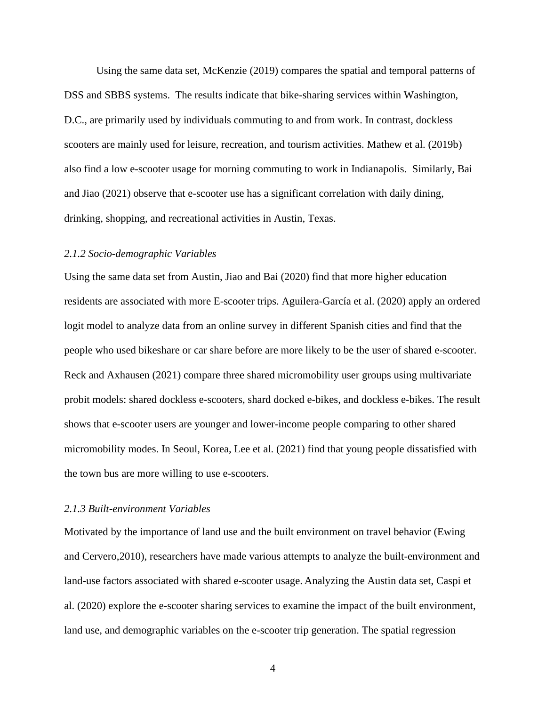Using the same data set, McKenzie (2019) compares the spatial and temporal patterns of DSS and SBBS systems. The results indicate that bike-sharing services within Washington, D.C., are primarily used by individuals commuting to and from work. In contrast, dockless scooters are mainly used for leisure, recreation, and tourism activities. Mathew et al. (2019b) also find a low e-scooter usage for morning commuting to work in Indianapolis. Similarly, Bai and Jiao (2021) observe that e-scooter use has a significant correlation with daily dining, drinking, shopping, and recreational activities in Austin, Texas.

#### <span id="page-12-0"></span>*2.1.2 Socio-demographic Variables*

Using the same data set from Austin, Jiao and Bai (2020) find that more higher education residents are associated with more E-scooter trips. Aguilera-García et al. (2020) apply an ordered logit model to analyze data from an online survey in different Spanish cities and find that the people who used bikeshare or car share before are more likely to be the user of shared e-scooter. Reck and Axhausen (2021) compare three shared micromobility user groups using multivariate probit models: shared dockless e-scooters, shard docked e-bikes, and dockless e-bikes. The result shows that e-scooter users are younger and lower-income people comparing to other shared micromobility modes. In Seoul, Korea, Lee et al. (2021) find that young people dissatisfied with the town bus are more willing to use e-scooters.

### <span id="page-12-1"></span>*2.1.3 Built-environment Variables*

Motivated by the importance of land use and the built environment on travel behavior (Ewing and Cervero,2010), researchers have made various attempts to analyze the built-environment and land-use factors associated with shared e-scooter usage. Analyzing the Austin data set, Caspi et al. (2020) explore the e-scooter sharing services to examine the impact of the built environment, land use, and demographic variables on the e-scooter trip generation. The spatial regression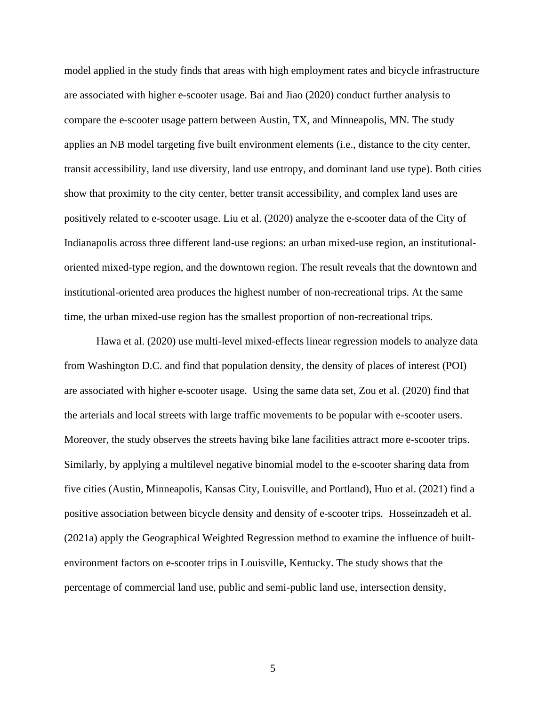model applied in the study finds that areas with high employment rates and bicycle infrastructure are associated with higher e-scooter usage. Bai and Jiao (2020) conduct further analysis to compare the e-scooter usage pattern between Austin, TX, and Minneapolis, MN. The study applies an NB model targeting five built environment elements (i.e., distance to the city center, transit accessibility, land use diversity, land use entropy, and dominant land use type). Both cities show that proximity to the city center, better transit accessibility, and complex land uses are positively related to e-scooter usage. Liu et al. (2020) analyze the e-scooter data of the City of Indianapolis across three different land-use regions: an urban mixed-use region, an institutionaloriented mixed-type region, and the downtown region. The result reveals that the downtown and institutional-oriented area produces the highest number of non-recreational trips. At the same time, the urban mixed-use region has the smallest proportion of non-recreational trips.

Hawa et al. (2020) use multi-level mixed-effects linear regression models to analyze data from Washington D.C. and find that population density, the density of places of interest (POI) are associated with higher e-scooter usage. Using the same data set, Zou et al. (2020) find that the arterials and local streets with large traffic movements to be popular with e-scooter users. Moreover, the study observes the streets having bike lane facilities attract more e-scooter trips. Similarly, by applying a multilevel negative binomial model to the e-scooter sharing data from five cities (Austin, Minneapolis, Kansas City, Louisville, and Portland), Huo et al. (2021) find a positive association between bicycle density and density of e-scooter trips. Hosseinzadeh et al. (2021a) apply the Geographical Weighted Regression method to examine the influence of builtenvironment factors on e-scooter trips in Louisville, Kentucky. The study shows that the percentage of commercial land use, public and semi-public land use, intersection density,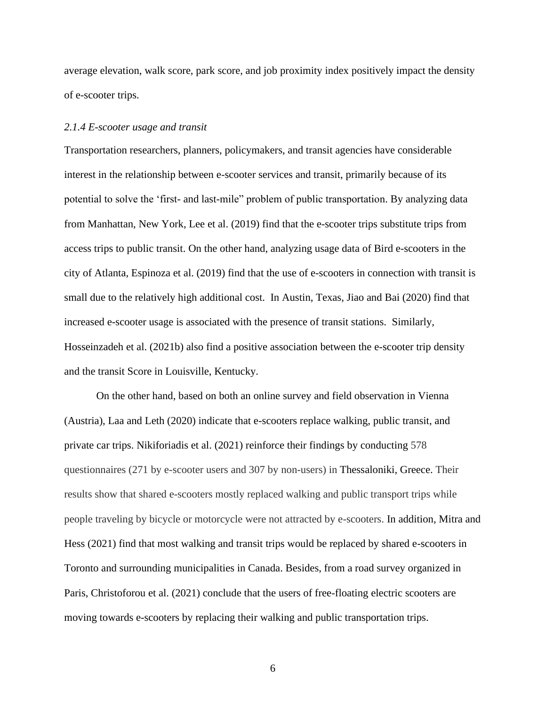average elevation, walk score, park score, and job proximity index positively impact the density of e-scooter trips.

# <span id="page-14-0"></span>*2.1.4 E-scooter usage and transit*

Transportation researchers, planners, policymakers, and transit agencies have considerable interest in the relationship between e-scooter services and transit, primarily because of its potential to solve the 'first- and last-mile" problem of public transportation. By analyzing data from Manhattan, New York, Lee et al. (2019) find that the e-scooter trips substitute trips from access trips to public transit. On the other hand, analyzing usage data of Bird e-scooters in the city of Atlanta, Espinoza et al. (2019) find that the use of e-scooters in connection with transit is small due to the relatively high additional cost. In Austin, Texas, Jiao and Bai (2020) find that increased e-scooter usage is associated with the presence of transit stations. Similarly, Hosseinzadeh et al. (2021b) also find a positive association between the e-scooter trip density and the transit Score in Louisville, Kentucky.

On the other hand, based on both an online survey and field observation in Vienna (Austria), Laa and Leth (2020) indicate that e-scooters replace walking, public transit, and private car trips. Nikiforiadis et al. (2021) reinforce their findings by conducting 578 questionnaires (271 by e-scooter users and 307 by non-users) in Thessaloniki, Greece. Their results show that shared e-scooters mostly replaced walking and public transport trips while people traveling by bicycle or motorcycle were not attracted by e-scooters. In addition, Mitra and Hess (2021) find that most walking and transit trips would be replaced by shared e-scooters in Toronto and surrounding municipalities in Canada. Besides, from a road survey organized in Paris, Christoforou et al. (2021) conclude that the users of free-floating electric scooters are moving towards e-scooters by replacing their walking and public transportation trips.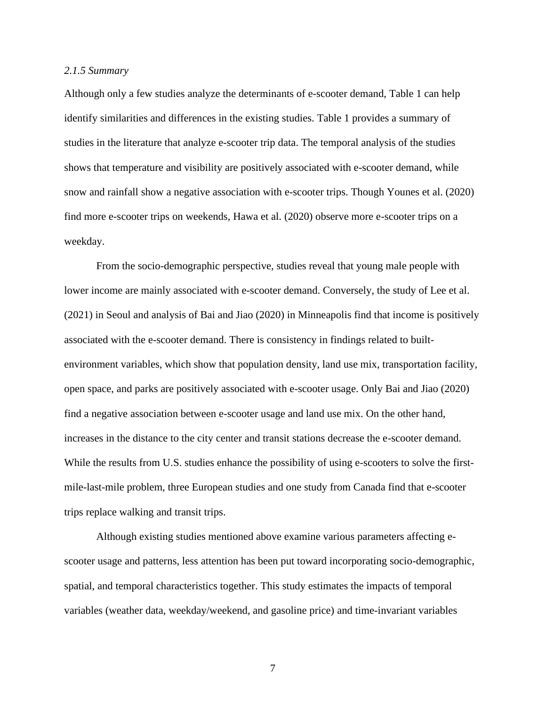# <span id="page-15-0"></span>*2.1.5 Summary*

Although only a few studies analyze the determinants of e-scooter demand, Table 1 can help identify similarities and differences in the existing studies. Table 1 provides a summary of studies in the literature that analyze e-scooter trip data. The temporal analysis of the studies shows that temperature and visibility are positively associated with e-scooter demand, while snow and rainfall show a negative association with e-scooter trips. Though Younes et al. (2020) find more e-scooter trips on weekends, Hawa et al. (2020) observe more e-scooter trips on a weekday.

From the socio-demographic perspective, studies reveal that young male people with lower income are mainly associated with e-scooter demand. Conversely, the study of Lee et al. (2021) in Seoul and analysis of Bai and Jiao (2020) in Minneapolis find that income is positively associated with the e-scooter demand. There is consistency in findings related to builtenvironment variables, which show that population density, land use mix, transportation facility, open space, and parks are positively associated with e-scooter usage. Only Bai and Jiao (2020) find a negative association between e-scooter usage and land use mix. On the other hand, increases in the distance to the city center and transit stations decrease the e-scooter demand. While the results from U.S. studies enhance the possibility of using e-scooters to solve the firstmile-last-mile problem, three European studies and one study from Canada find that e-scooter trips replace walking and transit trips.

Although existing studies mentioned above examine various parameters affecting escooter usage and patterns, less attention has been put toward incorporating socio-demographic, spatial, and temporal characteristics together. This study estimates the impacts of temporal variables (weather data, weekday/weekend, and gasoline price) and time-invariant variables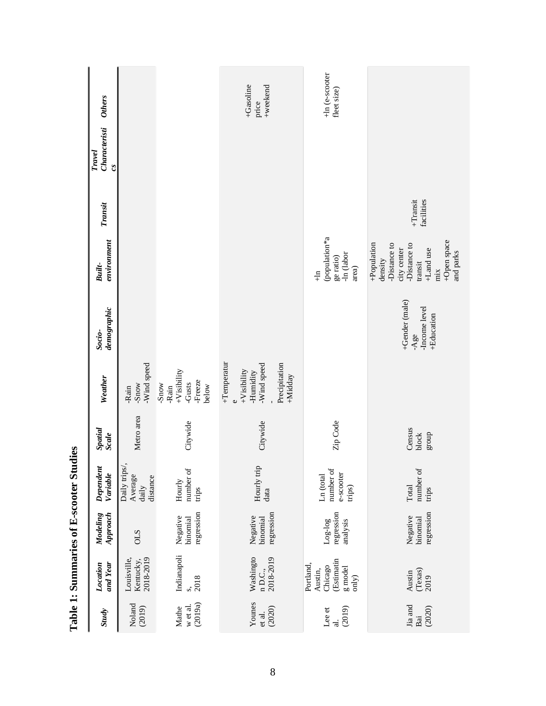| <b>Others</b>                                                |                                               |                                                                | +Gasoline<br>+weekend<br>price                                                                   | +ln (e-scooter<br>fleet size)                                      |                                                                                                                                  |
|--------------------------------------------------------------|-----------------------------------------------|----------------------------------------------------------------|--------------------------------------------------------------------------------------------------|--------------------------------------------------------------------|----------------------------------------------------------------------------------------------------------------------------------|
| Characteristi<br><b>Travel</b><br>$\mathfrak{c}\mathfrak{s}$ |                                               |                                                                |                                                                                                  |                                                                    |                                                                                                                                  |
| Transit                                                      |                                               |                                                                |                                                                                                  |                                                                    | $+$ Transit<br>facilities                                                                                                        |
| environment<br><b>Built-</b>                                 |                                               |                                                                |                                                                                                  | (population*a<br>-In (labor<br>ge ratio)<br>area)<br>$\frac{n}{+}$ | +Open space<br>+Population<br>-Distance to<br>-Distance to<br>city center<br>+Land use<br>and parks<br>density<br>transit<br>mix |
| demographic<br>Socio-                                        |                                               |                                                                |                                                                                                  |                                                                    | +Gender (male)<br>-Income level<br>+Education<br>$-Age$                                                                          |
| Weather                                                      | -Wind speed<br>-Snow<br>-Rain                 | $+V$ isibility<br>-Freeze<br>-Gusts<br>-Snow<br>below<br>-Rain | +Temperatur<br>Precipitation<br>-Wind speed<br>$+V$ isibility<br><b>Humidity</b><br>+Midday<br>Ü |                                                                    |                                                                                                                                  |
| Spatial<br><b>Scale</b>                                      | Metro area                                    | Citywide                                                       | Citywide                                                                                         | Zip Code                                                           | Census<br>group<br>block                                                                                                         |
| Dependent<br>Variable                                        | Daily trips/,<br>Average<br>distance<br>daily | number of<br>Hourly<br>trips                                   | Hourly trip<br>data                                                                              | number of<br>e-scooter<br>Ln (total<br>trips)                      | number of<br>Total<br>trips                                                                                                      |
| Approach<br>Modeling                                         | <b>CLS</b>                                    | regression<br>Negative<br>binomial                             | regression<br>Negative<br>binomial                                                               | regression<br>$Log-log$<br>analysis                                | regression<br>Negative<br>binomial                                                                                               |
| and Year<br>Location                                         | Kentucky,<br>2018-2019<br>Louisville,         | Indianapoli<br>$\frac{1}{2018}$                                | Washingto<br>2018-2019<br>n D.C.,                                                                | Estimatin<br>Portland,<br>Chicago<br>g model<br>Austin,<br>only)   | $(Texas)$<br>2019<br>Austin                                                                                                      |
| <b>Study</b>                                                 | Noland<br>(2019)                              | (2019a)<br>w et al.<br>Mathe                                   | Younes<br>(2020)<br>et al.                                                                       | (2019)<br>Lee et<br>$\vec{a}$                                      | Jia and<br>(2020)<br>Bai                                                                                                         |

Table 1: Summaries of E-scooter Studies **Table 1: Summaries of E-scooter Studies**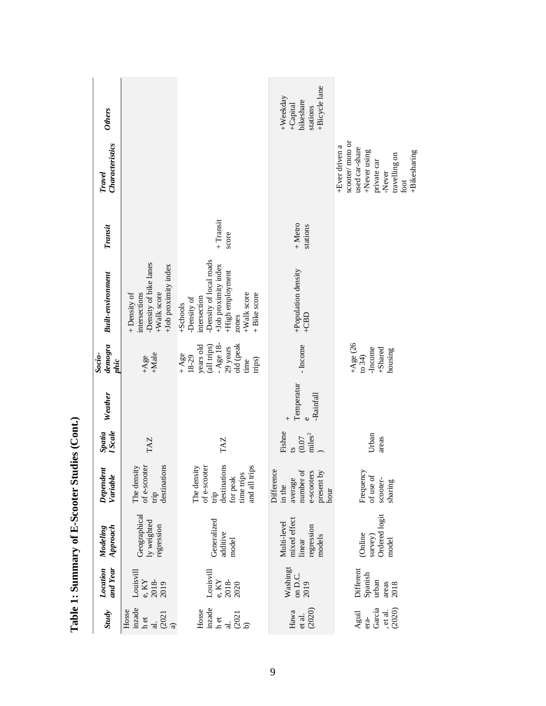| <b>Others</b>                |                                                                                                |                                                                                                                                                        | +Bicycle lane<br>+Weekday<br>bikeshare<br>+Capital<br>stations                   |                                                                                                                                       |
|------------------------------|------------------------------------------------------------------------------------------------|--------------------------------------------------------------------------------------------------------------------------------------------------------|----------------------------------------------------------------------------------|---------------------------------------------------------------------------------------------------------------------------------------|
| Characteristics<br>Travel    |                                                                                                |                                                                                                                                                        |                                                                                  | scooter/moto or<br>+Ever driven a<br>used car-share<br>+Never using<br>+Bikesharing<br>travelling on<br>private car<br>-Never<br>foot |
| Transit                      |                                                                                                | $+$ Transit<br>score                                                                                                                                   | $+$ Metro<br>stations                                                            |                                                                                                                                       |
| <b>Built-environment</b>     | -Density of bike lanes<br>+Job proximity index<br>+Walk score<br>intersections<br>+ Density of | -Density of local roads<br>+Job proximity index<br>+High employment<br>+Walk score<br>+ Bike score<br>intersection<br>-Density of<br>+Schools<br>zones | +Population density<br>$+CBD$                                                    |                                                                                                                                       |
| $d$ emogra<br>Socio-<br>phic | $+$ Male<br>$+Age$                                                                             | $-Age$ 18-<br>years old<br>old (peak<br>(all trips)<br>29 years<br>$+ \mathrm{Age}$<br>18-29<br>trips)<br>time                                         | - Income                                                                         | $+Age(26$<br>-Income<br>+Shared<br>housing<br>to 34)                                                                                  |
| Weather                      |                                                                                                |                                                                                                                                                        | Temperatur<br>-Rainfall<br>$\mathbf{o}$<br>$^{+}$                                |                                                                                                                                       |
| <b>I</b> Scale<br>Spatia     | <b>TAZ</b>                                                                                     | <b>TAZ</b>                                                                                                                                             | Fishne<br>miles <sup>2</sup><br>(0.07)<br>$\mathbf{a}$                           | Urban<br>areas                                                                                                                        |
| Dependent<br>Variable        | destinations<br>of e-scooter<br>The density<br>trip                                            | destinations<br>of e-scooter<br>time trips<br>and all trips<br>The density<br>for peak<br>$\dot{q}$                                                    | Difference<br>number of<br>e-scooters<br>present by<br>average<br>in the<br>hour | Frequency<br>of use of<br>scooter-<br>sharing                                                                                         |
| Approach<br>Modeling         | Geographical<br>ly weighted<br>regression                                                      | Generalized<br>additive<br>model                                                                                                                       | mixed effect<br>Multi-level<br>regression<br>models<br>linear                    | Ordered logit<br>(Online<br>survey)<br>model                                                                                          |
| and Year<br>Location         | Louisvill<br>e, KY<br>2018-<br>2019                                                            | Louisvill<br>2018-<br>e, KY<br>2020                                                                                                                    | Washingt<br>on D.C.<br>2019                                                      | Different<br>Spanish<br>urban<br>areas<br>2018                                                                                        |
| <b>Study</b>                 | inzade<br>Hosse<br>(2021)<br>${\tt h}$ et                                                      | inzade<br>Hosse<br>(2021)<br>$h$ et                                                                                                                    | (2020)<br>Hawa<br>et al.                                                         | García<br>(2020)<br>, et al.<br>Aguil<br>$era-$                                                                                       |

Table 1: Summary of E-Scooter Studies (Cont.) **1: Summary of E-Scooter Studies (Cont.)**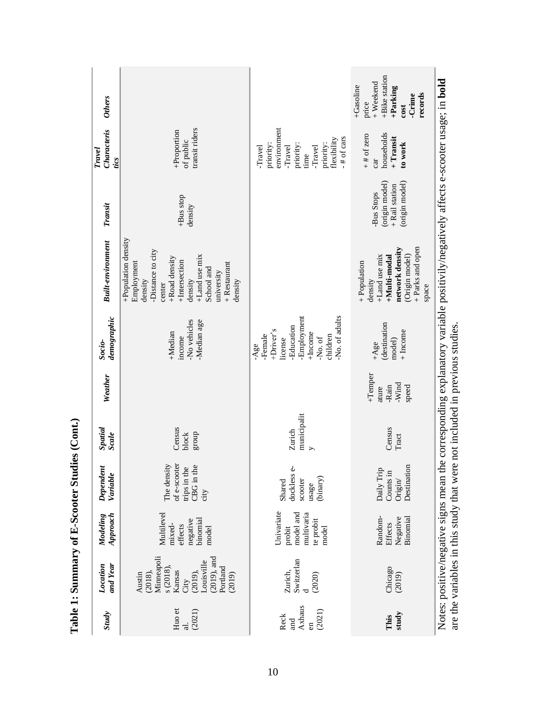| <b>Study</b>                                     | and Year<br>Location                                                                                                          | Approach<br>Modeling                                                  | Dependent<br>Variable                                             | Spatial<br><b>Scale</b>                   | Weather                                     | demographic<br>Socio-                                                                                                        | <b>Built-environment</b>                                                                                                                                                                          | Transit                                                         | Characteris<br>Travel<br>tics                                                                                            | <b>Others</b>                                                                                      |
|--------------------------------------------------|-------------------------------------------------------------------------------------------------------------------------------|-----------------------------------------------------------------------|-------------------------------------------------------------------|-------------------------------------------|---------------------------------------------|------------------------------------------------------------------------------------------------------------------------------|---------------------------------------------------------------------------------------------------------------------------------------------------------------------------------------------------|-----------------------------------------------------------------|--------------------------------------------------------------------------------------------------------------------------|----------------------------------------------------------------------------------------------------|
| Huo et<br>(2021)<br>ಸ                            | Minneapoli<br>$(2019)$ , and<br>Louisville<br>s(2018)<br>Portland<br>(2018),<br>Kansas<br>(2019),<br>Austin<br>(2019)<br>City | Multilevel<br>binomial<br>negative<br>mixed-<br>effects<br>model      | of e-scooter<br>The density<br>CBG in the<br>trips in the<br>city | Census<br>group<br>block                  |                                             | -No vehicles<br>-Median age<br>+Median<br>income                                                                             | +Population density<br>Distance to city<br>+Land use mix<br>+Road density<br>+Intersection<br>Employment<br>$+$ Restaurant<br>School and<br>university<br>density<br>density<br>density<br>center | +Bus stop<br>density                                            | transit riders<br>+Proportion<br>of public                                                                               |                                                                                                    |
| Axhaus<br>(2021)<br>Reck<br>ad<br>$\overline{a}$ | Switzerlan<br>Zurich,<br>(2020)                                                                                               | Univariate<br>model and<br>multivaria<br>te probit<br>probit<br>model | dockless e-<br>(binary)<br>scooter<br>Shared<br>usage             | municipalit<br>Zurich<br>$\triangleright$ |                                             | -Employment<br>-No. of adults<br>-Education<br>+Driver's<br>$+Income$<br>-Female<br>children<br>-No. of<br>license<br>$-Age$ |                                                                                                                                                                                                   |                                                                 | environment<br>-# of cars<br>flexibility<br>priority:<br>priority:<br>priority:<br>-Travel<br>-Travel<br>-Travel<br>time |                                                                                                    |
| study<br>This                                    | Chicago<br>(2019)                                                                                                             | Random-<br>Negative<br>Binomial<br>Effects                            | Destination<br>Daily Trip<br>Counts in<br>$\rm{O}$                | Census<br>Tract                           | +Temper<br>-Wind<br>-Rain<br>speed<br>ature | destination<br>$+$ Income<br>model)<br>$+Age$                                                                                | + Parks and open<br>network density<br>(Origin model)<br>+Land use mix<br>+Multi-modal<br>+Population<br>density<br>space                                                                         | (origin model)<br>(origin model)<br>+ Rail station<br>Bus Stops | households<br>$+$ # of zero<br>+ Transit<br>to work<br>car                                                               | +Bike station<br>$+$ Weekend<br>+Gasoline<br>+Parking<br>records<br>-Crime<br>price<br><b>cost</b> |
|                                                  | are the variables in this study that were                                                                                     |                                                                       |                                                                   | re not included in previous studies.      |                                             |                                                                                                                              | Notes: positive/negative signs mean the corresponding explanatory variable positivily/negatively affects e-scooter usage; in <b>bold</b>                                                          |                                                                 |                                                                                                                          |                                                                                                    |

Table 1: Summary of E-Scooter Studies (Cont.) **1: Summary of E-Scooter Studies (Cont.)**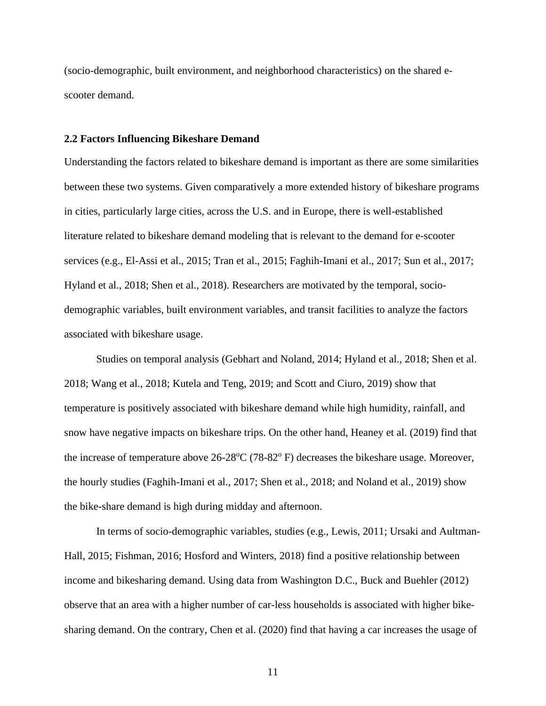(socio-demographic, built environment, and neighborhood characteristics) on the shared escooter demand.

### <span id="page-19-0"></span>**2.2 Factors Influencing Bikeshare Demand**

Understanding the factors related to bikeshare demand is important as there are some similarities between these two systems. Given comparatively a more extended history of bikeshare programs in cities, particularly large cities, across the U.S. and in Europe, there is well-established literature related to bikeshare demand modeling that is relevant to the demand for e-scooter services (e.g., El-Assi et al., 2015; Tran et al., 2015; Faghih-Imani et al., 2017; Sun et al., 2017; Hyland et al., 2018; Shen et al., 2018). Researchers are motivated by the temporal, sociodemographic variables, built environment variables, and transit facilities to analyze the factors associated with bikeshare usage.

Studies on temporal analysis (Gebhart and Noland, 2014; Hyland et al., 2018; Shen et al. 2018; Wang et al., 2018; Kutela and Teng, 2019; and Scott and Ciuro, 2019) show that temperature is positively associated with bikeshare demand while high humidity, rainfall, and snow have negative impacts on bikeshare trips. On the other hand, Heaney et al. (2019) find that the increase of temperature above  $26-28^{\circ}C(78-82^{\circ}F)$  decreases the bikeshare usage. Moreover, the hourly studies (Faghih-Imani et al., 2017; Shen et al., 2018; and Noland et al., 2019) show the bike-share demand is high during midday and afternoon.

In terms of socio-demographic variables, studies (e.g., Lewis, 2011; Ursaki and Aultman-Hall, 2015; Fishman, 2016; Hosford and Winters, 2018) find a positive relationship between income and bikesharing demand. Using data from Washington D.C., Buck and Buehler (2012) observe that an area with a higher number of car-less households is associated with higher bikesharing demand. On the contrary, Chen et al. (2020) find that having a car increases the usage of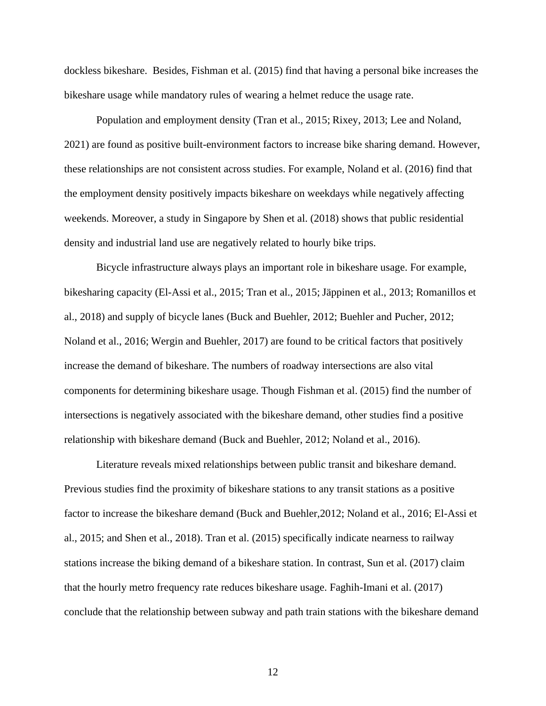dockless bikeshare. Besides, Fishman et al. (2015) find that having a personal bike increases the bikeshare usage while mandatory rules of wearing a helmet reduce the usage rate.

Population and employment density (Tran et al., 2015; Rixey, 2013; Lee and Noland, 2021) are found as positive built-environment factors to increase bike sharing demand. However, these relationships are not consistent across studies. For example, Noland et al. (2016) find that the employment density positively impacts bikeshare on weekdays while negatively affecting weekends. Moreover, a study in Singapore by Shen et al. (2018) shows that public residential density and industrial land use are negatively related to hourly bike trips.

Bicycle infrastructure always plays an important role in bikeshare usage. For example, bikesharing capacity (El-Assi et al., 2015; Tran et al., 2015; Jäppinen et al., 2013; Romanillos et al., 2018) and supply of bicycle lanes (Buck and Buehler, 2012; Buehler and Pucher, 2012; Noland et al., 2016; Wergin and Buehler, 2017) are found to be critical factors that positively increase the demand of bikeshare. The numbers of roadway intersections are also vital components for determining bikeshare usage. Though Fishman et al. (2015) find the number of intersections is negatively associated with the bikeshare demand, other studies find a positive relationship with bikeshare demand (Buck and Buehler, 2012; Noland et al., 2016).

Literature reveals mixed relationships between public transit and bikeshare demand. Previous studies find the proximity of bikeshare stations to any transit stations as a positive factor to increase the bikeshare demand (Buck and Buehler,2012; Noland et al., 2016; El-Assi et al., 2015; and Shen et al., 2018). Tran et al. (2015) specifically indicate nearness to railway stations increase the biking demand of a bikeshare station. In contrast, Sun et al. (2017) claim that the hourly metro frequency rate reduces bikeshare usage. Faghih-Imani et al. (2017) conclude that the relationship between subway and path train stations with the bikeshare demand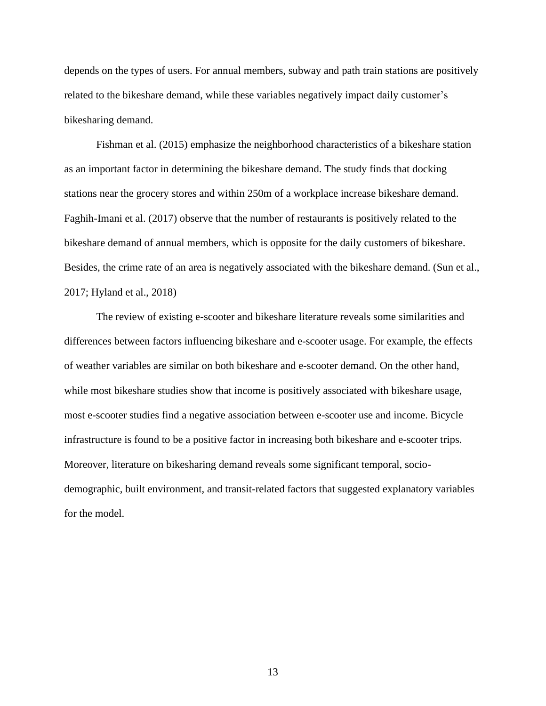depends on the types of users. For annual members, subway and path train stations are positively related to the bikeshare demand, while these variables negatively impact daily customer's bikesharing demand.

Fishman et al. (2015) emphasize the neighborhood characteristics of a bikeshare station as an important factor in determining the bikeshare demand. The study finds that docking stations near the grocery stores and within 250m of a workplace increase bikeshare demand. Faghih-Imani et al. (2017) observe that the number of restaurants is positively related to the bikeshare demand of annual members, which is opposite for the daily customers of bikeshare. Besides, the crime rate of an area is negatively associated with the bikeshare demand. (Sun et al., 2017; Hyland et al., 2018)

The review of existing e-scooter and bikeshare literature reveals some similarities and differences between factors influencing bikeshare and e-scooter usage. For example, the effects of weather variables are similar on both bikeshare and e-scooter demand. On the other hand, while most bikeshare studies show that income is positively associated with bikeshare usage, most e-scooter studies find a negative association between e-scooter use and income. Bicycle infrastructure is found to be a positive factor in increasing both bikeshare and e-scooter trips. Moreover, literature on bikesharing demand reveals some significant temporal, sociodemographic, built environment, and transit-related factors that suggested explanatory variables for the model.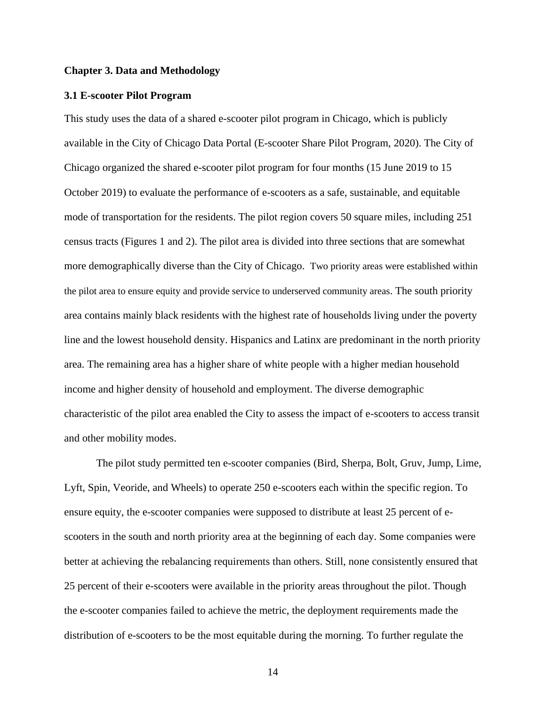#### <span id="page-22-0"></span>**Chapter 3. Data and Methodology**

#### <span id="page-22-1"></span>**3.1 E-scooter Pilot Program**

This study uses the data of a shared e-scooter pilot program in Chicago, which is publicly available in the City of Chicago Data Portal (E-scooter Share Pilot Program, 2020). The City of Chicago organized the shared e-scooter pilot program for four months (15 June 2019 to 15 October 2019) to evaluate the performance of e-scooters as a safe, sustainable, and equitable mode of transportation for the residents. The pilot region covers 50 square miles, including 251 census tracts (Figures 1 and 2). The pilot area is divided into three sections that are somewhat more demographically diverse than the City of Chicago. Two priority areas were established within the pilot area to ensure equity and provide service to underserved community areas. The south priority area contains mainly black residents with the highest rate of households living under the poverty line and the lowest household density. Hispanics and Latinx are predominant in the north priority area. The remaining area has a higher share of white people with a higher median household income and higher density of household and employment. The diverse demographic characteristic of the pilot area enabled the City to assess the impact of e-scooters to access transit and other mobility modes.

The pilot study permitted ten e-scooter companies (Bird, Sherpa, Bolt, Gruv, Jump, Lime, Lyft, Spin, Veoride, and Wheels) to operate 250 e-scooters each within the specific region. To ensure equity, the e-scooter companies were supposed to distribute at least 25 percent of escooters in the south and north priority area at the beginning of each day. Some companies were better at achieving the rebalancing requirements than others. Still, none consistently ensured that 25 percent of their e-scooters were available in the priority areas throughout the pilot. Though the e-scooter companies failed to achieve the metric, the deployment requirements made the distribution of e-scooters to be the most equitable during the morning. To further regulate the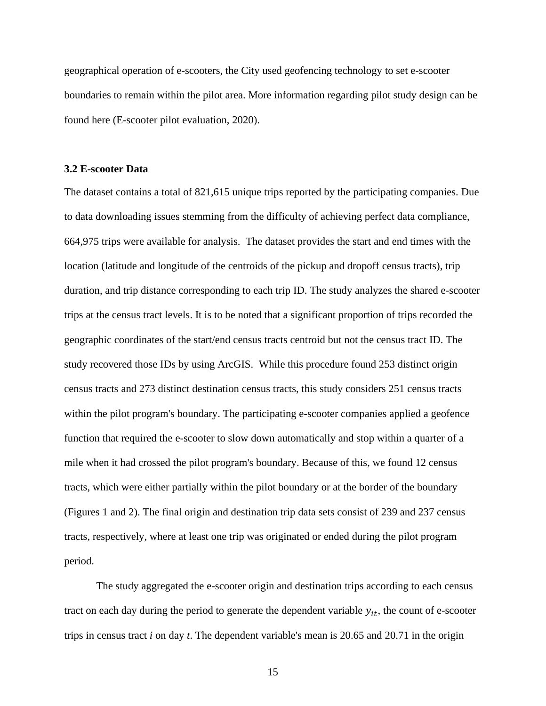geographical operation of e-scooters, the City used geofencing technology to set e-scooter boundaries to remain within the pilot area. More information regarding pilot study design can be found here (E-scooter pilot evaluation, 2020).

# <span id="page-23-0"></span>**3.2 E-scooter Data**

The dataset contains a total of 821,615 unique trips reported by the participating companies. Due to data downloading issues stemming from the difficulty of achieving perfect data compliance, 664,975 trips were available for analysis. The dataset provides the start and end times with the location (latitude and longitude of the centroids of the pickup and dropoff census tracts), trip duration, and trip distance corresponding to each trip ID. The study analyzes the shared e-scooter trips at the census tract levels. It is to be noted that a significant proportion of trips recorded the geographic coordinates of the start/end census tracts centroid but not the census tract ID. The study recovered those IDs by using ArcGIS. While this procedure found 253 distinct origin census tracts and 273 distinct destination census tracts, this study considers 251 census tracts within the pilot program's boundary. The participating e-scooter companies applied a geofence function that required the e-scooter to slow down automatically and stop within a quarter of a mile when it had crossed the pilot program's boundary. Because of this, we found 12 census tracts, which were either partially within the pilot boundary or at the border of the boundary (Figures 1 and 2). The final origin and destination trip data sets consist of 239 and 237 census tracts, respectively, where at least one trip was originated or ended during the pilot program period.

The study aggregated the e-scooter origin and destination trips according to each census tract on each day during the period to generate the dependent variable  $y_{it}$ , the count of e-scooter trips in census tract *i* on day *t*. The dependent variable's mean is 20.65 and 20.71 in the origin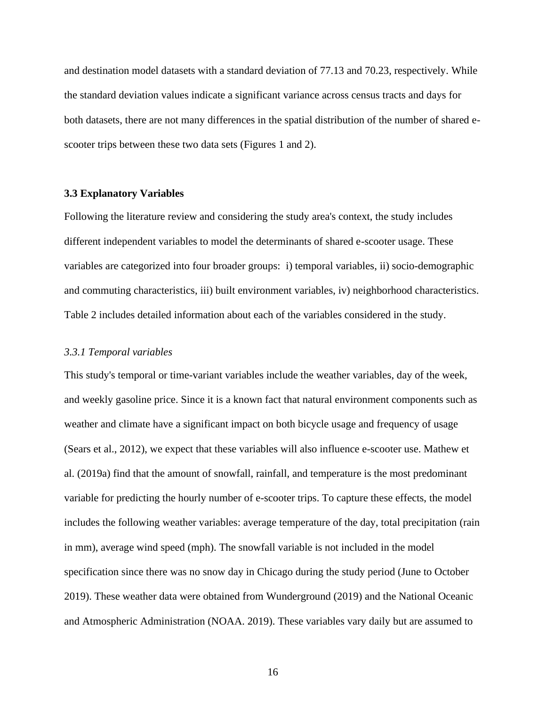and destination model datasets with a standard deviation of 77.13 and 70.23, respectively. While the standard deviation values indicate a significant variance across census tracts and days for both datasets, there are not many differences in the spatial distribution of the number of shared escooter trips between these two data sets (Figures 1 and 2).

# <span id="page-24-0"></span>**3.3 Explanatory Variables**

Following the literature review and considering the study area's context, the study includes different independent variables to model the determinants of shared e-scooter usage. These variables are categorized into four broader groups: i) temporal variables, ii) socio-demographic and commuting characteristics, iii) built environment variables, iv) neighborhood characteristics. Table 2 includes detailed information about each of the variables considered in the study.

#### <span id="page-24-1"></span>*3.3.1 Temporal variables*

This study's temporal or time-variant variables include the weather variables, day of the week, and weekly gasoline price. Since it is a known fact that natural environment components such as weather and climate have a significant impact on both bicycle usage and frequency of usage (Sears et al., 2012), we expect that these variables will also influence e-scooter use. Mathew et al. (2019a) find that the amount of snowfall, rainfall, and temperature is the most predominant variable for predicting the hourly number of e-scooter trips. To capture these effects, the model includes the following weather variables: average temperature of the day, total precipitation (rain in mm), average wind speed (mph). The snowfall variable is not included in the model specification since there was no snow day in Chicago during the study period (June to October 2019). These weather data were obtained from Wunderground (2019) and the National Oceanic and Atmospheric Administration (NOAA. 2019). These variables vary daily but are assumed to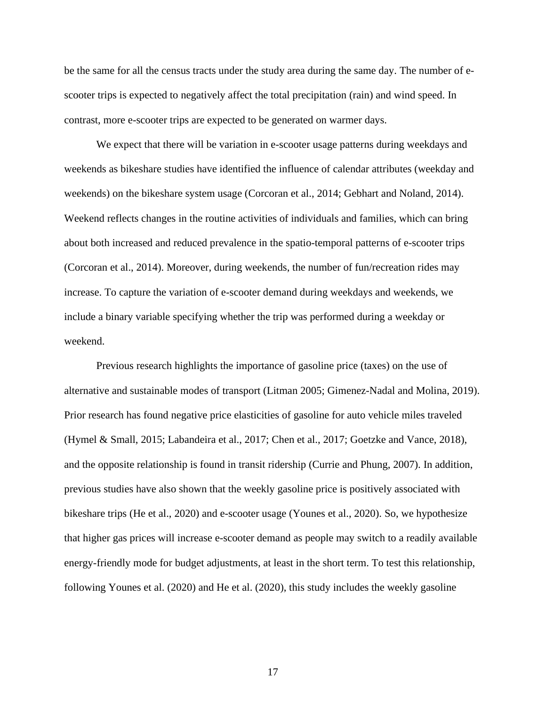be the same for all the census tracts under the study area during the same day. The number of escooter trips is expected to negatively affect the total precipitation (rain) and wind speed. In contrast, more e-scooter trips are expected to be generated on warmer days.

We expect that there will be variation in e-scooter usage patterns during weekdays and weekends as bikeshare studies have identified the influence of calendar attributes (weekday and weekends) on the bikeshare system usage (Corcoran et al., 2014; Gebhart and Noland, 2014). Weekend reflects changes in the routine activities of individuals and families, which can bring about both increased and reduced prevalence in the spatio-temporal patterns of e-scooter trips (Corcoran et al., 2014). Moreover, during weekends, the number of fun/recreation rides may increase. To capture the variation of e-scooter demand during weekdays and weekends, we include a binary variable specifying whether the trip was performed during a weekday or weekend.

Previous research highlights the importance of gasoline price (taxes) on the use of alternative and sustainable modes of transport (Litman 2005; Gimenez-Nadal and Molina, 2019). Prior research has found negative price elasticities of gasoline for auto vehicle miles traveled (Hymel & Small, 2015; Labandeira et al., 2017; Chen et al., 2017; Goetzke and Vance, 2018), and the opposite relationship is found in transit ridership (Currie and Phung, 2007). In addition, previous studies have also shown that the weekly gasoline price is positively associated with bikeshare trips (He et al., 2020) and e-scooter usage (Younes et al., 2020). So, we hypothesize that higher gas prices will increase e-scooter demand as people may switch to a readily available energy-friendly mode for budget adjustments, at least in the short term. To test this relationship, following Younes et al. (2020) and He et al. (2020), this study includes the weekly gasoline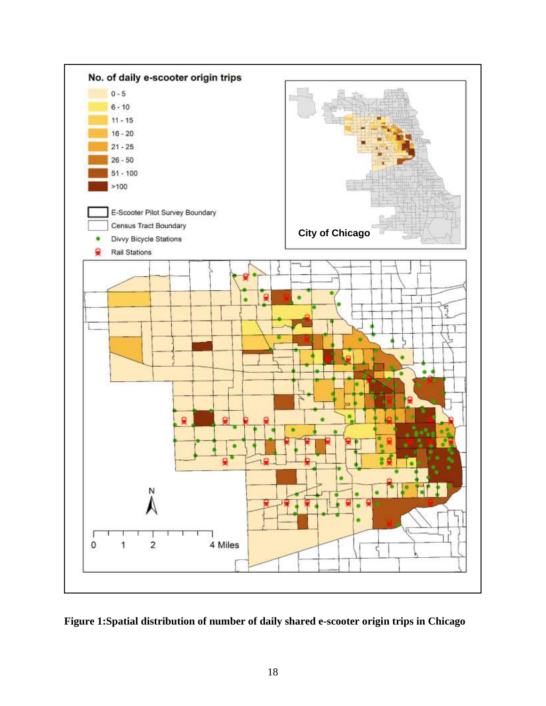

<span id="page-26-0"></span>**Figure 1:Spatial distribution of number of daily shared e-scooter origin trips in Chicago**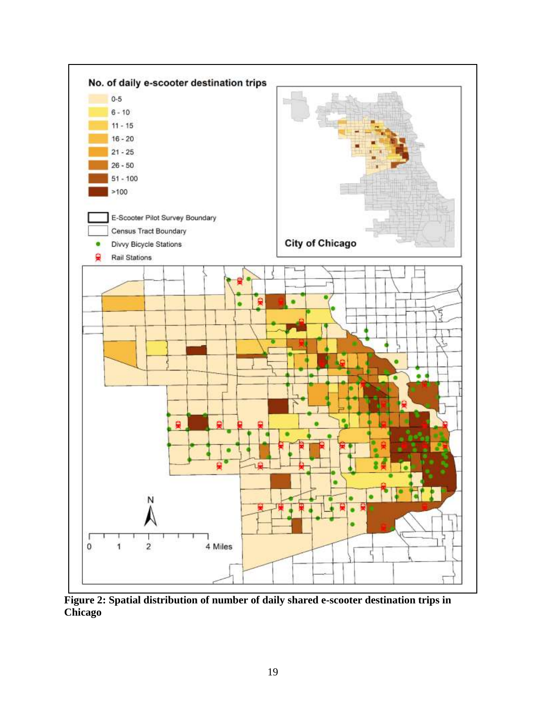

<span id="page-27-0"></span>**Figure 2: Spatial distribution of number of daily shared e-scooter destination trips in Chicago**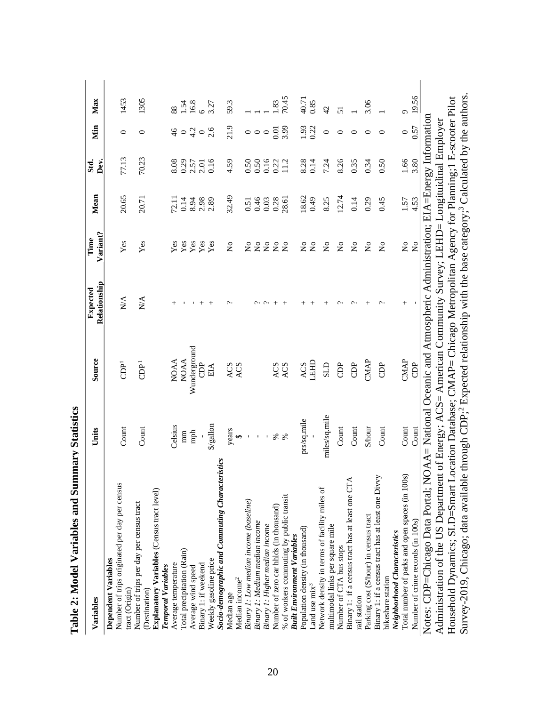| Variables                                                                                                         | Units         | Source                                                                                                         | Relationship<br>Expected | Variant?<br>Time                 | Mean  | Std.<br>Dev. | Уin           | Max     |
|-------------------------------------------------------------------------------------------------------------------|---------------|----------------------------------------------------------------------------------------------------------------|--------------------------|----------------------------------|-------|--------------|---------------|---------|
| Number of trips originated per day per census<br>Dependent Variables<br>tract (Origin)                            | Count         | $\overline{\Theta}^1$                                                                                          | $\sum_{i=1}^{n}$         | Yes                              | 20.65 | 77.13        | 0             | 1453    |
| Number of trips per day per census tract<br>(Destination)                                                         | Count         | E<br>CDP                                                                                                       | $\sum_{i=1}^{n}$         | Yes                              | 20.71 | 70.23        | 0             | 1305    |
| Explanatory Variables (Census tract level)<br><b>Temporal Variables</b>                                           |               |                                                                                                                |                          |                                  |       |              |               |         |
| Average temperature                                                                                               | Celsius       | <b>NOAA</b>                                                                                                    |                          | Yes                              | 72.11 | 8.08         | $\frac{4}{6}$ | 88      |
| Total precipitation (Rain)                                                                                        | mm            | <b>NOAA</b>                                                                                                    |                          | Yes                              | 0.14  | 0.29         | $\circ$       | 1.54    |
| Average wind speed                                                                                                | mph           | Wunderground                                                                                                   |                          | Yes                              | 8.94  | 2.57         | 4.2           | 16.8    |
| Binary 1: if weekend                                                                                              |               | <b>OP</b>                                                                                                      |                          | Yes                              | 2.98  | 2.01         | $\circ$       | $\circ$ |
| Weekly gasoline price                                                                                             | \$/gallon     | EІА                                                                                                            |                          | Yes                              | 2.89  | 0.16         | 2.6           | 3.27    |
| <b>Socio-demographic and Commuting Characteristics</b><br>Median age                                              | years         | ACS                                                                                                            |                          | $\frac{1}{2}$                    | 32.49 | 4.59         | 21.9          | 59.3    |
| Median income <sup>2</sup>                                                                                        | $\Theta$      | ACS                                                                                                            |                          |                                  |       |              |               |         |
| Binary 1: Low median income (baseline)                                                                            |               |                                                                                                                |                          | $\tilde{z}$                      | 0.51  | 0.50         |               |         |
| Binary 1: Medium median income                                                                                    |               |                                                                                                                |                          | $\frac{1}{2}$                    | 0.46  | 0.50         | $\circ$       |         |
| Binary 1: Higher median income                                                                                    | $\mathbf{I}$  |                                                                                                                |                          | $\stackrel{\circ}{\mathsf{Z}}$   | 0.03  | 0.16         | $\circ$       |         |
| Number of zero car hhlds (in thousand)                                                                            | శ             | ACS                                                                                                            |                          | $\mathbf{S}^{\circ}$             | 0.28  | 0.22         | 0.01          | .83     |
| % of workers commuting by public transit                                                                          | శ             | ACS                                                                                                            |                          | $\tilde{z}$                      | 28.61 | 11.2         | 3.99          | 70.45   |
| <b>Built Environment Variables</b>                                                                                |               |                                                                                                                |                          |                                  |       |              |               |         |
| Population density (in thousand)                                                                                  | prs/sq.mile   | ACS                                                                                                            | $^+$                     | $\stackrel{\circ}{\mathsf{Z}}$   | 18.62 | 8.28         | 1.93          | 40.71   |
| Land use mix <sup>3</sup>                                                                                         |               | LEHD                                                                                                           |                          | $\rm _{Z}^{\circ}$               | 64.0  | 0.14         | 0.22          | 0.85    |
| Network density in terms of facility miles of                                                                     | miles/sq.mile | SLD                                                                                                            |                          | $\tilde{Z}$                      | 8.25  | 7.24         | $\circ$       | 42      |
| multimodal links per square mile                                                                                  |               |                                                                                                                |                          |                                  |       |              |               |         |
| Number of CTA bus stops                                                                                           | Count         | <b>CDP</b>                                                                                                     |                          | $\tilde{\mathsf{z}}$             | 12.74 | 8.26         | 0             | 51      |
| Binary 1: if a census tract has at least one CTA<br>rail station                                                  | Count         | <b>EC</b>                                                                                                      |                          | $\mathop{\Sigma}\limits^{\circ}$ | 0.14  | 0.35         | ᅌ             |         |
| Parking cost (\$/hour) in census tract                                                                            | \$/hour       | CMAP                                                                                                           |                          | $\mathbf{S}^{\circ}$             | 0.29  | 0.34         | $\circ$       | 3.06    |
| Binary 1: if a census tract has at least one Divvy<br>bikeshare station                                           | Count         | <b>CDP</b>                                                                                                     |                          | $\overline{N}$                   | 645   | 0.50         | $\circ$       |         |
| Neighborhood Characteristics                                                                                      |               |                                                                                                                |                          |                                  |       |              |               |         |
| Total number of parks and open spaces (in 100s)                                                                   | Count         | CMAP                                                                                                           | $^+$                     | $\frac{1}{2}$                    | 1.57  | 1.66         | $\circ$       | Ó       |
| Number of crime records (in 100s)                                                                                 | Count         | <b>CDP</b>                                                                                                     |                          | $\mathsf{S}^{\mathsf{o}}$        | 4.53  | 3.80         | 0.57          | 19.56   |
| Notes: CDP=Chicago Data Portal; NOAA= National Oceanic and Atmospheric Administration; EIA=Energy Information     |               |                                                                                                                |                          |                                  |       |              |               |         |
| Administration of the US Department of Energy; ACS= American Community Survey; LEHD= Longituidinal Employer       |               |                                                                                                                |                          |                                  |       |              |               |         |
| Household Dynamics; SLD=Smart Location Database; CMAP= Chicago Metropolitan Agency for Planning;1 E-scooter Pilot |               |                                                                                                                |                          |                                  |       |              |               |         |
| Survey-2019, Chicago; data available                                                                              |               | through CDP; <sup>2</sup> Expected relationship with the base category; <sup>3</sup> Calculated by the authors |                          |                                  |       |              |               |         |

Table 2: Model Variables and Summary Statistics **Table 2: Model Variables and Summary Statistics**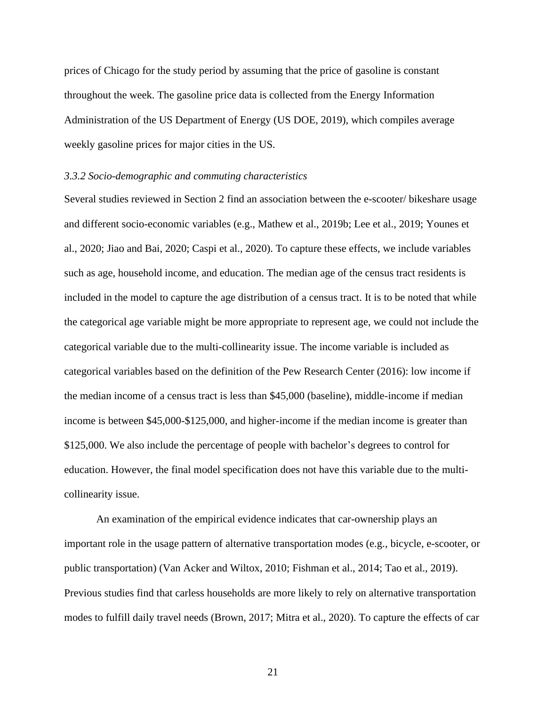prices of Chicago for the study period by assuming that the price of gasoline is constant throughout the week. The gasoline price data is collected from the Energy Information Administration of the US Department of Energy (US DOE, 2019), which compiles average weekly gasoline prices for major cities in the US.

#### <span id="page-29-0"></span>*3.3.2 Socio-demographic and commuting characteristics*

Several studies reviewed in Section 2 find an association between the e-scooter/ bikeshare usage and different socio-economic variables (e.g., Mathew et al., 2019b; Lee et al., 2019; Younes et al., 2020; Jiao and Bai, 2020; Caspi et al., 2020). To capture these effects, we include variables such as age, household income, and education. The median age of the census tract residents is included in the model to capture the age distribution of a census tract. It is to be noted that while the categorical age variable might be more appropriate to represent age, we could not include the categorical variable due to the multi-collinearity issue. The income variable is included as categorical variables based on the definition of the Pew Research Center (2016): low income if the median income of a census tract is less than \$45,000 (baseline), middle-income if median income is between \$45,000-\$125,000, and higher-income if the median income is greater than \$125,000. We also include the percentage of people with bachelor's degrees to control for education. However, the final model specification does not have this variable due to the multicollinearity issue.

An examination of the empirical evidence indicates that car-ownership plays an important role in the usage pattern of alternative transportation modes (e.g., bicycle, e-scooter, or public transportation) (Van Acker and Wiltox, 2010; Fishman et al., 2014; Tao et al., 2019). Previous studies find that carless households are more likely to rely on alternative transportation modes to fulfill daily travel needs (Brown, 2017; Mitra et al., 2020). To capture the effects of car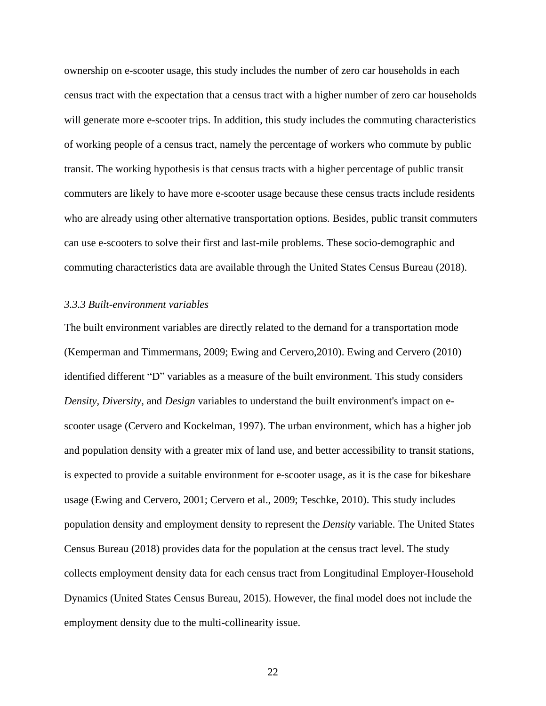ownership on e-scooter usage, this study includes the number of zero car households in each census tract with the expectation that a census tract with a higher number of zero car households will generate more e-scooter trips. In addition, this study includes the commuting characteristics of working people of a census tract, namely the percentage of workers who commute by public transit. The working hypothesis is that census tracts with a higher percentage of public transit commuters are likely to have more e-scooter usage because these census tracts include residents who are already using other alternative transportation options. Besides, public transit commuters can use e-scooters to solve their first and last-mile problems. These socio-demographic and commuting characteristics data are available through the United States Census Bureau (2018).

# <span id="page-30-0"></span>*3.3.3 Built-environment variables*

The built environment variables are directly related to the demand for a transportation mode (Kemperman and Timmermans, 2009; Ewing and Cervero,2010). Ewing and Cervero (2010) identified different "D" variables as a measure of the built environment. This study considers *Density, Diversity*, and *Design* variables to understand the built environment's impact on escooter usage (Cervero and Kockelman, 1997). The urban environment, which has a higher job and population density with a greater mix of land use, and better accessibility to transit stations, is expected to provide a suitable environment for e-scooter usage, as it is the case for bikeshare usage (Ewing and Cervero, 2001; Cervero et al., 2009; Teschke, 2010). This study includes population density and employment density to represent the *Density* variable. The United States Census Bureau (2018) provides data for the population at the census tract level. The study collects employment density data for each census tract from Longitudinal Employer-Household Dynamics (United States Census Bureau, 2015). However, the final model does not include the employment density due to the multi-collinearity issue.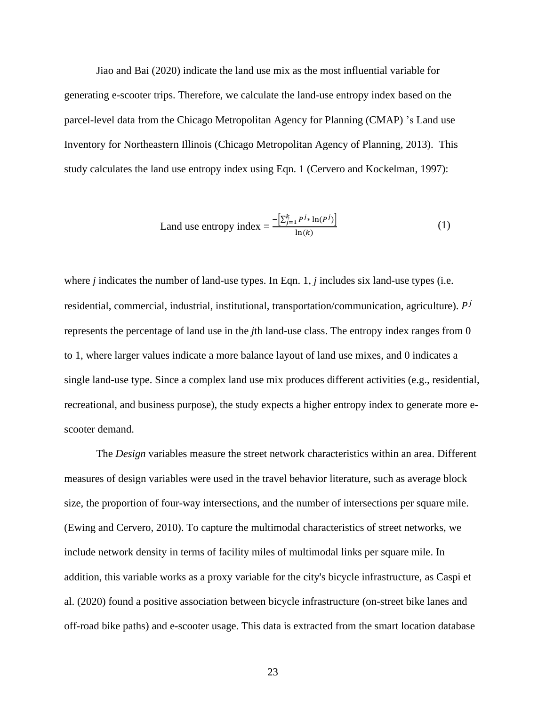Jiao and Bai (2020) indicate the land use mix as the most influential variable for generating e-scooter trips. Therefore, we calculate the land-use entropy index based on the parcel-level data from the Chicago Metropolitan Agency for Planning (CMAP) 's Land use Inventory for Northeastern Illinois (Chicago Metropolitan Agency of Planning, 2013). This study calculates the land use entropy index using Eqn. 1 (Cervero and Kockelman, 1997):

Land use entropy index = 
$$
\frac{-\left[\sum_{j=1}^{k} P^{j} \cdot \ln(P^{j})\right]}{\ln(k)}
$$
 (1)

where *j* indicates the number of land-use types. In Eqn. 1, *j* includes six land-use types (i.e. residential, commercial, industrial, institutional, transportation/communication, agriculture).  $P^j$ represents the percentage of land use in the *j*th land-use class. The entropy index ranges from 0 to 1, where larger values indicate a more balance layout of land use mixes, and 0 indicates a single land-use type. Since a complex land use mix produces different activities (e.g., residential, recreational, and business purpose), the study expects a higher entropy index to generate more escooter demand.

The *Design* variables measure the street network characteristics within an area. Different measures of design variables were used in the travel behavior literature, such as average block size, the proportion of four-way intersections, and the number of intersections per square mile. (Ewing and Cervero, 2010). To capture the multimodal characteristics of street networks, we include network density in terms of facility miles of multimodal links per square mile. In addition, this variable works as a proxy variable for the city's bicycle infrastructure, as Caspi et al. (2020) found a positive association between bicycle infrastructure (on-street bike lanes and off-road bike paths) and e-scooter usage. This data is extracted from the smart location database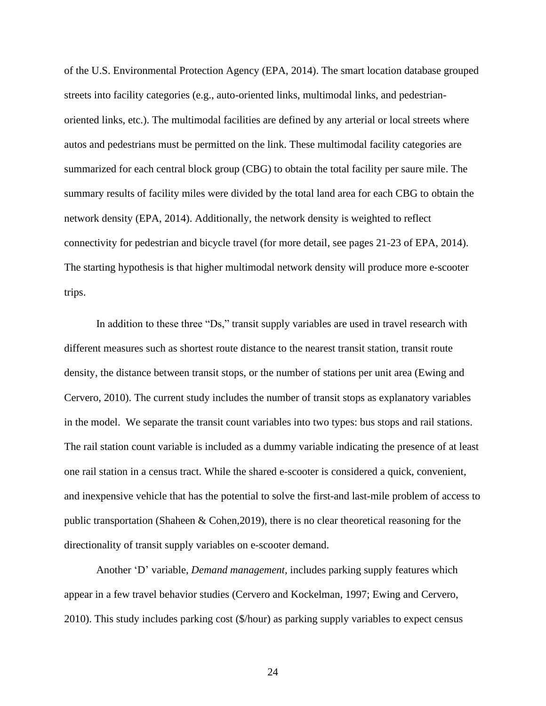of the U.S. Environmental Protection Agency (EPA, 2014). The smart location database grouped streets into facility categories (e.g., auto-oriented links, multimodal links, and pedestrianoriented links, etc.). The multimodal facilities are defined by any arterial or local streets where autos and pedestrians must be permitted on the link. These multimodal facility categories are summarized for each central block group (CBG) to obtain the total facility per saure mile. The summary results of facility miles were divided by the total land area for each CBG to obtain the network density (EPA, 2014). Additionally, the network density is weighted to reflect connectivity for pedestrian and bicycle travel (for more detail, see pages 21-23 of EPA, 2014). The starting hypothesis is that higher multimodal network density will produce more e-scooter trips.

In addition to these three "Ds," transit supply variables are used in travel research with different measures such as shortest route distance to the nearest transit station, transit route density, the distance between transit stops, or the number of stations per unit area (Ewing and Cervero, 2010). The current study includes the number of transit stops as explanatory variables in the model. We separate the transit count variables into two types: bus stops and rail stations. The rail station count variable is included as a dummy variable indicating the presence of at least one rail station in a census tract. While the shared e-scooter is considered a quick, convenient, and inexpensive vehicle that has the potential to solve the first-and last-mile problem of access to public transportation (Shaheen & Cohen,2019), there is no clear theoretical reasoning for the directionality of transit supply variables on e-scooter demand.

Another 'D' variable, *Demand management,* includes parking supply features which appear in a few travel behavior studies (Cervero and Kockelman, 1997; Ewing and Cervero, 2010). This study includes parking cost (\$/hour) as parking supply variables to expect census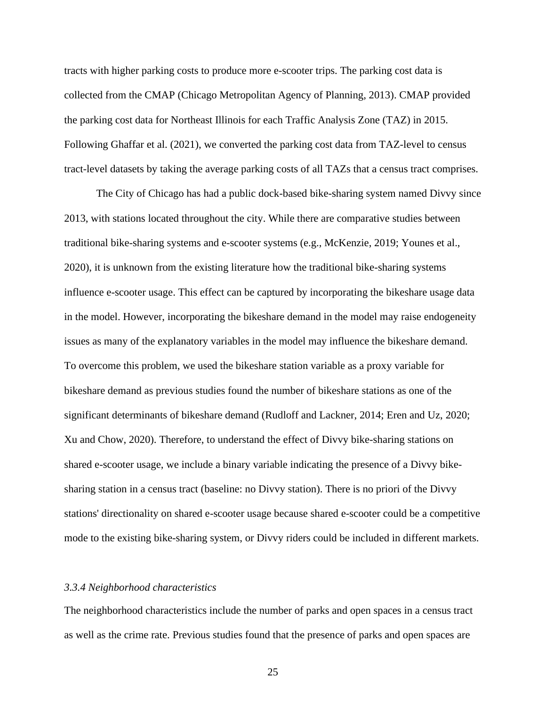tracts with higher parking costs to produce more e-scooter trips. The parking cost data is collected from the CMAP (Chicago Metropolitan Agency of Planning, 2013). CMAP provided the parking cost data for Northeast Illinois for each Traffic Analysis Zone (TAZ) in 2015. Following Ghaffar et al. (2021), we converted the parking cost data from TAZ-level to census tract-level datasets by taking the average parking costs of all TAZs that a census tract comprises.

The City of Chicago has had a public dock-based bike-sharing system named Divvy since 2013, with stations located throughout the city. While there are comparative studies between traditional bike-sharing systems and e-scooter systems (e.g., McKenzie, 2019; Younes et al., 2020), it is unknown from the existing literature how the traditional bike-sharing systems influence e-scooter usage. This effect can be captured by incorporating the bikeshare usage data in the model. However, incorporating the bikeshare demand in the model may raise endogeneity issues as many of the explanatory variables in the model may influence the bikeshare demand. To overcome this problem, we used the bikeshare station variable as a proxy variable for bikeshare demand as previous studies found the number of bikeshare stations as one of the significant determinants of bikeshare demand (Rudloff and Lackner, 2014; Eren and Uz, 2020; Xu and Chow, 2020). Therefore, to understand the effect of Divvy bike-sharing stations on shared e-scooter usage, we include a binary variable indicating the presence of a Divvy bikesharing station in a census tract (baseline: no Divvy station). There is no priori of the Divvy stations' directionality on shared e-scooter usage because shared e-scooter could be a competitive mode to the existing bike-sharing system, or Divvy riders could be included in different markets.

# <span id="page-33-0"></span>*3.3.4 Neighborhood characteristics*

The neighborhood characteristics include the number of parks and open spaces in a census tract as well as the crime rate. Previous studies found that the presence of parks and open spaces are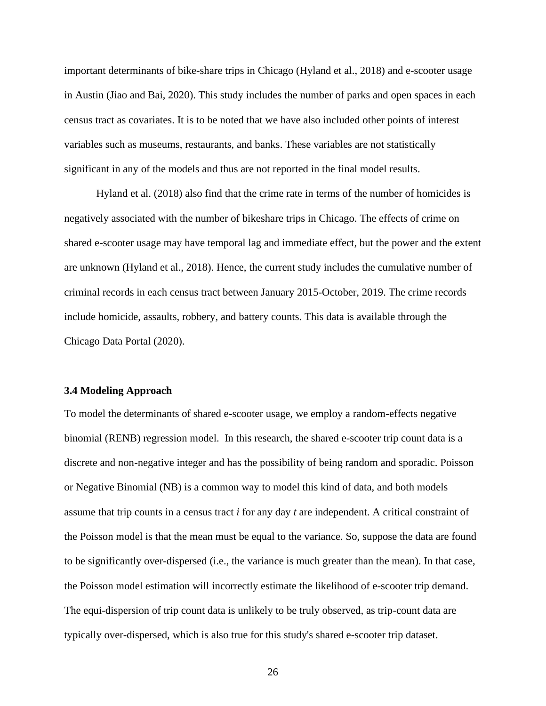important determinants of bike-share trips in Chicago (Hyland et al., 2018) and e-scooter usage in Austin (Jiao and Bai, 2020). This study includes the number of parks and open spaces in each census tract as covariates. It is to be noted that we have also included other points of interest variables such as museums, restaurants, and banks. These variables are not statistically significant in any of the models and thus are not reported in the final model results.

Hyland et al. (2018) also find that the crime rate in terms of the number of homicides is negatively associated with the number of bikeshare trips in Chicago. The effects of crime on shared e-scooter usage may have temporal lag and immediate effect, but the power and the extent are unknown (Hyland et al., 2018). Hence, the current study includes the cumulative number of criminal records in each census tract between January 2015-October, 2019. The crime records include homicide, assaults, robbery, and battery counts. This data is available through the Chicago Data Portal (2020).

#### <span id="page-34-0"></span>**3.4 Modeling Approach**

To model the determinants of shared e-scooter usage, we employ a random-effects negative binomial (RENB) regression model. In this research, the shared e-scooter trip count data is a discrete and non-negative integer and has the possibility of being random and sporadic. Poisson or Negative Binomial (NB) is a common way to model this kind of data, and both models assume that trip counts in a census tract *i* for any day *t* are independent. A critical constraint of the Poisson model is that the mean must be equal to the variance. So, suppose the data are found to be significantly over-dispersed (i.e., the variance is much greater than the mean). In that case, the Poisson model estimation will incorrectly estimate the likelihood of e-scooter trip demand. The equi-dispersion of trip count data is unlikely to be truly observed, as trip-count data are typically over-dispersed, which is also true for this study's shared e-scooter trip dataset.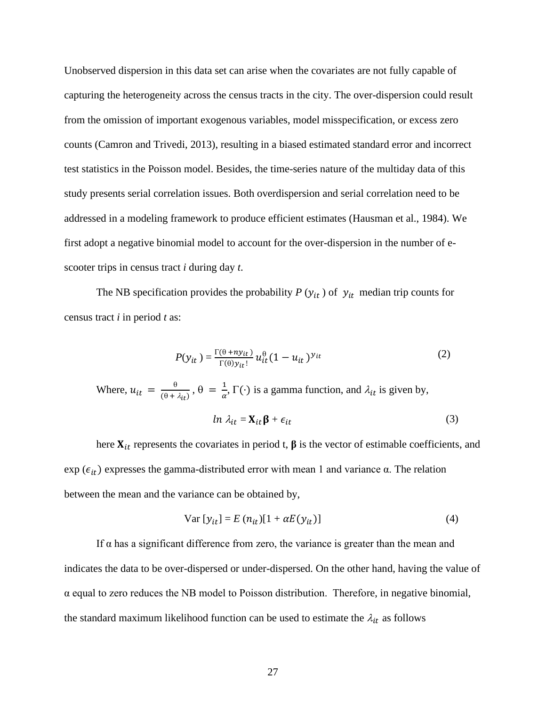Unobserved dispersion in this data set can arise when the covariates are not fully capable of capturing the heterogeneity across the census tracts in the city. The over-dispersion could result from the omission of important exogenous variables, model misspecification, or excess zero counts (Camron and Trivedi, 2013), resulting in a biased estimated standard error and incorrect test statistics in the Poisson model. Besides, the time-series nature of the multiday data of this study presents serial correlation issues. Both overdispersion and serial correlation need to be addressed in a modeling framework to produce efficient estimates (Hausman et al., 1984). We first adopt a negative binomial model to account for the over-dispersion in the number of escooter trips in census tract *i* during day *t*.

The NB specification provides the probability  $P(y_{it})$  of  $y_{it}$  median trip counts for census tract *i* in period *t* as:

$$
P(y_{it}) = \frac{\Gamma(\theta + n y_{it})}{\Gamma(\theta) y_{it}!} u_{it}^{\theta} (1 - u_{it})^{y_{it}}
$$
(2)

Where, 
$$
u_{it} = \frac{\theta}{(\theta + \lambda_{it})}
$$
,  $\theta = \frac{1}{\alpha}$ ,  $\Gamma(\cdot)$  is a gamma function, and  $\lambda_{it}$  is given by,  
\n
$$
ln \lambda_{it} = \mathbf{X}_{it} \boldsymbol{\beta} + \epsilon_{it}
$$
\n(3)

here  $X_{it}$  represents the covariates in period t,  $\beta$  is the vector of estimable coefficients, and exp ( $\epsilon_{it}$ ) expresses the gamma-distributed error with mean 1 and variance  $\alpha$ . The relation between the mean and the variance can be obtained by,

$$
Var [y_{it}] = E (n_{it})[1 + \alpha E (y_{it})]
$$
\n(4)

If  $α$  has a significant difference from zero, the variance is greater than the mean and indicates the data to be over-dispersed or under-dispersed. On the other hand, having the value of  $\alpha$  equal to zero reduces the NB model to Poisson distribution. Therefore, in negative binomial, the standard maximum likelihood function can be used to estimate the  $\lambda_{it}$  as follows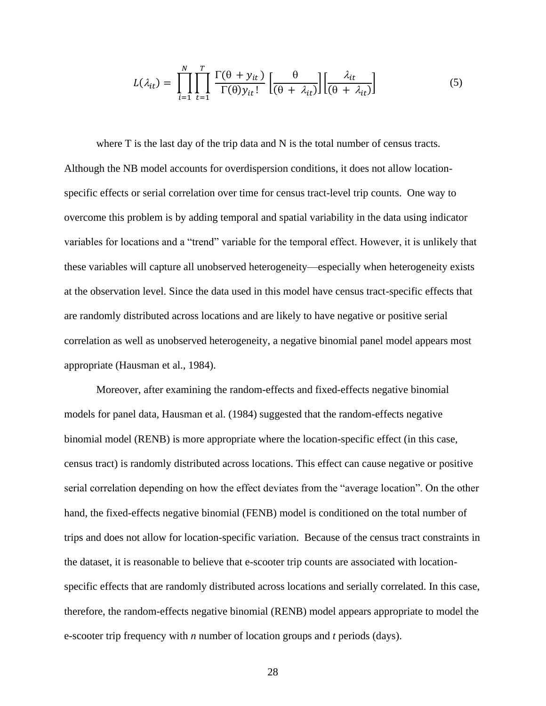$$
L(\lambda_{it}) = \prod_{i=1}^{N} \prod_{t=1}^{T} \frac{\Gamma(\theta + y_{it})}{\Gamma(\theta) y_{it}!} \left[ \frac{\theta}{(\theta + \lambda_{it})} \right] \left[ \frac{\lambda_{it}}{(\theta + \lambda_{it})} \right]
$$
(5)

where T is the last day of the trip data and N is the total number of census tracts. Although the NB model accounts for overdispersion conditions, it does not allow locationspecific effects or serial correlation over time for census tract-level trip counts. One way to overcome this problem is by adding temporal and spatial variability in the data using indicator variables for locations and a "trend" variable for the temporal effect. However, it is unlikely that these variables will capture all unobserved heterogeneity—especially when heterogeneity exists at the observation level. Since the data used in this model have census tract-specific effects that are randomly distributed across locations and are likely to have negative or positive serial correlation as well as unobserved heterogeneity, a negative binomial panel model appears most appropriate (Hausman et al., 1984).

Moreover, after examining the random-effects and fixed-effects negative binomial models for panel data, Hausman et al. (1984) suggested that the random-effects negative binomial model (RENB) is more appropriate where the location-specific effect (in this case, census tract) is randomly distributed across locations. This effect can cause negative or positive serial correlation depending on how the effect deviates from the "average location". On the other hand, the fixed-effects negative binomial (FENB) model is conditioned on the total number of trips and does not allow for location-specific variation. Because of the census tract constraints in the dataset, it is reasonable to believe that e-scooter trip counts are associated with locationspecific effects that are randomly distributed across locations and serially correlated. In this case, therefore, the random-effects negative binomial (RENB) model appears appropriate to model the e-scooter trip frequency with *n* number of location groups and *t* periods (days).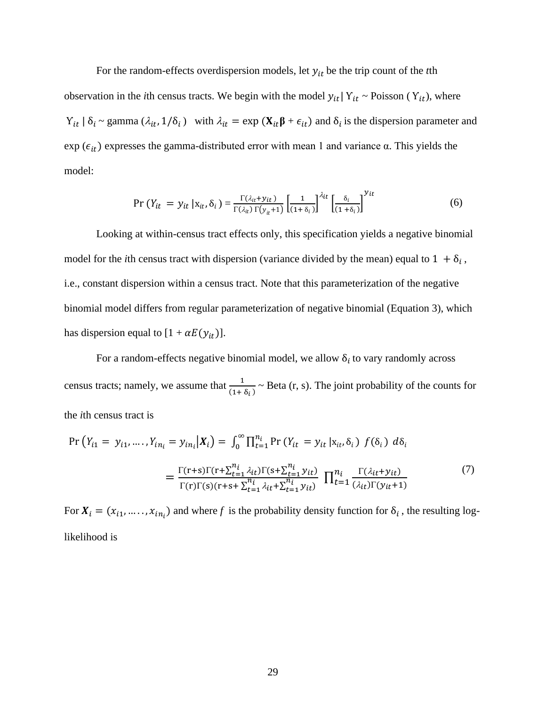For the random-effects overdispersion models, let  $y_{it}$  be the trip count of the *t*th observation in the *i*th census tracts. We begin with the model  $y_{it} | Y_{it} \sim \text{Poisson } (Y_{it})$ , where  $Y_{it} | \delta_i \sim \text{gamma} (\lambda_{it}, 1/\delta_i)$  with  $\lambda_{it} = \exp(\mathbf{X}_{it} \boldsymbol{\beta} + \epsilon_{it})$  and  $\delta_i$  is the dispersion parameter and exp ( $\epsilon_{it}$ ) expresses the gamma-distributed error with mean 1 and variance  $\alpha$ . This yields the model:

$$
\Pr\left(Y_{it} = y_{it} \mid \mathbf{x}_{it}, \delta_{i}\right) = \frac{\Gamma(\lambda_{it} + y_{it})}{\Gamma(\lambda_{it}) \Gamma(y_{it} + 1)} \left[\frac{1}{(1 + \delta_{i})}\right]^{\lambda_{it}} \left[\frac{\delta_{i}}{(1 + \delta_{i})}\right]^{y_{it}}
$$
(6)

Looking at within-census tract effects only, this specification yields a negative binomial model for the *i*th census tract with dispersion (variance divided by the mean) equal to  $1 + \delta_i$ , i.e., constant dispersion within a census tract. Note that this parameterization of the negative binomial model differs from regular parameterization of negative binomial (Equation 3), which has dispersion equal to  $[1 + \alpha E(y_{it})]$ .

For a random-effects negative binomial model, we allow  $\delta_i$  to vary randomly across census tracts; namely, we assume that  $\frac{1}{(1+\delta_i)}$   $\sim$  Beta (r, s). The joint probability of the counts for the *i*th census tract is

$$
\Pr\left(Y_{i1} = y_{i1}, \dots, Y_{in_i} = y_{in_i} | \mathbf{X}_i\right) = \int_0^\infty \prod_{t=1}^{n_i} \Pr\left(Y_{it} = y_{it} | \mathbf{x}_{it}, \delta_i\right) f(\delta_i) d\delta_i
$$
\n
$$
= \frac{\Gamma(r+s)\Gamma(r+\sum_{t=1}^{n_i} \lambda_{it})\Gamma(s+\sum_{t=1}^{n_i} y_{it})}{\Gamma(r)\Gamma(s)(r+s+\sum_{t=1}^{n_i} \lambda_{it} + \sum_{t=1}^{n_i} y_{it})} \prod_{t=1}^{n_i} \frac{\Gamma(\lambda_{it} + y_{it})}{(\lambda_{it})\Gamma(y_{it} + 1)}
$$
\n(7)

For  $X_i = (x_{i1}, \dots, x_{in_i})$  and where f is the probability density function for  $\delta_i$ , the resulting loglikelihood is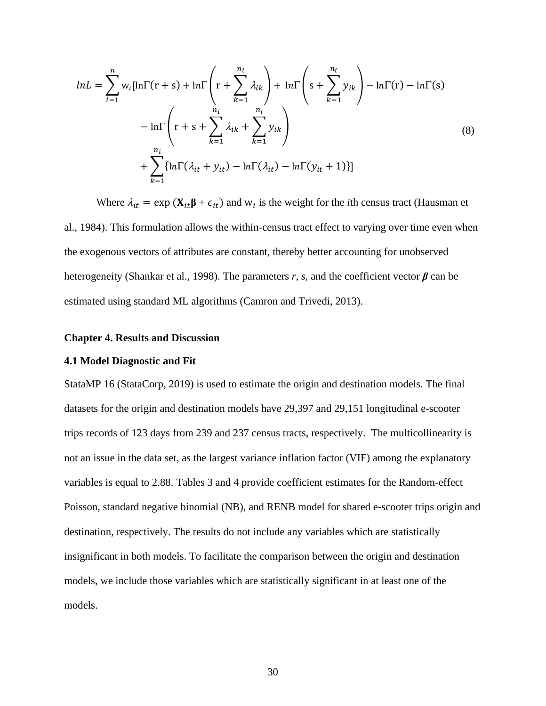$$
lnL = \sum_{i=1}^{n} w_i [ln\Gamma(r+s) + ln\Gamma\left(r + \sum_{k=1}^{n_i} \lambda_{ik}\right) + ln\Gamma\left(s + \sum_{k=1}^{n_i} y_{ik}\right) - ln\Gamma(r) - ln\Gamma(s)
$$
  

$$
- ln\Gamma\left(r + s + \sum_{k=1}^{n_i} \lambda_{ik} + \sum_{k=1}^{n_i} y_{ik}\right)
$$
  

$$
+ \sum_{k=1}^{n_i} \{ln\Gamma(\lambda_{it} + y_{it}) - ln\Gamma(\lambda_{it}) - ln\Gamma(y_{it} + 1)\}\}
$$
(8)

Where  $\lambda_{it} = \exp(\mathbf{X}_{it} \mathbf{\beta} + \epsilon_{it})$  and  $w_i$  is the weight for the *i*th census tract (Hausman et al., 1984). This formulation allows the within-census tract effect to varying over time even when the exogenous vectors of attributes are constant, thereby better accounting for unobserved heterogeneity (Shankar et al., 1998). The parameters *r*, *s*, and the coefficient vector *β* can be estimated using standard ML algorithms (Camron and Trivedi, 2013).

# <span id="page-38-0"></span>**Chapter 4. Results and Discussion**

#### <span id="page-38-1"></span>**4.1 Model Diagnostic and Fit**

StataMP 16 (StataCorp, 2019) is used to estimate the origin and destination models. The final datasets for the origin and destination models have 29,397 and 29,151 longitudinal e-scooter trips records of 123 days from 239 and 237 census tracts, respectively. The multicollinearity is not an issue in the data set, as the largest variance inflation factor (VIF) among the explanatory variables is equal to 2.88. Tables 3 and 4 provide coefficient estimates for the Random-effect Poisson, standard negative binomial (NB), and RENB model for shared e-scooter trips origin and destination, respectively. The results do not include any variables which are statistically insignificant in both models. To facilitate the comparison between the origin and destination models, we include those variables which are statistically significant in at least one of the models.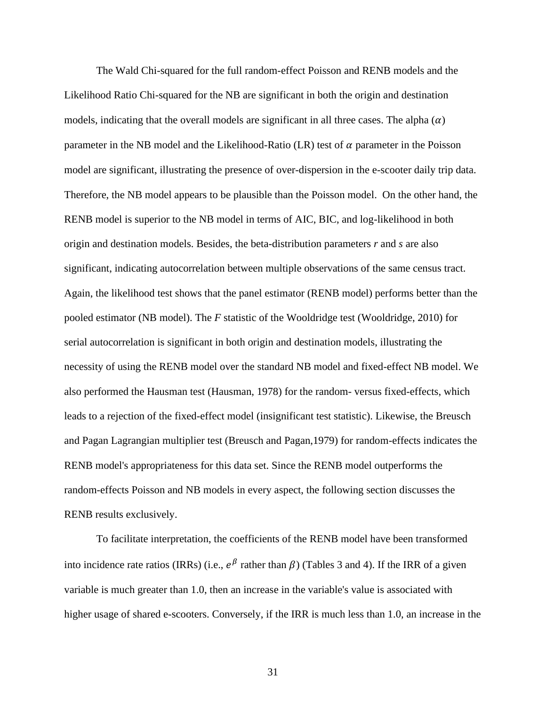The Wald Chi-squared for the full random-effect Poisson and RENB models and the Likelihood Ratio Chi-squared for the NB are significant in both the origin and destination models, indicating that the overall models are significant in all three cases. The alpha  $(\alpha)$ parameter in the NB model and the Likelihood-Ratio (LR) test of  $\alpha$  parameter in the Poisson model are significant, illustrating the presence of over-dispersion in the e-scooter daily trip data. Therefore, the NB model appears to be plausible than the Poisson model. On the other hand, the RENB model is superior to the NB model in terms of AIC, BIC, and log-likelihood in both origin and destination models. Besides, the beta-distribution parameters *r* and *s* are also significant, indicating autocorrelation between multiple observations of the same census tract. Again, the likelihood test shows that the panel estimator (RENB model) performs better than the pooled estimator (NB model). The *F* statistic of the Wooldridge test (Wooldridge, 2010) for serial autocorrelation is significant in both origin and destination models, illustrating the necessity of using the RENB model over the standard NB model and fixed-effect NB model. We also performed the Hausman test (Hausman, 1978) for the random- versus fixed-effects, which leads to a rejection of the fixed-effect model (insignificant test statistic). Likewise, the Breusch and Pagan Lagrangian multiplier test (Breusch and Pagan,1979) for random-effects indicates the RENB model's appropriateness for this data set. Since the RENB model outperforms the random-effects Poisson and NB models in every aspect, the following section discusses the RENB results exclusively.

To facilitate interpretation, the coefficients of the RENB model have been transformed into incidence rate ratios (IRRs) (i.e.,  $e^{\beta}$  rather than  $\beta$ ) (Tables 3 and 4). If the IRR of a given variable is much greater than 1.0, then an increase in the variable's value is associated with higher usage of shared e-scooters. Conversely, if the IRR is much less than 1.0, an increase in the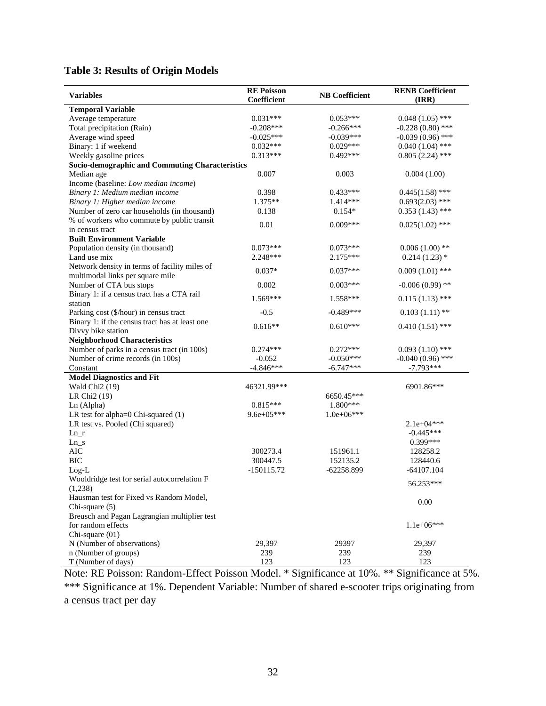# <span id="page-40-0"></span>**Table 3: Results of Origin Models**

| <b>Variables</b>                                      | <b>RE</b> Poisson | <b>NB</b> Coefficient | <b>RENB Coefficient</b> |
|-------------------------------------------------------|-------------------|-----------------------|-------------------------|
|                                                       | Coefficient       |                       | (IRR)                   |
| <b>Temporal Variable</b>                              | $0.031***$        | $0.053***$            | $0.048(1.05)$ ***       |
| Average temperature                                   | $-0.208***$       | $-0.266***$           | $-0.228(0.80)$ ***      |
| Total precipitation (Rain)                            |                   |                       | $-0.039(0.96)$ ***      |
| Average wind speed                                    | $-0.025***$       | $-0.039***$           |                         |
| Binary: 1 if weekend                                  | $0.032***$        | $0.029***$            | $0.040(1.04)$ ***       |
| Weekly gasoline prices                                | $0.313***$        | $0.492***$            | $0.805(2.24)$ ***       |
| Socio-demographic and Commuting Characteristics       |                   |                       |                         |
| Median age                                            | 0.007             | 0.003                 | 0.004(1.00)             |
| Income (baseline: Low median income)                  |                   |                       |                         |
| Binary 1: Medium median income                        | 0.398             | $0.433***$            | $0.445(1.58)$ ***       |
| Binary 1: Higher median income                        | 1.375**           | 1.414***              | $0.693(2.03)$ ***       |
| Number of zero car households (in thousand)           | 0.138             | $0.154*$              | $0.353(1.43)$ ***       |
| % of workers who commute by public transit            | 0.01              | $0.009***$            | $0.025(1.02)$ ***       |
| in census tract                                       |                   |                       |                         |
| <b>Built Environment Variable</b>                     |                   |                       |                         |
| Population density (in thousand)                      | $0.073***$        | $0.073***$            | $0.006(1.00)$ **        |
| Land use mix                                          | 2.248***          | $2.175***$            | $0.214(1.23)$ *         |
| Network density in terms of facility miles of         | $0.037*$          | $0.037***$            | $0.009(1.01)$ ***       |
| multimodal links per square mile                      |                   |                       |                         |
| Number of CTA bus stops                               | 0.002             | $0.003***$            | $-0.006(0.99)$ **       |
| Binary 1: if a census tract has a CTA rail<br>station | 1.569***          | 1.558***              | $0.115(1.13)$ ***       |
| Parking cost (\$/hour) in census tract                | $-0.5$            | $-0.489***$           | $0.103(1.11)**$         |
| Binary 1: if the census tract has at least one        |                   |                       |                         |
| Divvy bike station                                    | $0.616**$         | $0.610***$            | $0.410(1.51)$ ***       |
| <b>Neighborhood Characteristics</b>                   |                   |                       |                         |
| Number of parks in a census tract (in 100s)           | $0.274***$        | $0.272***$            | $0.093(1.10)$ ***       |
| Number of crime records (in 100s)                     | $-0.052$          | $-0.050***$           | $-0.040(0.96)$ ***      |
| Constant                                              | $-4.846***$       | $-6.747***$           | $-7.793***$             |
| <b>Model Diagnostics and Fit</b>                      |                   |                       |                         |
| Wald Chi <sub>2</sub> (19)                            | 46321.99***       |                       | 6901.86***              |
| LR Chi <sub>2</sub> (19)                              |                   | 6650.45***            |                         |
| Ln (Alpha)                                            | $0.815***$        | 1.800***              |                         |
| LR test for alpha=0 Chi-squared (1)                   | $9.6e+05***$      | $1.0e+06***$          |                         |
| LR test vs. Pooled (Chi squared)                      |                   |                       | $2.1e+04***$            |
| $Ln_r$                                                |                   |                       | $-0.445***$             |
| $Ln_s$                                                |                   |                       | $0.399***$              |
| AIC                                                   | 300273.4          | 151961.1              | 128258.2                |
| <b>BIC</b>                                            | 300447.5          | 152135.2              | 128440.6                |
| $Log-L$                                               | $-150115.72$      | $-62258.899$          | $-64107.104$            |
| Wooldridge test for serial autocorrelation F          |                   |                       |                         |
| (1,238)                                               |                   |                       | 56.253***               |
| Hausman test for Fixed vs Random Model,               |                   |                       |                         |
| Chi-square (5)                                        |                   |                       | 0.00                    |
| Breusch and Pagan Lagrangian multiplier test          |                   |                       |                         |
| for random effects                                    |                   |                       | $1.1e+06***$            |
| Chi-square (01)                                       |                   |                       |                         |
| N (Number of observations)                            | 29,397            | 29397                 | 29,397                  |
| n (Number of groups)                                  | 239               | 239                   | 239                     |
| T (Number of days)                                    | 123               | 123                   | 123                     |

Note: RE Poisson: Random-Effect Poisson Model. \* Significance at 10%. \*\* Significance at 5%. \*\*\* Significance at 1%. Dependent Variable: Number of shared e-scooter trips originating from a census tract per day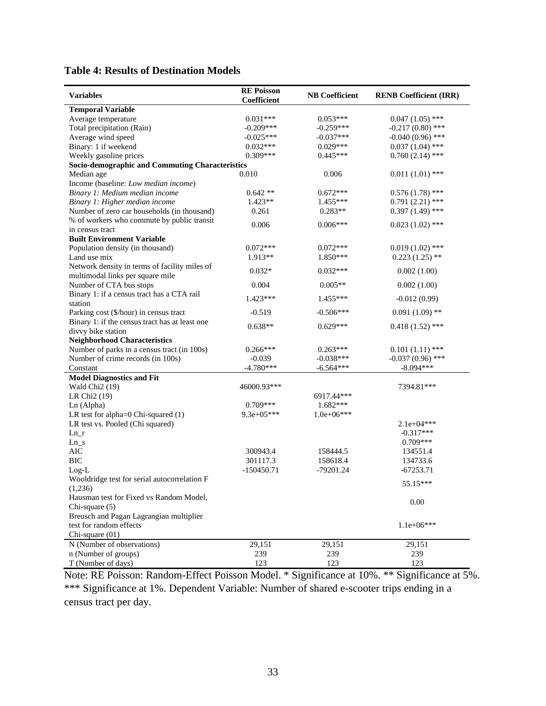<span id="page-41-0"></span>

| <b>Table 4: Results of Destination Models</b> |
|-----------------------------------------------|
|-----------------------------------------------|

| Coefficient<br><b>Temporal Variable</b><br>$0.047(1.05)$ ***<br>$0.031***$<br>$0.053***$<br>Average temperature<br>$-0.217(0.80)$ ***<br>Total precipitation (Rain)<br>$-0.209***$<br>$-0.259***$<br>$-0.025***$<br>$-0.040(0.96)$ ***<br>Average wind speed<br>$-0.037***$<br>$0.032***$<br>$0.037(1.04)$ ***<br>Binary: 1 if weekend<br>$0.029***$<br>$0.309***$<br>$0.445***$<br>$0.760(2.14)$ ***<br>Weekly gasoline prices<br><b>Socio-demographic and Commuting Characteristics</b><br>0.010<br>0.006<br>$0.011(1.01)$ ***<br>Median age<br>Income (baseline: Low median income)<br>Binary 1: Medium median income<br>$0.642**$<br>$0.672***$<br>$0.576(1.78)$ ***<br>1.423**<br>Binary 1: Higher median income<br>1.455***<br>$0.791(2.21)$ ***<br>Number of zero car households (in thousand)<br>0.261<br>$0.283**$<br>$0.397(1.49)$ ***<br>% of workers who commute by public transit<br>0.006<br>$0.006***$<br>$0.023(1.02)$ ***<br>in census tract<br><b>Built Environment Variable</b><br>Population density (in thousand)<br>$0.072***$<br>$0.072***$<br>$0.019(1.02)$ ***<br>1.913**<br>$0.223(1.25)$ **<br>Land use mix<br>$1.850***$<br>Network density in terms of facility miles of<br>$0.032*$<br>$0.032***$<br>0.002(1.00)<br>multimodal links per square mile<br>Number of CTA bus stops<br>0.004<br>$0.005**$<br>0.002(1.00)<br>Binary 1: if a census tract has a CTA rail<br>$1.423***$<br>1.455***<br>$-0.012(0.99)$<br>station<br>$0.091(1.09)$ **<br>$-0.519$<br>$-0.506***$<br>Parking cost (\$/hour) in census tract<br>Binary 1: if the census tract has at least one<br>$0.638**$<br>$0.629***$<br>$0.418(1.52)$ ***<br>divvy bike station<br><b>Neighborhood Characteristics</b><br>Number of parks in a census tract (in 100s)<br>$0.266***$<br>$0.263***$<br>$0.101(1.11)$ ***<br>$-0.037(0.96)$ ***<br>Number of crime records (in 100s)<br>$-0.039$<br>$-0.038***$<br>$-4.780***$<br>$-8.094***$<br>$-6.564***$<br>Constant<br><b>Model Diagnostics and Fit</b><br>Wald Chi <sub>2</sub> (19)<br>46000.93***<br>7394.81***<br>LR Chi <sub>2</sub> (19)<br>6917.44***<br>$0.709***$<br>Ln (Alpha)<br>$1.682***$<br>LR test for alpha=0 Chi-squared (1)<br>$9.3e+05***$<br>$1.0e+06***$<br>LR test vs. Pooled (Chi squared)<br>$2.1e+04***$<br>$-0.317***$<br>$Ln_r$<br>$0.709***$<br>$Ln_s$<br><b>AIC</b><br>300943.4<br>158444.5<br>134551.4<br><b>BIC</b><br>301117.3<br>158618.4<br>134733.6<br>$-150450.71$<br>$-79201.24$<br>$-67253.71$<br>$Log-L$<br>Wooldridge test for serial autocorrelation F<br>55.15***<br>(1,236)<br>Hausman test for Fixed vs Random Model,<br>0.00<br>Chi-square (5)<br>Breusch and Pagan Lagrangian multiplier<br>test for random effects<br>$1.1e+06***$<br>Chi-square (01)<br>29,151<br>N (Number of observations)<br>29,151<br>29,151<br>239<br>n (Number of groups)<br>239<br>239 | <b>Variables</b>   | <b>RE Poisson</b> | <b>NB</b> Coefficient | <b>RENB Coefficient (IRR)</b> |
|----------------------------------------------------------------------------------------------------------------------------------------------------------------------------------------------------------------------------------------------------------------------------------------------------------------------------------------------------------------------------------------------------------------------------------------------------------------------------------------------------------------------------------------------------------------------------------------------------------------------------------------------------------------------------------------------------------------------------------------------------------------------------------------------------------------------------------------------------------------------------------------------------------------------------------------------------------------------------------------------------------------------------------------------------------------------------------------------------------------------------------------------------------------------------------------------------------------------------------------------------------------------------------------------------------------------------------------------------------------------------------------------------------------------------------------------------------------------------------------------------------------------------------------------------------------------------------------------------------------------------------------------------------------------------------------------------------------------------------------------------------------------------------------------------------------------------------------------------------------------------------------------------------------------------------------------------------------------------------------------------------------------------------------------------------------------------------------------------------------------------------------------------------------------------------------------------------------------------------------------------------------------------------------------------------------------------------------------------------------------------------------------------------------------------------------------------------------------------------------------------------------------------------------------------------------------------------------------------------------------------------------------------------------------------------------------------------------------------------------------------------------------------------------------------------------------------------------------------------|--------------------|-------------------|-----------------------|-------------------------------|
|                                                                                                                                                                                                                                                                                                                                                                                                                                                                                                                                                                                                                                                                                                                                                                                                                                                                                                                                                                                                                                                                                                                                                                                                                                                                                                                                                                                                                                                                                                                                                                                                                                                                                                                                                                                                                                                                                                                                                                                                                                                                                                                                                                                                                                                                                                                                                                                                                                                                                                                                                                                                                                                                                                                                                                                                                                                          |                    |                   |                       |                               |
|                                                                                                                                                                                                                                                                                                                                                                                                                                                                                                                                                                                                                                                                                                                                                                                                                                                                                                                                                                                                                                                                                                                                                                                                                                                                                                                                                                                                                                                                                                                                                                                                                                                                                                                                                                                                                                                                                                                                                                                                                                                                                                                                                                                                                                                                                                                                                                                                                                                                                                                                                                                                                                                                                                                                                                                                                                                          |                    |                   |                       |                               |
|                                                                                                                                                                                                                                                                                                                                                                                                                                                                                                                                                                                                                                                                                                                                                                                                                                                                                                                                                                                                                                                                                                                                                                                                                                                                                                                                                                                                                                                                                                                                                                                                                                                                                                                                                                                                                                                                                                                                                                                                                                                                                                                                                                                                                                                                                                                                                                                                                                                                                                                                                                                                                                                                                                                                                                                                                                                          |                    |                   |                       |                               |
|                                                                                                                                                                                                                                                                                                                                                                                                                                                                                                                                                                                                                                                                                                                                                                                                                                                                                                                                                                                                                                                                                                                                                                                                                                                                                                                                                                                                                                                                                                                                                                                                                                                                                                                                                                                                                                                                                                                                                                                                                                                                                                                                                                                                                                                                                                                                                                                                                                                                                                                                                                                                                                                                                                                                                                                                                                                          |                    |                   |                       |                               |
|                                                                                                                                                                                                                                                                                                                                                                                                                                                                                                                                                                                                                                                                                                                                                                                                                                                                                                                                                                                                                                                                                                                                                                                                                                                                                                                                                                                                                                                                                                                                                                                                                                                                                                                                                                                                                                                                                                                                                                                                                                                                                                                                                                                                                                                                                                                                                                                                                                                                                                                                                                                                                                                                                                                                                                                                                                                          |                    |                   |                       |                               |
|                                                                                                                                                                                                                                                                                                                                                                                                                                                                                                                                                                                                                                                                                                                                                                                                                                                                                                                                                                                                                                                                                                                                                                                                                                                                                                                                                                                                                                                                                                                                                                                                                                                                                                                                                                                                                                                                                                                                                                                                                                                                                                                                                                                                                                                                                                                                                                                                                                                                                                                                                                                                                                                                                                                                                                                                                                                          |                    |                   |                       |                               |
|                                                                                                                                                                                                                                                                                                                                                                                                                                                                                                                                                                                                                                                                                                                                                                                                                                                                                                                                                                                                                                                                                                                                                                                                                                                                                                                                                                                                                                                                                                                                                                                                                                                                                                                                                                                                                                                                                                                                                                                                                                                                                                                                                                                                                                                                                                                                                                                                                                                                                                                                                                                                                                                                                                                                                                                                                                                          |                    |                   |                       |                               |
|                                                                                                                                                                                                                                                                                                                                                                                                                                                                                                                                                                                                                                                                                                                                                                                                                                                                                                                                                                                                                                                                                                                                                                                                                                                                                                                                                                                                                                                                                                                                                                                                                                                                                                                                                                                                                                                                                                                                                                                                                                                                                                                                                                                                                                                                                                                                                                                                                                                                                                                                                                                                                                                                                                                                                                                                                                                          |                    |                   |                       |                               |
|                                                                                                                                                                                                                                                                                                                                                                                                                                                                                                                                                                                                                                                                                                                                                                                                                                                                                                                                                                                                                                                                                                                                                                                                                                                                                                                                                                                                                                                                                                                                                                                                                                                                                                                                                                                                                                                                                                                                                                                                                                                                                                                                                                                                                                                                                                                                                                                                                                                                                                                                                                                                                                                                                                                                                                                                                                                          |                    |                   |                       |                               |
|                                                                                                                                                                                                                                                                                                                                                                                                                                                                                                                                                                                                                                                                                                                                                                                                                                                                                                                                                                                                                                                                                                                                                                                                                                                                                                                                                                                                                                                                                                                                                                                                                                                                                                                                                                                                                                                                                                                                                                                                                                                                                                                                                                                                                                                                                                                                                                                                                                                                                                                                                                                                                                                                                                                                                                                                                                                          |                    |                   |                       |                               |
|                                                                                                                                                                                                                                                                                                                                                                                                                                                                                                                                                                                                                                                                                                                                                                                                                                                                                                                                                                                                                                                                                                                                                                                                                                                                                                                                                                                                                                                                                                                                                                                                                                                                                                                                                                                                                                                                                                                                                                                                                                                                                                                                                                                                                                                                                                                                                                                                                                                                                                                                                                                                                                                                                                                                                                                                                                                          |                    |                   |                       |                               |
|                                                                                                                                                                                                                                                                                                                                                                                                                                                                                                                                                                                                                                                                                                                                                                                                                                                                                                                                                                                                                                                                                                                                                                                                                                                                                                                                                                                                                                                                                                                                                                                                                                                                                                                                                                                                                                                                                                                                                                                                                                                                                                                                                                                                                                                                                                                                                                                                                                                                                                                                                                                                                                                                                                                                                                                                                                                          |                    |                   |                       |                               |
|                                                                                                                                                                                                                                                                                                                                                                                                                                                                                                                                                                                                                                                                                                                                                                                                                                                                                                                                                                                                                                                                                                                                                                                                                                                                                                                                                                                                                                                                                                                                                                                                                                                                                                                                                                                                                                                                                                                                                                                                                                                                                                                                                                                                                                                                                                                                                                                                                                                                                                                                                                                                                                                                                                                                                                                                                                                          |                    |                   |                       |                               |
|                                                                                                                                                                                                                                                                                                                                                                                                                                                                                                                                                                                                                                                                                                                                                                                                                                                                                                                                                                                                                                                                                                                                                                                                                                                                                                                                                                                                                                                                                                                                                                                                                                                                                                                                                                                                                                                                                                                                                                                                                                                                                                                                                                                                                                                                                                                                                                                                                                                                                                                                                                                                                                                                                                                                                                                                                                                          |                    |                   |                       |                               |
|                                                                                                                                                                                                                                                                                                                                                                                                                                                                                                                                                                                                                                                                                                                                                                                                                                                                                                                                                                                                                                                                                                                                                                                                                                                                                                                                                                                                                                                                                                                                                                                                                                                                                                                                                                                                                                                                                                                                                                                                                                                                                                                                                                                                                                                                                                                                                                                                                                                                                                                                                                                                                                                                                                                                                                                                                                                          |                    |                   |                       |                               |
|                                                                                                                                                                                                                                                                                                                                                                                                                                                                                                                                                                                                                                                                                                                                                                                                                                                                                                                                                                                                                                                                                                                                                                                                                                                                                                                                                                                                                                                                                                                                                                                                                                                                                                                                                                                                                                                                                                                                                                                                                                                                                                                                                                                                                                                                                                                                                                                                                                                                                                                                                                                                                                                                                                                                                                                                                                                          |                    |                   |                       |                               |
|                                                                                                                                                                                                                                                                                                                                                                                                                                                                                                                                                                                                                                                                                                                                                                                                                                                                                                                                                                                                                                                                                                                                                                                                                                                                                                                                                                                                                                                                                                                                                                                                                                                                                                                                                                                                                                                                                                                                                                                                                                                                                                                                                                                                                                                                                                                                                                                                                                                                                                                                                                                                                                                                                                                                                                                                                                                          |                    |                   |                       |                               |
|                                                                                                                                                                                                                                                                                                                                                                                                                                                                                                                                                                                                                                                                                                                                                                                                                                                                                                                                                                                                                                                                                                                                                                                                                                                                                                                                                                                                                                                                                                                                                                                                                                                                                                                                                                                                                                                                                                                                                                                                                                                                                                                                                                                                                                                                                                                                                                                                                                                                                                                                                                                                                                                                                                                                                                                                                                                          |                    |                   |                       |                               |
|                                                                                                                                                                                                                                                                                                                                                                                                                                                                                                                                                                                                                                                                                                                                                                                                                                                                                                                                                                                                                                                                                                                                                                                                                                                                                                                                                                                                                                                                                                                                                                                                                                                                                                                                                                                                                                                                                                                                                                                                                                                                                                                                                                                                                                                                                                                                                                                                                                                                                                                                                                                                                                                                                                                                                                                                                                                          |                    |                   |                       |                               |
|                                                                                                                                                                                                                                                                                                                                                                                                                                                                                                                                                                                                                                                                                                                                                                                                                                                                                                                                                                                                                                                                                                                                                                                                                                                                                                                                                                                                                                                                                                                                                                                                                                                                                                                                                                                                                                                                                                                                                                                                                                                                                                                                                                                                                                                                                                                                                                                                                                                                                                                                                                                                                                                                                                                                                                                                                                                          |                    |                   |                       |                               |
|                                                                                                                                                                                                                                                                                                                                                                                                                                                                                                                                                                                                                                                                                                                                                                                                                                                                                                                                                                                                                                                                                                                                                                                                                                                                                                                                                                                                                                                                                                                                                                                                                                                                                                                                                                                                                                                                                                                                                                                                                                                                                                                                                                                                                                                                                                                                                                                                                                                                                                                                                                                                                                                                                                                                                                                                                                                          |                    |                   |                       |                               |
|                                                                                                                                                                                                                                                                                                                                                                                                                                                                                                                                                                                                                                                                                                                                                                                                                                                                                                                                                                                                                                                                                                                                                                                                                                                                                                                                                                                                                                                                                                                                                                                                                                                                                                                                                                                                                                                                                                                                                                                                                                                                                                                                                                                                                                                                                                                                                                                                                                                                                                                                                                                                                                                                                                                                                                                                                                                          |                    |                   |                       |                               |
|                                                                                                                                                                                                                                                                                                                                                                                                                                                                                                                                                                                                                                                                                                                                                                                                                                                                                                                                                                                                                                                                                                                                                                                                                                                                                                                                                                                                                                                                                                                                                                                                                                                                                                                                                                                                                                                                                                                                                                                                                                                                                                                                                                                                                                                                                                                                                                                                                                                                                                                                                                                                                                                                                                                                                                                                                                                          |                    |                   |                       |                               |
|                                                                                                                                                                                                                                                                                                                                                                                                                                                                                                                                                                                                                                                                                                                                                                                                                                                                                                                                                                                                                                                                                                                                                                                                                                                                                                                                                                                                                                                                                                                                                                                                                                                                                                                                                                                                                                                                                                                                                                                                                                                                                                                                                                                                                                                                                                                                                                                                                                                                                                                                                                                                                                                                                                                                                                                                                                                          |                    |                   |                       |                               |
|                                                                                                                                                                                                                                                                                                                                                                                                                                                                                                                                                                                                                                                                                                                                                                                                                                                                                                                                                                                                                                                                                                                                                                                                                                                                                                                                                                                                                                                                                                                                                                                                                                                                                                                                                                                                                                                                                                                                                                                                                                                                                                                                                                                                                                                                                                                                                                                                                                                                                                                                                                                                                                                                                                                                                                                                                                                          |                    |                   |                       |                               |
|                                                                                                                                                                                                                                                                                                                                                                                                                                                                                                                                                                                                                                                                                                                                                                                                                                                                                                                                                                                                                                                                                                                                                                                                                                                                                                                                                                                                                                                                                                                                                                                                                                                                                                                                                                                                                                                                                                                                                                                                                                                                                                                                                                                                                                                                                                                                                                                                                                                                                                                                                                                                                                                                                                                                                                                                                                                          |                    |                   |                       |                               |
|                                                                                                                                                                                                                                                                                                                                                                                                                                                                                                                                                                                                                                                                                                                                                                                                                                                                                                                                                                                                                                                                                                                                                                                                                                                                                                                                                                                                                                                                                                                                                                                                                                                                                                                                                                                                                                                                                                                                                                                                                                                                                                                                                                                                                                                                                                                                                                                                                                                                                                                                                                                                                                                                                                                                                                                                                                                          |                    |                   |                       |                               |
|                                                                                                                                                                                                                                                                                                                                                                                                                                                                                                                                                                                                                                                                                                                                                                                                                                                                                                                                                                                                                                                                                                                                                                                                                                                                                                                                                                                                                                                                                                                                                                                                                                                                                                                                                                                                                                                                                                                                                                                                                                                                                                                                                                                                                                                                                                                                                                                                                                                                                                                                                                                                                                                                                                                                                                                                                                                          |                    |                   |                       |                               |
|                                                                                                                                                                                                                                                                                                                                                                                                                                                                                                                                                                                                                                                                                                                                                                                                                                                                                                                                                                                                                                                                                                                                                                                                                                                                                                                                                                                                                                                                                                                                                                                                                                                                                                                                                                                                                                                                                                                                                                                                                                                                                                                                                                                                                                                                                                                                                                                                                                                                                                                                                                                                                                                                                                                                                                                                                                                          |                    |                   |                       |                               |
|                                                                                                                                                                                                                                                                                                                                                                                                                                                                                                                                                                                                                                                                                                                                                                                                                                                                                                                                                                                                                                                                                                                                                                                                                                                                                                                                                                                                                                                                                                                                                                                                                                                                                                                                                                                                                                                                                                                                                                                                                                                                                                                                                                                                                                                                                                                                                                                                                                                                                                                                                                                                                                                                                                                                                                                                                                                          |                    |                   |                       |                               |
|                                                                                                                                                                                                                                                                                                                                                                                                                                                                                                                                                                                                                                                                                                                                                                                                                                                                                                                                                                                                                                                                                                                                                                                                                                                                                                                                                                                                                                                                                                                                                                                                                                                                                                                                                                                                                                                                                                                                                                                                                                                                                                                                                                                                                                                                                                                                                                                                                                                                                                                                                                                                                                                                                                                                                                                                                                                          |                    |                   |                       |                               |
|                                                                                                                                                                                                                                                                                                                                                                                                                                                                                                                                                                                                                                                                                                                                                                                                                                                                                                                                                                                                                                                                                                                                                                                                                                                                                                                                                                                                                                                                                                                                                                                                                                                                                                                                                                                                                                                                                                                                                                                                                                                                                                                                                                                                                                                                                                                                                                                                                                                                                                                                                                                                                                                                                                                                                                                                                                                          |                    |                   |                       |                               |
|                                                                                                                                                                                                                                                                                                                                                                                                                                                                                                                                                                                                                                                                                                                                                                                                                                                                                                                                                                                                                                                                                                                                                                                                                                                                                                                                                                                                                                                                                                                                                                                                                                                                                                                                                                                                                                                                                                                                                                                                                                                                                                                                                                                                                                                                                                                                                                                                                                                                                                                                                                                                                                                                                                                                                                                                                                                          |                    |                   |                       |                               |
|                                                                                                                                                                                                                                                                                                                                                                                                                                                                                                                                                                                                                                                                                                                                                                                                                                                                                                                                                                                                                                                                                                                                                                                                                                                                                                                                                                                                                                                                                                                                                                                                                                                                                                                                                                                                                                                                                                                                                                                                                                                                                                                                                                                                                                                                                                                                                                                                                                                                                                                                                                                                                                                                                                                                                                                                                                                          |                    |                   |                       |                               |
|                                                                                                                                                                                                                                                                                                                                                                                                                                                                                                                                                                                                                                                                                                                                                                                                                                                                                                                                                                                                                                                                                                                                                                                                                                                                                                                                                                                                                                                                                                                                                                                                                                                                                                                                                                                                                                                                                                                                                                                                                                                                                                                                                                                                                                                                                                                                                                                                                                                                                                                                                                                                                                                                                                                                                                                                                                                          |                    |                   |                       |                               |
|                                                                                                                                                                                                                                                                                                                                                                                                                                                                                                                                                                                                                                                                                                                                                                                                                                                                                                                                                                                                                                                                                                                                                                                                                                                                                                                                                                                                                                                                                                                                                                                                                                                                                                                                                                                                                                                                                                                                                                                                                                                                                                                                                                                                                                                                                                                                                                                                                                                                                                                                                                                                                                                                                                                                                                                                                                                          |                    |                   |                       |                               |
|                                                                                                                                                                                                                                                                                                                                                                                                                                                                                                                                                                                                                                                                                                                                                                                                                                                                                                                                                                                                                                                                                                                                                                                                                                                                                                                                                                                                                                                                                                                                                                                                                                                                                                                                                                                                                                                                                                                                                                                                                                                                                                                                                                                                                                                                                                                                                                                                                                                                                                                                                                                                                                                                                                                                                                                                                                                          |                    |                   |                       |                               |
|                                                                                                                                                                                                                                                                                                                                                                                                                                                                                                                                                                                                                                                                                                                                                                                                                                                                                                                                                                                                                                                                                                                                                                                                                                                                                                                                                                                                                                                                                                                                                                                                                                                                                                                                                                                                                                                                                                                                                                                                                                                                                                                                                                                                                                                                                                                                                                                                                                                                                                                                                                                                                                                                                                                                                                                                                                                          |                    |                   |                       |                               |
|                                                                                                                                                                                                                                                                                                                                                                                                                                                                                                                                                                                                                                                                                                                                                                                                                                                                                                                                                                                                                                                                                                                                                                                                                                                                                                                                                                                                                                                                                                                                                                                                                                                                                                                                                                                                                                                                                                                                                                                                                                                                                                                                                                                                                                                                                                                                                                                                                                                                                                                                                                                                                                                                                                                                                                                                                                                          |                    |                   |                       |                               |
|                                                                                                                                                                                                                                                                                                                                                                                                                                                                                                                                                                                                                                                                                                                                                                                                                                                                                                                                                                                                                                                                                                                                                                                                                                                                                                                                                                                                                                                                                                                                                                                                                                                                                                                                                                                                                                                                                                                                                                                                                                                                                                                                                                                                                                                                                                                                                                                                                                                                                                                                                                                                                                                                                                                                                                                                                                                          |                    |                   |                       |                               |
|                                                                                                                                                                                                                                                                                                                                                                                                                                                                                                                                                                                                                                                                                                                                                                                                                                                                                                                                                                                                                                                                                                                                                                                                                                                                                                                                                                                                                                                                                                                                                                                                                                                                                                                                                                                                                                                                                                                                                                                                                                                                                                                                                                                                                                                                                                                                                                                                                                                                                                                                                                                                                                                                                                                                                                                                                                                          |                    |                   |                       |                               |
|                                                                                                                                                                                                                                                                                                                                                                                                                                                                                                                                                                                                                                                                                                                                                                                                                                                                                                                                                                                                                                                                                                                                                                                                                                                                                                                                                                                                                                                                                                                                                                                                                                                                                                                                                                                                                                                                                                                                                                                                                                                                                                                                                                                                                                                                                                                                                                                                                                                                                                                                                                                                                                                                                                                                                                                                                                                          |                    |                   |                       |                               |
|                                                                                                                                                                                                                                                                                                                                                                                                                                                                                                                                                                                                                                                                                                                                                                                                                                                                                                                                                                                                                                                                                                                                                                                                                                                                                                                                                                                                                                                                                                                                                                                                                                                                                                                                                                                                                                                                                                                                                                                                                                                                                                                                                                                                                                                                                                                                                                                                                                                                                                                                                                                                                                                                                                                                                                                                                                                          |                    |                   |                       |                               |
|                                                                                                                                                                                                                                                                                                                                                                                                                                                                                                                                                                                                                                                                                                                                                                                                                                                                                                                                                                                                                                                                                                                                                                                                                                                                                                                                                                                                                                                                                                                                                                                                                                                                                                                                                                                                                                                                                                                                                                                                                                                                                                                                                                                                                                                                                                                                                                                                                                                                                                                                                                                                                                                                                                                                                                                                                                                          |                    |                   |                       |                               |
|                                                                                                                                                                                                                                                                                                                                                                                                                                                                                                                                                                                                                                                                                                                                                                                                                                                                                                                                                                                                                                                                                                                                                                                                                                                                                                                                                                                                                                                                                                                                                                                                                                                                                                                                                                                                                                                                                                                                                                                                                                                                                                                                                                                                                                                                                                                                                                                                                                                                                                                                                                                                                                                                                                                                                                                                                                                          |                    |                   |                       |                               |
|                                                                                                                                                                                                                                                                                                                                                                                                                                                                                                                                                                                                                                                                                                                                                                                                                                                                                                                                                                                                                                                                                                                                                                                                                                                                                                                                                                                                                                                                                                                                                                                                                                                                                                                                                                                                                                                                                                                                                                                                                                                                                                                                                                                                                                                                                                                                                                                                                                                                                                                                                                                                                                                                                                                                                                                                                                                          |                    |                   |                       |                               |
|                                                                                                                                                                                                                                                                                                                                                                                                                                                                                                                                                                                                                                                                                                                                                                                                                                                                                                                                                                                                                                                                                                                                                                                                                                                                                                                                                                                                                                                                                                                                                                                                                                                                                                                                                                                                                                                                                                                                                                                                                                                                                                                                                                                                                                                                                                                                                                                                                                                                                                                                                                                                                                                                                                                                                                                                                                                          |                    |                   |                       |                               |
|                                                                                                                                                                                                                                                                                                                                                                                                                                                                                                                                                                                                                                                                                                                                                                                                                                                                                                                                                                                                                                                                                                                                                                                                                                                                                                                                                                                                                                                                                                                                                                                                                                                                                                                                                                                                                                                                                                                                                                                                                                                                                                                                                                                                                                                                                                                                                                                                                                                                                                                                                                                                                                                                                                                                                                                                                                                          |                    |                   |                       |                               |
|                                                                                                                                                                                                                                                                                                                                                                                                                                                                                                                                                                                                                                                                                                                                                                                                                                                                                                                                                                                                                                                                                                                                                                                                                                                                                                                                                                                                                                                                                                                                                                                                                                                                                                                                                                                                                                                                                                                                                                                                                                                                                                                                                                                                                                                                                                                                                                                                                                                                                                                                                                                                                                                                                                                                                                                                                                                          |                    |                   |                       |                               |
|                                                                                                                                                                                                                                                                                                                                                                                                                                                                                                                                                                                                                                                                                                                                                                                                                                                                                                                                                                                                                                                                                                                                                                                                                                                                                                                                                                                                                                                                                                                                                                                                                                                                                                                                                                                                                                                                                                                                                                                                                                                                                                                                                                                                                                                                                                                                                                                                                                                                                                                                                                                                                                                                                                                                                                                                                                                          |                    |                   |                       |                               |
|                                                                                                                                                                                                                                                                                                                                                                                                                                                                                                                                                                                                                                                                                                                                                                                                                                                                                                                                                                                                                                                                                                                                                                                                                                                                                                                                                                                                                                                                                                                                                                                                                                                                                                                                                                                                                                                                                                                                                                                                                                                                                                                                                                                                                                                                                                                                                                                                                                                                                                                                                                                                                                                                                                                                                                                                                                                          | T (Number of days) | 123               | 123                   | 123                           |

Note: RE Poisson: Random-Effect Poisson Model. \* Significance at 10%. \*\* Significance at 5%. \*\*\* Significance at 1%. Dependent Variable: Number of shared e-scooter trips ending in a census tract per day.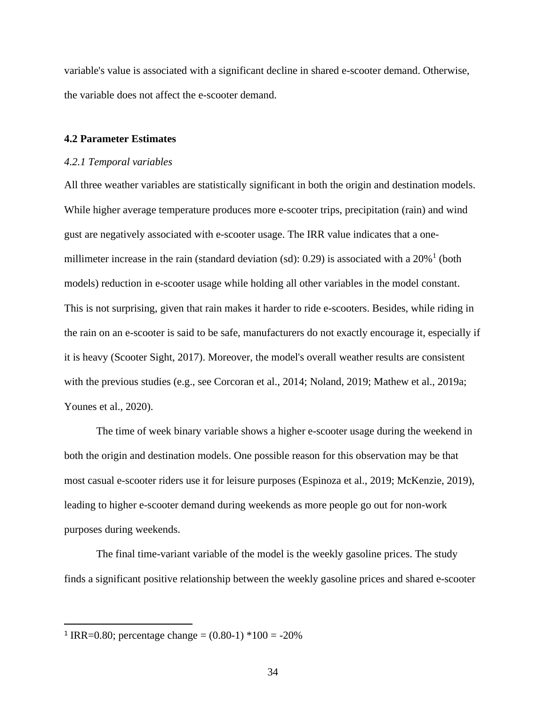variable's value is associated with a significant decline in shared e-scooter demand. Otherwise, the variable does not affect the e-scooter demand.

# <span id="page-42-0"></span>**4.2 Parameter Estimates**

#### <span id="page-42-1"></span>*4.2.1 Temporal variables*

All three weather variables are statistically significant in both the origin and destination models. While higher average temperature produces more e-scooter trips, precipitation (rain) and wind gust are negatively associated with e-scooter usage. The IRR value indicates that a onemillimeter increase in the rain (standard deviation  $(sd)$ : 0.29) is associated with a 20%<sup>1</sup> (both models) reduction in e-scooter usage while holding all other variables in the model constant. This is not surprising, given that rain makes it harder to ride e-scooters. Besides, while riding in the rain on an e-scooter is said to be safe, manufacturers do not exactly encourage it, especially if it is heavy (Scooter Sight, 2017). Moreover, the model's overall weather results are consistent with the previous studies (e.g., see Corcoran et al., 2014; Noland, 2019; Mathew et al., 2019a; Younes et al., 2020).

The time of week binary variable shows a higher e-scooter usage during the weekend in both the origin and destination models. One possible reason for this observation may be that most casual e-scooter riders use it for leisure purposes (Espinoza et al., 2019; McKenzie, 2019), leading to higher e-scooter demand during weekends as more people go out for non-work purposes during weekends.

The final time-variant variable of the model is the weekly gasoline prices. The study finds a significant positive relationship between the weekly gasoline prices and shared e-scooter

<sup>&</sup>lt;sup>1</sup> IRR=0.80; percentage change =  $(0.80-1)$  \*100 = -20%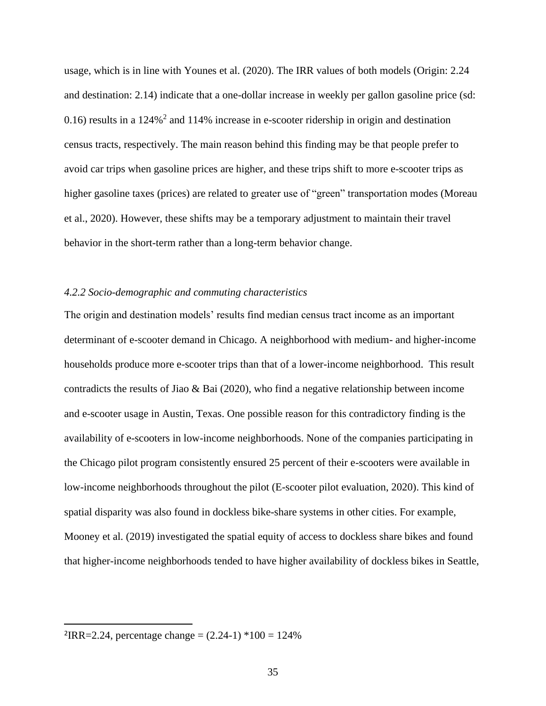usage, which is in line with Younes et al. (2020). The IRR values of both models (Origin: 2.24 and destination: 2.14) indicate that a one-dollar increase in weekly per gallon gasoline price (sd: 0.16) results in a  $124\%$ <sup>2</sup> and  $114\%$  increase in e-scooter ridership in origin and destination census tracts, respectively. The main reason behind this finding may be that people prefer to avoid car trips when gasoline prices are higher, and these trips shift to more e-scooter trips as higher gasoline taxes (prices) are related to greater use of "green" transportation modes (Moreau et al., 2020). However, these shifts may be a temporary adjustment to maintain their travel behavior in the short-term rather than a long-term behavior change.

# <span id="page-43-0"></span>*4.2.2 Socio-demographic and commuting characteristics*

The origin and destination models' results find median census tract income as an important determinant of e-scooter demand in Chicago. A neighborhood with medium- and higher-income households produce more e-scooter trips than that of a lower-income neighborhood. This result contradicts the results of Jiao & Bai (2020), who find a negative relationship between income and e-scooter usage in Austin, Texas. One possible reason for this contradictory finding is the availability of e-scooters in low-income neighborhoods. None of the companies participating in the Chicago pilot program consistently ensured 25 percent of their e-scooters were available in low-income neighborhoods throughout the pilot (E-scooter pilot evaluation, 2020). This kind of spatial disparity was also found in dockless bike-share systems in other cities. For example, Mooney et al. (2019) investigated the spatial equity of access to dockless share bikes and found that higher-income neighborhoods tended to have higher availability of dockless bikes in Seattle,

 ${}^{2}$ IRR=2.24, percentage change = (2.24-1)  $*100 = 124\%$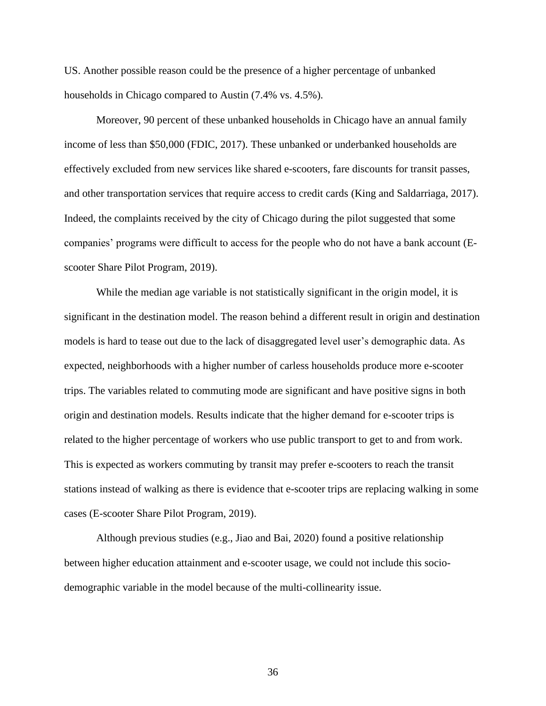US. Another possible reason could be the presence of a higher percentage of unbanked households in Chicago compared to Austin (7.4% vs. 4.5%).

Moreover, 90 percent of these unbanked households in Chicago have an annual family income of less than \$50,000 (FDIC, 2017). These unbanked or underbanked households are effectively excluded from new services like shared e-scooters, fare discounts for transit passes, and other transportation services that require access to credit cards (King and Saldarriaga, 2017). Indeed, the complaints received by the city of Chicago during the pilot suggested that some companies' programs were difficult to access for the people who do not have a bank account (Escooter Share Pilot Program, 2019).

While the median age variable is not statistically significant in the origin model, it is significant in the destination model. The reason behind a different result in origin and destination models is hard to tease out due to the lack of disaggregated level user's demographic data. As expected, neighborhoods with a higher number of carless households produce more e-scooter trips. The variables related to commuting mode are significant and have positive signs in both origin and destination models. Results indicate that the higher demand for e-scooter trips is related to the higher percentage of workers who use public transport to get to and from work. This is expected as workers commuting by transit may prefer e-scooters to reach the transit stations instead of walking as there is evidence that e-scooter trips are replacing walking in some cases (E-scooter Share Pilot Program, 2019).

Although previous studies (e.g., Jiao and Bai, 2020) found a positive relationship between higher education attainment and e-scooter usage, we could not include this sociodemographic variable in the model because of the multi-collinearity issue.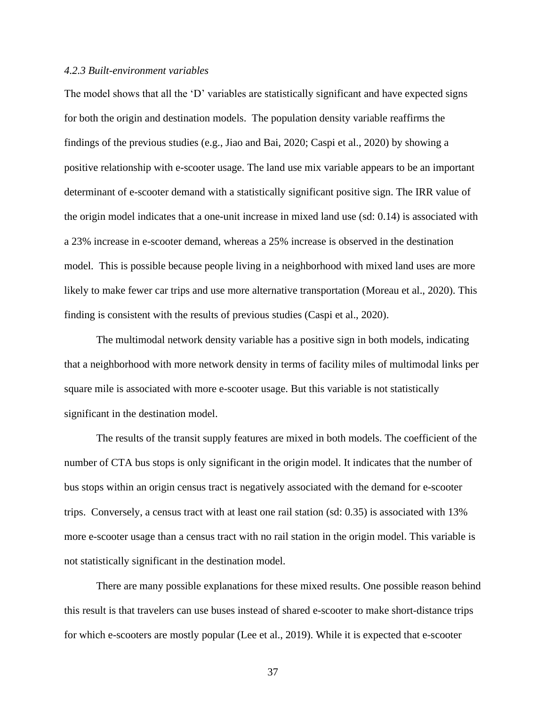# <span id="page-45-0"></span>*4.2.3 Built-environment variables*

The model shows that all the 'D' variables are statistically significant and have expected signs for both the origin and destination models. The population density variable reaffirms the findings of the previous studies (e.g., Jiao and Bai, 2020; Caspi et al., 2020) by showing a positive relationship with e-scooter usage. The land use mix variable appears to be an important determinant of e-scooter demand with a statistically significant positive sign. The IRR value of the origin model indicates that a one-unit increase in mixed land use (sd: 0.14) is associated with a 23% increase in e-scooter demand, whereas a 25% increase is observed in the destination model. This is possible because people living in a neighborhood with mixed land uses are more likely to make fewer car trips and use more alternative transportation (Moreau et al., 2020). This finding is consistent with the results of previous studies (Caspi et al., 2020).

The multimodal network density variable has a positive sign in both models, indicating that a neighborhood with more network density in terms of facility miles of multimodal links per square mile is associated with more e-scooter usage. But this variable is not statistically significant in the destination model.

The results of the transit supply features are mixed in both models. The coefficient of the number of CTA bus stops is only significant in the origin model. It indicates that the number of bus stops within an origin census tract is negatively associated with the demand for e-scooter trips. Conversely, a census tract with at least one rail station (sd: 0.35) is associated with 13% more e-scooter usage than a census tract with no rail station in the origin model. This variable is not statistically significant in the destination model.

There are many possible explanations for these mixed results. One possible reason behind this result is that travelers can use buses instead of shared e-scooter to make short-distance trips for which e-scooters are mostly popular (Lee et al., 2019). While it is expected that e-scooter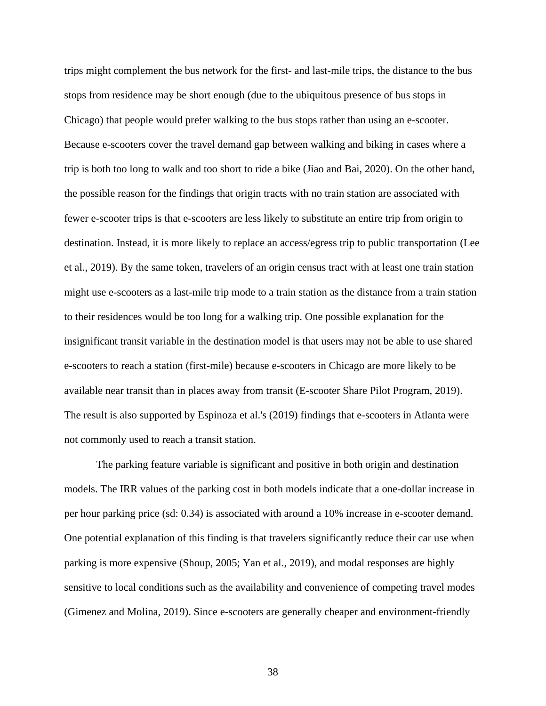trips might complement the bus network for the first- and last-mile trips, the distance to the bus stops from residence may be short enough (due to the ubiquitous presence of bus stops in Chicago) that people would prefer walking to the bus stops rather than using an e-scooter. Because e-scooters cover the travel demand gap between walking and biking in cases where a trip is both too long to walk and too short to ride a bike (Jiao and Bai, 2020). On the other hand, the possible reason for the findings that origin tracts with no train station are associated with fewer e-scooter trips is that e-scooters are less likely to substitute an entire trip from origin to destination. Instead, it is more likely to replace an access/egress trip to public transportation (Lee et al., 2019). By the same token, travelers of an origin census tract with at least one train station might use e-scooters as a last-mile trip mode to a train station as the distance from a train station to their residences would be too long for a walking trip. One possible explanation for the insignificant transit variable in the destination model is that users may not be able to use shared e-scooters to reach a station (first-mile) because e-scooters in Chicago are more likely to be available near transit than in places away from transit (E-scooter Share Pilot Program, 2019). The result is also supported by Espinoza et al.'s (2019) findings that e-scooters in Atlanta were not commonly used to reach a transit station.

The parking feature variable is significant and positive in both origin and destination models. The IRR values of the parking cost in both models indicate that a one-dollar increase in per hour parking price (sd: 0.34) is associated with around a 10% increase in e-scooter demand. One potential explanation of this finding is that travelers significantly reduce their car use when parking is more expensive (Shoup, 2005; Yan et al., 2019), and modal responses are highly sensitive to local conditions such as the availability and convenience of competing travel modes (Gimenez and Molina, 2019). Since e-scooters are generally cheaper and environment-friendly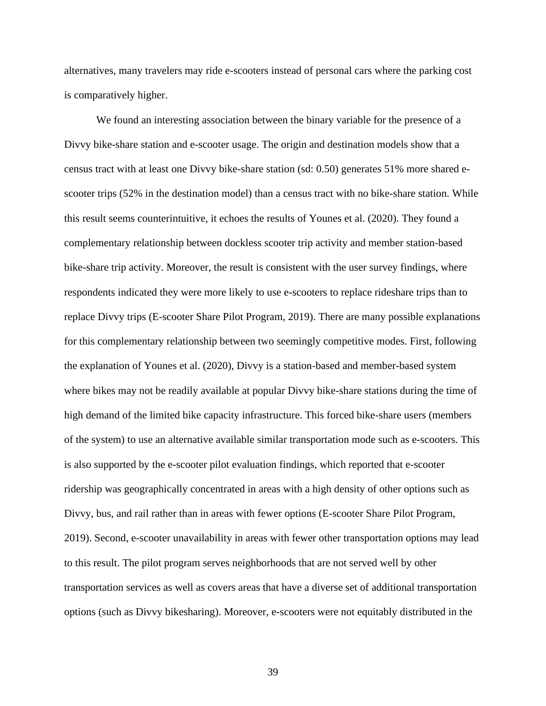alternatives, many travelers may ride e-scooters instead of personal cars where the parking cost is comparatively higher.

We found an interesting association between the binary variable for the presence of a Divvy bike-share station and e-scooter usage. The origin and destination models show that a census tract with at least one Divvy bike-share station (sd: 0.50) generates 51% more shared escooter trips (52% in the destination model) than a census tract with no bike-share station. While this result seems counterintuitive, it echoes the results of Younes et al. (2020). They found a complementary relationship between dockless scooter trip activity and member station-based bike-share trip activity. Moreover, the result is consistent with the user survey findings, where respondents indicated they were more likely to use e-scooters to replace rideshare trips than to replace Divvy trips (E-scooter Share Pilot Program, 2019). There are many possible explanations for this complementary relationship between two seemingly competitive modes. First, following the explanation of Younes et al. (2020), Divvy is a station-based and member-based system where bikes may not be readily available at popular Divvy bike-share stations during the time of high demand of the limited bike capacity infrastructure. This forced bike-share users (members of the system) to use an alternative available similar transportation mode such as e-scooters. This is also supported by the e-scooter pilot evaluation findings, which reported that e-scooter ridership was geographically concentrated in areas with a high density of other options such as Divvy, bus, and rail rather than in areas with fewer options (E-scooter Share Pilot Program, 2019). Second, e-scooter unavailability in areas with fewer other transportation options may lead to this result. The pilot program serves neighborhoods that are not served well by other transportation services as well as covers areas that have a diverse set of additional transportation options (such as Divvy bikesharing). Moreover, e-scooters were not equitably distributed in the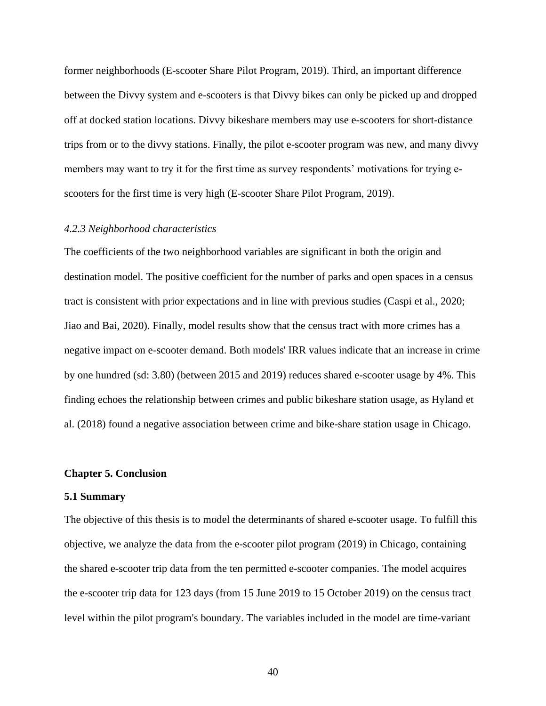former neighborhoods (E-scooter Share Pilot Program, 2019). Third, an important difference between the Divvy system and e-scooters is that Divvy bikes can only be picked up and dropped off at docked station locations. Divvy bikeshare members may use e-scooters for short-distance trips from or to the divvy stations. Finally, the pilot e-scooter program was new, and many divvy members may want to try it for the first time as survey respondents' motivations for trying escooters for the first time is very high (E-scooter Share Pilot Program, 2019).

# <span id="page-48-0"></span>*4.2.3 Neighborhood characteristics*

The coefficients of the two neighborhood variables are significant in both the origin and destination model. The positive coefficient for the number of parks and open spaces in a census tract is consistent with prior expectations and in line with previous studies (Caspi et al., 2020; Jiao and Bai, 2020). Finally, model results show that the census tract with more crimes has a negative impact on e-scooter demand. Both models' IRR values indicate that an increase in crime by one hundred (sd: 3.80) (between 2015 and 2019) reduces shared e-scooter usage by 4%. This finding echoes the relationship between crimes and public bikeshare station usage, as Hyland et al. (2018) found a negative association between crime and bike-share station usage in Chicago.

#### <span id="page-48-1"></span>**Chapter 5. Conclusion**

#### <span id="page-48-2"></span>**5.1 Summary**

The objective of this thesis is to model the determinants of shared e-scooter usage. To fulfill this objective, we analyze the data from the e-scooter pilot program (2019) in Chicago, containing the shared e-scooter trip data from the ten permitted e-scooter companies. The model acquires the e-scooter trip data for 123 days (from 15 June 2019 to 15 October 2019) on the census tract level within the pilot program's boundary. The variables included in the model are time-variant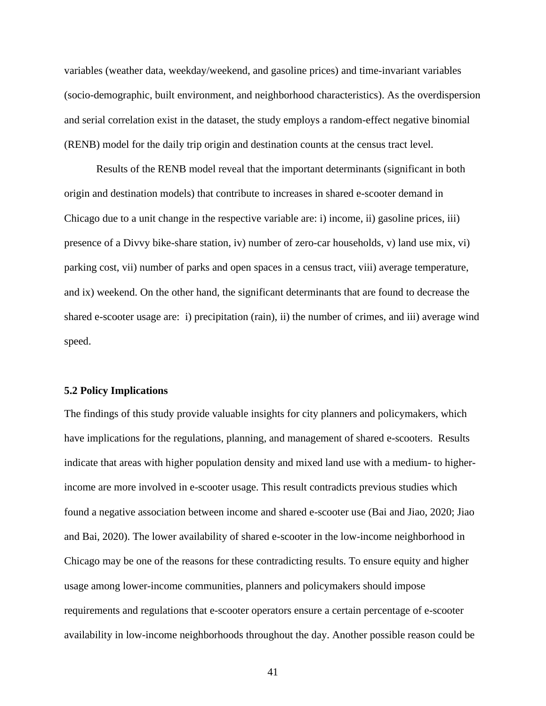variables (weather data, weekday/weekend, and gasoline prices) and time-invariant variables (socio-demographic, built environment, and neighborhood characteristics). As the overdispersion and serial correlation exist in the dataset, the study employs a random-effect negative binomial (RENB) model for the daily trip origin and destination counts at the census tract level.

Results of the RENB model reveal that the important determinants (significant in both origin and destination models) that contribute to increases in shared e-scooter demand in Chicago due to a unit change in the respective variable are: i) income, ii) gasoline prices, iii) presence of a Divvy bike-share station, iv) number of zero-car households, v) land use mix, vi) parking cost, vii) number of parks and open spaces in a census tract, viii) average temperature, and ix) weekend. On the other hand, the significant determinants that are found to decrease the shared e-scooter usage are: i) precipitation (rain), ii) the number of crimes, and iii) average wind speed.

### <span id="page-49-0"></span>**5.2 Policy Implications**

The findings of this study provide valuable insights for city planners and policymakers, which have implications for the regulations, planning, and management of shared e-scooters. Results indicate that areas with higher population density and mixed land use with a medium- to higherincome are more involved in e-scooter usage. This result contradicts previous studies which found a negative association between income and shared e-scooter use (Bai and Jiao, 2020; Jiao and Bai, 2020). The lower availability of shared e-scooter in the low-income neighborhood in Chicago may be one of the reasons for these contradicting results. To ensure equity and higher usage among lower-income communities, planners and policymakers should impose requirements and regulations that e-scooter operators ensure a certain percentage of e-scooter availability in low-income neighborhoods throughout the day. Another possible reason could be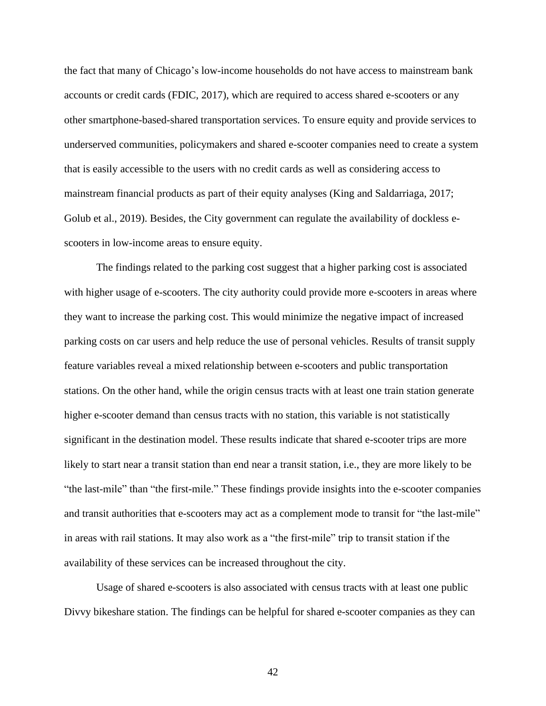the fact that many of Chicago's low-income households do not have access to mainstream bank accounts or credit cards (FDIC, 2017), which are required to access shared e-scooters or any other smartphone-based-shared transportation services. To ensure equity and provide services to underserved communities, policymakers and shared e-scooter companies need to create a system that is easily accessible to the users with no credit cards as well as considering access to mainstream financial products as part of their equity analyses (King and Saldarriaga, 2017; Golub et al., 2019). Besides, the City government can regulate the availability of dockless escooters in low-income areas to ensure equity.

The findings related to the parking cost suggest that a higher parking cost is associated with higher usage of e-scooters. The city authority could provide more e-scooters in areas where they want to increase the parking cost. This would minimize the negative impact of increased parking costs on car users and help reduce the use of personal vehicles. Results of transit supply feature variables reveal a mixed relationship between e-scooters and public transportation stations. On the other hand, while the origin census tracts with at least one train station generate higher e-scooter demand than census tracts with no station, this variable is not statistically significant in the destination model. These results indicate that shared e-scooter trips are more likely to start near a transit station than end near a transit station, i.e., they are more likely to be "the last-mile" than "the first-mile." These findings provide insights into the e-scooter companies and transit authorities that e-scooters may act as a complement mode to transit for "the last-mile" in areas with rail stations. It may also work as a "the first-mile" trip to transit station if the availability of these services can be increased throughout the city.

Usage of shared e-scooters is also associated with census tracts with at least one public Divvy bikeshare station. The findings can be helpful for shared e-scooter companies as they can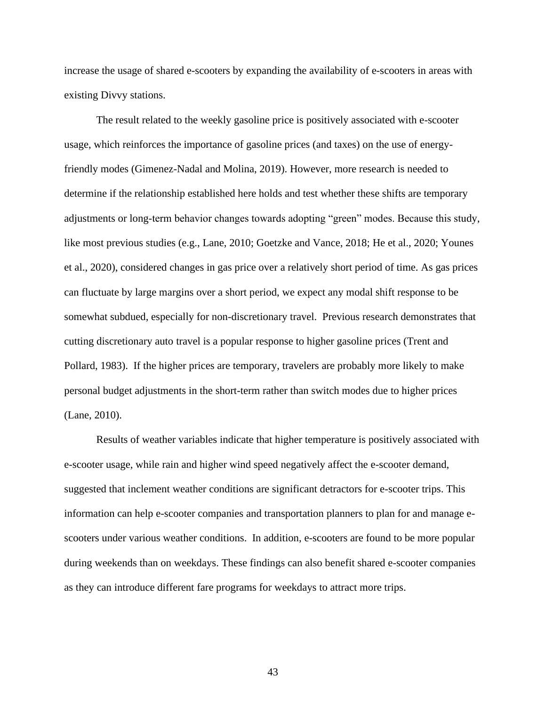increase the usage of shared e-scooters by expanding the availability of e-scooters in areas with existing Divvy stations.

The result related to the weekly gasoline price is positively associated with e-scooter usage, which reinforces the importance of gasoline prices (and taxes) on the use of energyfriendly modes (Gimenez-Nadal and Molina, 2019). However, more research is needed to determine if the relationship established here holds and test whether these shifts are temporary adjustments or long-term behavior changes towards adopting "green" modes. Because this study, like most previous studies (e.g., Lane, 2010; Goetzke and Vance, 2018; He et al., 2020; Younes et al., 2020), considered changes in gas price over a relatively short period of time. As gas prices can fluctuate by large margins over a short period, we expect any modal shift response to be somewhat subdued, especially for non-discretionary travel. Previous research demonstrates that cutting discretionary auto travel is a popular response to higher gasoline prices (Trent and Pollard, 1983). If the higher prices are temporary, travelers are probably more likely to make personal budget adjustments in the short-term rather than switch modes due to higher prices (Lane, 2010).

Results of weather variables indicate that higher temperature is positively associated with e-scooter usage, while rain and higher wind speed negatively affect the e-scooter demand, suggested that inclement weather conditions are significant detractors for e-scooter trips. This information can help e-scooter companies and transportation planners to plan for and manage escooters under various weather conditions. In addition, e-scooters are found to be more popular during weekends than on weekdays. These findings can also benefit shared e-scooter companies as they can introduce different fare programs for weekdays to attract more trips.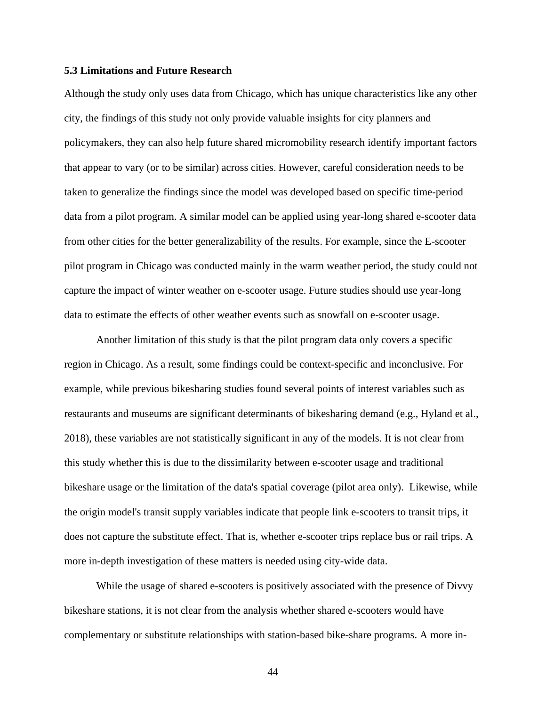### <span id="page-52-0"></span>**5.3 Limitations and Future Research**

Although the study only uses data from Chicago, which has unique characteristics like any other city, the findings of this study not only provide valuable insights for city planners and policymakers, they can also help future shared micromobility research identify important factors that appear to vary (or to be similar) across cities. However, careful consideration needs to be taken to generalize the findings since the model was developed based on specific time-period data from a pilot program. A similar model can be applied using year-long shared e-scooter data from other cities for the better generalizability of the results. For example, since the E-scooter pilot program in Chicago was conducted mainly in the warm weather period, the study could not capture the impact of winter weather on e-scooter usage. Future studies should use year-long data to estimate the effects of other weather events such as snowfall on e-scooter usage.

Another limitation of this study is that the pilot program data only covers a specific region in Chicago. As a result, some findings could be context-specific and inconclusive. For example, while previous bikesharing studies found several points of interest variables such as restaurants and museums are significant determinants of bikesharing demand (e.g., Hyland et al., 2018), these variables are not statistically significant in any of the models. It is not clear from this study whether this is due to the dissimilarity between e-scooter usage and traditional bikeshare usage or the limitation of the data's spatial coverage (pilot area only). Likewise, while the origin model's transit supply variables indicate that people link e-scooters to transit trips, it does not capture the substitute effect. That is, whether e-scooter trips replace bus or rail trips. A more in-depth investigation of these matters is needed using city-wide data.

While the usage of shared e-scooters is positively associated with the presence of Divvy bikeshare stations, it is not clear from the analysis whether shared e-scooters would have complementary or substitute relationships with station-based bike-share programs. A more in-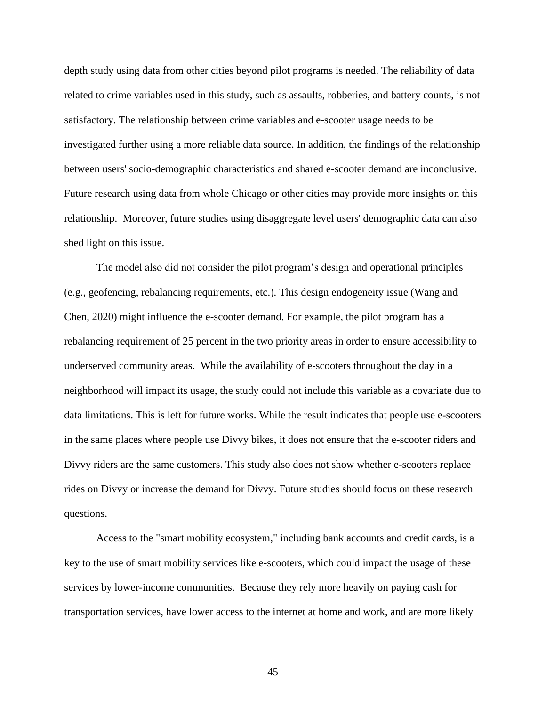depth study using data from other cities beyond pilot programs is needed. The reliability of data related to crime variables used in this study, such as assaults, robberies, and battery counts, is not satisfactory. The relationship between crime variables and e-scooter usage needs to be investigated further using a more reliable data source. In addition, the findings of the relationship between users' socio-demographic characteristics and shared e-scooter demand are inconclusive. Future research using data from whole Chicago or other cities may provide more insights on this relationship. Moreover, future studies using disaggregate level users' demographic data can also shed light on this issue.

The model also did not consider the pilot program's design and operational principles (e.g., geofencing, rebalancing requirements, etc.). This design endogeneity issue (Wang and Chen, 2020) might influence the e-scooter demand. For example, the pilot program has a rebalancing requirement of 25 percent in the two priority areas in order to ensure accessibility to underserved community areas. While the availability of e-scooters throughout the day in a neighborhood will impact its usage, the study could not include this variable as a covariate due to data limitations. This is left for future works. While the result indicates that people use e-scooters in the same places where people use Divvy bikes, it does not ensure that the e-scooter riders and Divvy riders are the same customers. This study also does not show whether e-scooters replace rides on Divvy or increase the demand for Divvy. Future studies should focus on these research questions.

Access to the "smart mobility ecosystem," including bank accounts and credit cards, is a key to the use of smart mobility services like e-scooters, which could impact the usage of these services by lower-income communities. Because they rely more heavily on paying cash for transportation services, have lower access to the internet at home and work, and are more likely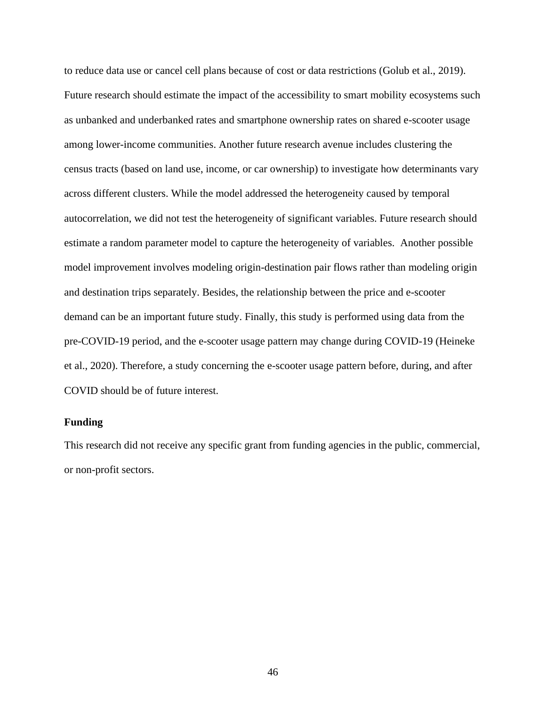to reduce data use or cancel cell plans because of cost or data restrictions (Golub et al., 2019). Future research should estimate the impact of the accessibility to smart mobility ecosystems such as unbanked and underbanked rates and smartphone ownership rates on shared e-scooter usage among lower-income communities. Another future research avenue includes clustering the census tracts (based on land use, income, or car ownership) to investigate how determinants vary across different clusters. While the model addressed the heterogeneity caused by temporal autocorrelation, we did not test the heterogeneity of significant variables. Future research should estimate a random parameter model to capture the heterogeneity of variables. Another possible model improvement involves modeling origin-destination pair flows rather than modeling origin and destination trips separately. Besides, the relationship between the price and e-scooter demand can be an important future study. Finally, this study is performed using data from the pre-COVID-19 period, and the e-scooter usage pattern may change during COVID-19 (Heineke et al., 2020). Therefore, a study concerning the e-scooter usage pattern before, during, and after COVID should be of future interest.

# <span id="page-54-0"></span>**Funding**

This research did not receive any specific grant from funding agencies in the public, commercial, or non-profit sectors.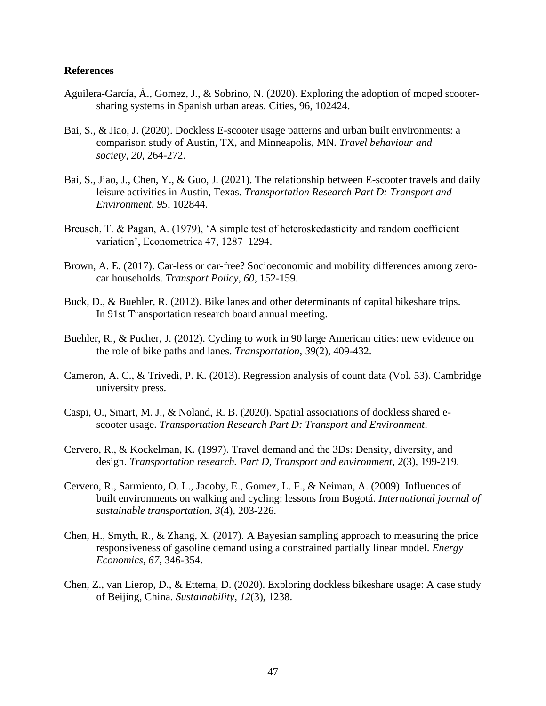# <span id="page-55-0"></span>**References**

- Aguilera-García, Á., Gomez, J., & Sobrino, N. (2020). Exploring the adoption of moped scootersharing systems in Spanish urban areas. Cities, 96, 102424.
- Bai, S., & Jiao, J. (2020). Dockless E-scooter usage patterns and urban built environments: a comparison study of Austin, TX, and Minneapolis, MN. *Travel behaviour and society*, *20*, 264-272.
- Bai, S., Jiao, J., Chen, Y., & Guo, J. (2021). The relationship between E-scooter travels and daily leisure activities in Austin, Texas. *Transportation Research Part D: Transport and Environment*, *95*, 102844.
- Breusch, T. & Pagan, A. (1979), 'A simple test of heteroskedasticity and random coefficient variation', Econometrica 47, 1287–1294.
- Brown, A. E. (2017). Car-less or car-free? Socioeconomic and mobility differences among zerocar households. *Transport Policy*, *60*, 152-159.
- Buck, D., & Buehler, R. (2012). Bike lanes and other determinants of capital bikeshare trips. In 91st Transportation research board annual meeting.
- Buehler, R., & Pucher, J. (2012). Cycling to work in 90 large American cities: new evidence on the role of bike paths and lanes. *Transportation*, *39*(2), 409-432.
- Cameron, A. C., & Trivedi, P. K. (2013). Regression analysis of count data (Vol. 53). Cambridge university press.
- Caspi, O., Smart, M. J., & Noland, R. B. (2020). Spatial associations of dockless shared escooter usage. *Transportation Research Part D: Transport and Environment*.
- Cervero, R., & Kockelman, K. (1997). Travel demand and the 3Ds: Density, diversity, and design. *Transportation research. Part D, Transport and environment*, *2*(3), 199-219.
- Cervero, R., Sarmiento, O. L., Jacoby, E., Gomez, L. F., & Neiman, A. (2009). Influences of built environments on walking and cycling: lessons from Bogotá. *International journal of sustainable transportation*, *3*(4), 203-226.
- Chen, H., Smyth, R., & Zhang, X. (2017). A Bayesian sampling approach to measuring the price responsiveness of gasoline demand using a constrained partially linear model. *Energy Economics*, *67*, 346-354.
- Chen, Z., van Lierop, D., & Ettema, D. (2020). Exploring dockless bikeshare usage: A case study of Beijing, China. *Sustainability*, *12*(3), 1238.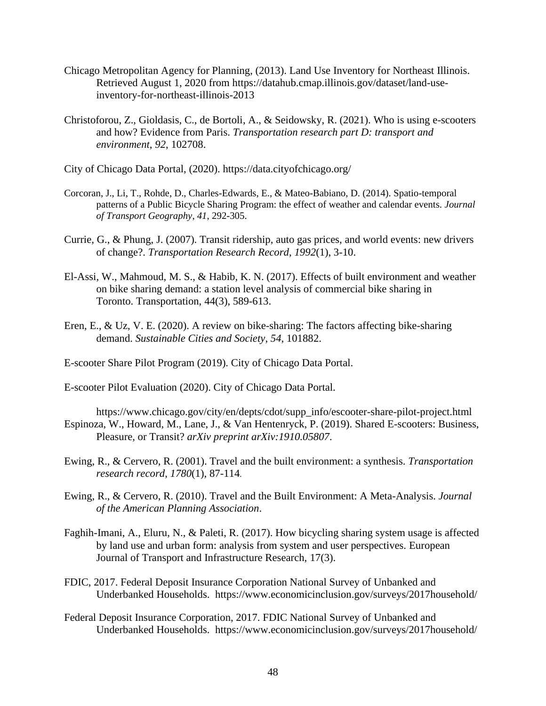- Chicago Metropolitan Agency for Planning, (2013). Land Use Inventory for Northeast Illinois. Retrieved August 1, 2020 from https://datahub.cmap.illinois.gov/dataset/land-useinventory-for-northeast-illinois-2013
- Christoforou, Z., Gioldasis, C., de Bortoli, A., & Seidowsky, R. (2021). Who is using e-scooters and how? Evidence from Paris. *Transportation research part D: transport and environment*, *92*, 102708.
- City of Chicago Data Portal, (2020). https://data.cityofchicago.org/
- Corcoran, J., Li, T., Rohde, D., Charles-Edwards, E., & Mateo-Babiano, D. (2014). Spatio-temporal patterns of a Public Bicycle Sharing Program: the effect of weather and calendar events. *Journal of Transport Geography*, *41*, 292-305.
- Currie, G., & Phung, J. (2007). Transit ridership, auto gas prices, and world events: new drivers of change?. *Transportation Research Record*, *1992*(1), 3-10.
- El-Assi, W., Mahmoud, M. S., & Habib, K. N. (2017). Effects of built environment and weather on bike sharing demand: a station level analysis of commercial bike sharing in Toronto. Transportation, 44(3), 589-613.
- Eren, E., & Uz, V. E. (2020). A review on bike-sharing: The factors affecting bike-sharing demand. *Sustainable Cities and Society*, *54*, 101882.
- E-scooter Share Pilot Program (2019). City of Chicago Data Portal.
- E-scooter Pilot Evaluation (2020). City of Chicago Data Portal.
- https://www.chicago.gov/city/en/depts/cdot/supp\_info/escooter-share-pilot-project.html Espinoza, W., Howard, M., Lane, J., & Van Hentenryck, P. (2019). Shared E-scooters: Business, Pleasure, or Transit? *arXiv preprint arXiv:1910.05807*.
- Ewing, R., & Cervero, R. (2001). Travel and the built environment: a synthesis. *Transportation research record*, *1780*(1), 87-114.
- Ewing, R., & Cervero, R. (2010). Travel and the Built Environment: A Meta-Analysis. *Journal of the American Planning Association*.
- Faghih-Imani, A., Eluru, N., & Paleti, R. (2017). How bicycling sharing system usage is affected by land use and urban form: analysis from system and user perspectives. European Journal of Transport and Infrastructure Research, 17(3).
- FDIC, 2017. Federal Deposit Insurance Corporation National Survey of Unbanked and Underbanked Households. https://www.economicinclusion.gov/surveys/2017household/
- Federal Deposit Insurance Corporation, 2017. FDIC National Survey of Unbanked and Underbanked Households. https://www.economicinclusion.gov/surveys/2017household/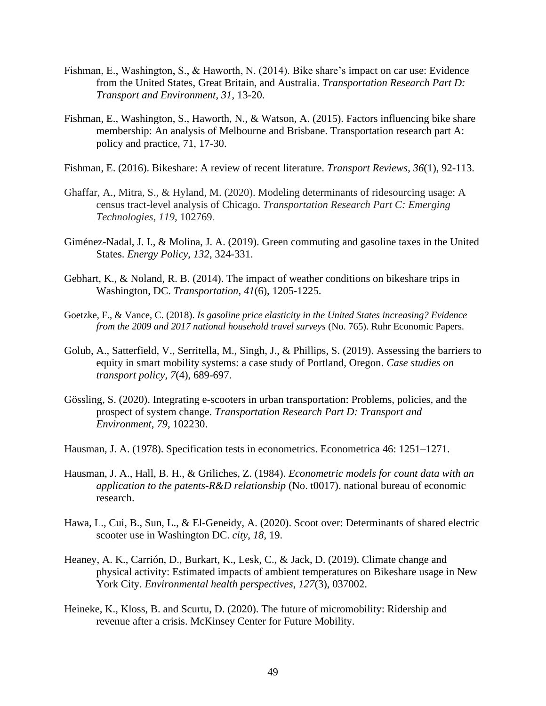- Fishman, E., Washington, S., & Haworth, N. (2014). Bike share's impact on car use: Evidence from the United States, Great Britain, and Australia. *Transportation Research Part D: Transport and Environment*, *31*, 13-20.
- Fishman, E., Washington, S., Haworth, N., & Watson, A. (2015). Factors influencing bike share membership: An analysis of Melbourne and Brisbane. Transportation research part A: policy and practice, 71, 17-30.
- Fishman, E. (2016). Bikeshare: A review of recent literature. *Transport Reviews*, *36*(1), 92-113.
- Ghaffar, A., Mitra, S., & Hyland, M. (2020). Modeling determinants of ridesourcing usage: A census tract-level analysis of Chicago. *Transportation Research Part C: Emerging Technologies*, *119*, 102769.
- Giménez-Nadal, J. I., & Molina, J. A. (2019). Green commuting and gasoline taxes in the United States. *Energy Policy*, *132*, 324-331.
- Gebhart, K., & Noland, R. B. (2014). The impact of weather conditions on bikeshare trips in Washington, DC. *Transportation*, *41*(6), 1205-1225.
- Goetzke, F., & Vance, C. (2018). *Is gasoline price elasticity in the United States increasing? Evidence from the 2009 and 2017 national household travel surveys* (No. 765). Ruhr Economic Papers.
- Golub, A., Satterfield, V., Serritella, M., Singh, J., & Phillips, S. (2019). Assessing the barriers to equity in smart mobility systems: a case study of Portland, Oregon. *Case studies on transport policy*, *7*(4), 689-697.
- Gössling, S. (2020). Integrating e-scooters in urban transportation: Problems, policies, and the prospect of system change. *Transportation Research Part D: Transport and Environment*, *79*, 102230.
- Hausman, J. A. (1978). Specification tests in econometrics. Econometrica 46: 1251–1271.
- Hausman, J. A., Hall, B. H., & Griliches, Z. (1984). *Econometric models for count data with an application to the patents-R&D relationship* (No. t0017). national bureau of economic research.
- Hawa, L., Cui, B., Sun, L., & El-Geneidy, A. (2020). Scoot over: Determinants of shared electric scooter use in Washington DC. *city*, *18*, 19.
- Heaney, A. K., Carrión, D., Burkart, K., Lesk, C., & Jack, D. (2019). Climate change and physical activity: Estimated impacts of ambient temperatures on Bikeshare usage in New York City. *Environmental health perspectives*, *127*(3), 037002.
- Heineke, K., Kloss, B. and Scurtu, D. (2020). The future of micromobility: Ridership and revenue after a crisis. McKinsey Center for Future Mobility.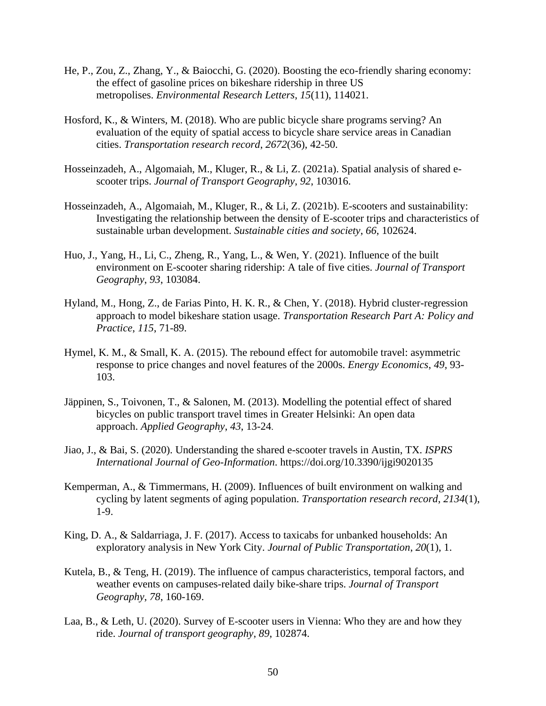- He, P., Zou, Z., Zhang, Y., & Baiocchi, G. (2020). Boosting the eco-friendly sharing economy: the effect of gasoline prices on bikeshare ridership in three US metropolises. *Environmental Research Letters*, *15*(11), 114021.
- Hosford, K., & Winters, M. (2018). Who are public bicycle share programs serving? An evaluation of the equity of spatial access to bicycle share service areas in Canadian cities. *Transportation research record*, *2672*(36), 42-50.
- Hosseinzadeh, A., Algomaiah, M., Kluger, R., & Li, Z. (2021a). Spatial analysis of shared escooter trips. *Journal of Transport Geography*, *92*, 103016.
- Hosseinzadeh, A., Algomaiah, M., Kluger, R., & Li, Z. (2021b). E-scooters and sustainability: Investigating the relationship between the density of E-scooter trips and characteristics of sustainable urban development. *Sustainable cities and society*, *66*, 102624.
- Huo, J., Yang, H., Li, C., Zheng, R., Yang, L., & Wen, Y. (2021). Influence of the built environment on E-scooter sharing ridership: A tale of five cities. *Journal of Transport Geography*, *93*, 103084.
- Hyland, M., Hong, Z., de Farias Pinto, H. K. R., & Chen, Y. (2018). Hybrid cluster-regression approach to model bikeshare station usage. *Transportation Research Part A: Policy and Practice*, *115*, 71-89.
- Hymel, K. M., & Small, K. A. (2015). The rebound effect for automobile travel: asymmetric response to price changes and novel features of the 2000s. *Energy Economics*, *49*, 93- 103.
- Jäppinen, S., Toivonen, T., & Salonen, M. (2013). Modelling the potential effect of shared bicycles on public transport travel times in Greater Helsinki: An open data approach. *Applied Geography*, *43*, 13-24.
- Jiao, J., & Bai, S. (2020). Understanding the shared e-scooter travels in Austin, TX. *ISPRS International Journal of Geo-Information*. https://doi.org/10.3390/ijgi9020135
- Kemperman, A., & Timmermans, H. (2009). Influences of built environment on walking and cycling by latent segments of aging population. *Transportation research record*, *2134*(1), 1-9.
- King, D. A., & Saldarriaga, J. F. (2017). Access to taxicabs for unbanked households: An exploratory analysis in New York City. *Journal of Public Transportation*, *20*(1), 1.
- Kutela, B., & Teng, H. (2019). The influence of campus characteristics, temporal factors, and weather events on campuses-related daily bike-share trips. *Journal of Transport Geography*, *78*, 160-169.
- Laa, B., & Leth, U. (2020). Survey of E-scooter users in Vienna: Who they are and how they ride. *Journal of transport geography*, *89*, 102874.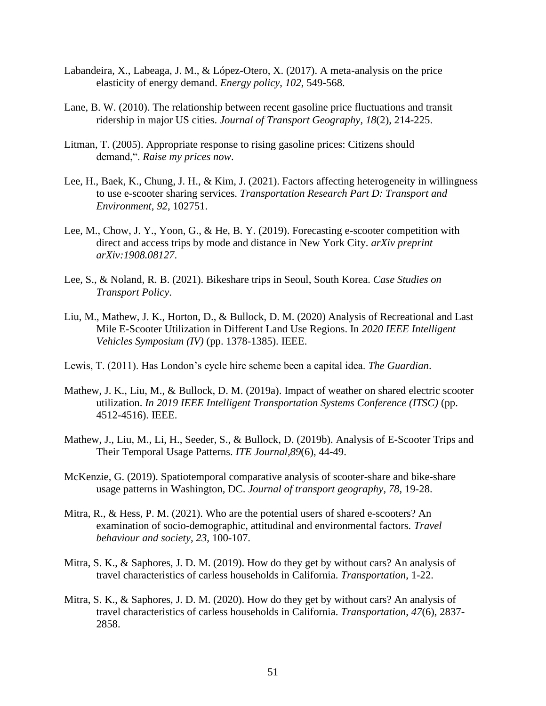- Labandeira, X., Labeaga, J. M., & López-Otero, X. (2017). A meta-analysis on the price elasticity of energy demand. *Energy policy*, *102*, 549-568.
- Lane, B. W. (2010). The relationship between recent gasoline price fluctuations and transit ridership in major US cities. *Journal of Transport Geography*, *18*(2), 214-225.
- Litman, T. (2005). Appropriate response to rising gasoline prices: Citizens should demand,". *Raise my prices now*.
- Lee, H., Baek, K., Chung, J. H., & Kim, J. (2021). Factors affecting heterogeneity in willingness to use e-scooter sharing services. *Transportation Research Part D: Transport and Environment*, *92*, 102751.
- Lee, M., Chow, J. Y., Yoon, G., & He, B. Y. (2019). Forecasting e-scooter competition with direct and access trips by mode and distance in New York City. *arXiv preprint arXiv:1908.08127*.
- Lee, S., & Noland, R. B. (2021). Bikeshare trips in Seoul, South Korea. *Case Studies on Transport Policy*.
- Liu, M., Mathew, J. K., Horton, D., & Bullock, D. M. (2020) Analysis of Recreational and Last Mile E-Scooter Utilization in Different Land Use Regions. In *2020 IEEE Intelligent Vehicles Symposium (IV)* (pp. 1378-1385). IEEE.
- Lewis, T. (2011). Has London's cycle hire scheme been a capital idea. *The Guardian*.
- Mathew, J. K., Liu, M., & Bullock, D. M. (2019a). Impact of weather on shared electric scooter utilization. *In 2019 IEEE Intelligent Transportation Systems Conference (ITSC)* (pp. 4512-4516). IEEE.
- Mathew, J., Liu, M., Li, H., Seeder, S., & Bullock, D. (2019b). Analysis of E-Scooter Trips and Their Temporal Usage Patterns. *ITE Journal,89*(6), 44-49.
- McKenzie, G. (2019). Spatiotemporal comparative analysis of scooter-share and bike-share usage patterns in Washington, DC. *Journal of transport geography*, *78*, 19-28.
- Mitra, R., & Hess, P. M. (2021). Who are the potential users of shared e-scooters? An examination of socio-demographic, attitudinal and environmental factors. *Travel behaviour and society*, *23*, 100-107.
- Mitra, S. K., & Saphores, J. D. M. (2019). How do they get by without cars? An analysis of travel characteristics of carless households in California. *Transportation*, 1-22.
- Mitra, S. K., & Saphores, J. D. M. (2020). How do they get by without cars? An analysis of travel characteristics of carless households in California. *Transportation*, *47*(6), 2837- 2858.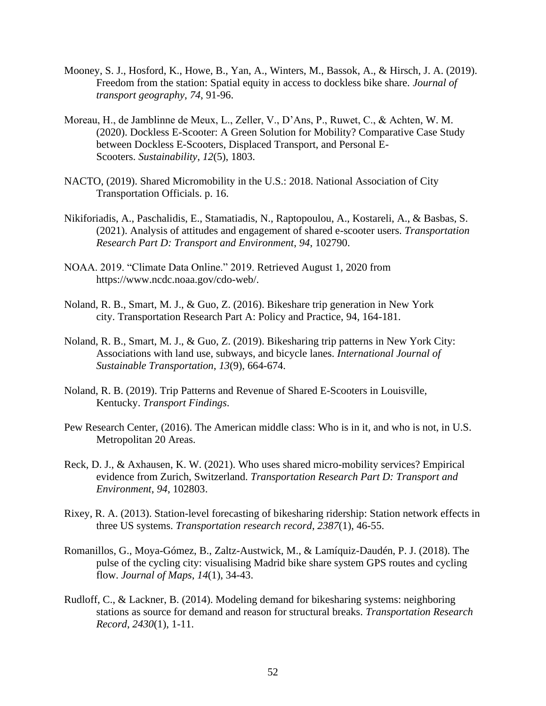- Mooney, S. J., Hosford, K., Howe, B., Yan, A., Winters, M., Bassok, A., & Hirsch, J. A. (2019). Freedom from the station: Spatial equity in access to dockless bike share. *Journal of transport geography*, *74*, 91-96.
- Moreau, H., de Jamblinne de Meux, L., Zeller, V., D'Ans, P., Ruwet, C., & Achten, W. M. (2020). Dockless E-Scooter: A Green Solution for Mobility? Comparative Case Study between Dockless E-Scooters, Displaced Transport, and Personal E-Scooters. *Sustainability*, *12*(5), 1803.
- NACTO, (2019). Shared Micromobility in the U.S.: 2018. National Association of City Transportation Officials. p. 16.
- Nikiforiadis, A., Paschalidis, E., Stamatiadis, N., Raptopoulou, A., Kostareli, A., & Basbas, S. (2021). Analysis of attitudes and engagement of shared e-scooter users. *Transportation Research Part D: Transport and Environment*, *94*, 102790.
- NOAA. 2019. "Climate Data Online." 2019. Retrieved August 1, 2020 from https://www.ncdc.noaa.gov/cdo-web/.
- Noland, R. B., Smart, M. J., & Guo, Z. (2016). Bikeshare trip generation in New York city. Transportation Research Part A: Policy and Practice, 94, 164-181.
- Noland, R. B., Smart, M. J., & Guo, Z. (2019). Bikesharing trip patterns in New York City: Associations with land use, subways, and bicycle lanes. *International Journal of Sustainable Transportation*, *13*(9), 664-674.
- Noland, R. B. (2019). Trip Patterns and Revenue of Shared E-Scooters in Louisville, Kentucky. *Transport Findings*.
- Pew Research Center, (2016). The American middle class: Who is in it, and who is not, in U.S. Metropolitan 20 Areas.
- Reck, D. J., & Axhausen, K. W. (2021). Who uses shared micro-mobility services? Empirical evidence from Zurich, Switzerland. *Transportation Research Part D: Transport and Environment*, *94*, 102803.
- Rixey, R. A. (2013). Station-level forecasting of bikesharing ridership: Station network effects in three US systems. *Transportation research record*, *2387*(1), 46-55.
- Romanillos, G., Moya-Gómez, B., Zaltz-Austwick, M., & Lamíquiz-Daudén, P. J. (2018). The pulse of the cycling city: visualising Madrid bike share system GPS routes and cycling flow. *Journal of Maps*, *14*(1), 34-43.
- Rudloff, C., & Lackner, B. (2014). Modeling demand for bikesharing systems: neighboring stations as source for demand and reason for structural breaks. *Transportation Research Record*, *2430*(1), 1-11.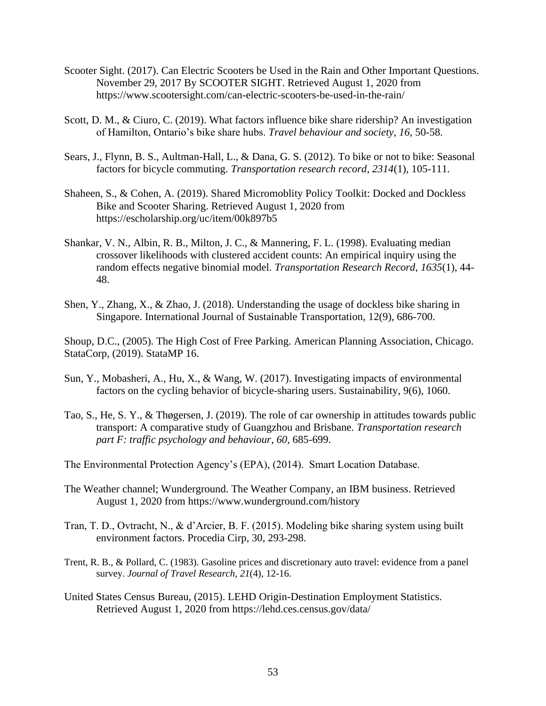- Scooter Sight. (2017). Can Electric Scooters be Used in the Rain and Other Important Questions. November 29, 2017 By SCOOTER SIGHT. Retrieved August 1, 2020 from https://www.scootersight.com/can-electric-scooters-be-used-in-the-rain/
- Scott, D. M., & Ciuro, C. (2019). What factors influence bike share ridership? An investigation of Hamilton, Ontario's bike share hubs. *Travel behaviour and society*, *16*, 50-58.
- Sears, J., Flynn, B. S., Aultman-Hall, L., & Dana, G. S. (2012). To bike or not to bike: Seasonal factors for bicycle commuting. *Transportation research record*, *2314*(1), 105-111.
- Shaheen, S., & Cohen, A. (2019). Shared Micromoblity Policy Toolkit: Docked and Dockless Bike and Scooter Sharing. Retrieved August 1, 2020 from https://escholarship.org/uc/item/00k897b5
- Shankar, V. N., Albin, R. B., Milton, J. C., & Mannering, F. L. (1998). Evaluating median crossover likelihoods with clustered accident counts: An empirical inquiry using the random effects negative binomial model. *Transportation Research Record*, *1635*(1), 44- 48.
- Shen, Y., Zhang, X., & Zhao, J. (2018). Understanding the usage of dockless bike sharing in Singapore. International Journal of Sustainable Transportation, 12(9), 686-700.

Shoup, D.C., (2005). The High Cost of Free Parking. American Planning Association, Chicago. StataCorp, (2019). StataMP 16.

- Sun, Y., Mobasheri, A., Hu, X., & Wang, W. (2017). Investigating impacts of environmental factors on the cycling behavior of bicycle-sharing users. Sustainability, 9(6), 1060.
- Tao, S., He, S. Y., & Thøgersen, J. (2019). The role of car ownership in attitudes towards public transport: A comparative study of Guangzhou and Brisbane. *Transportation research part F: traffic psychology and behaviour*, *60*, 685-699.

The Environmental Protection Agency's (EPA), (2014). Smart Location Database.

- The Weather channel; Wunderground. The Weather Company, an IBM business. Retrieved August 1, 2020 from https://www.wunderground.com/history
- Tran, T. D., Ovtracht, N., & d'Arcier, B. F. (2015). Modeling bike sharing system using built environment factors. Procedia Cirp, 30, 293-298.
- Trent, R. B., & Pollard, C. (1983). Gasoline prices and discretionary auto travel: evidence from a panel survey. *Journal of Travel Research*, *21*(4), 12-16.
- United States Census Bureau, (2015). LEHD Origin-Destination Employment Statistics. Retrieved August 1, 2020 from https://lehd.ces.census.gov/data/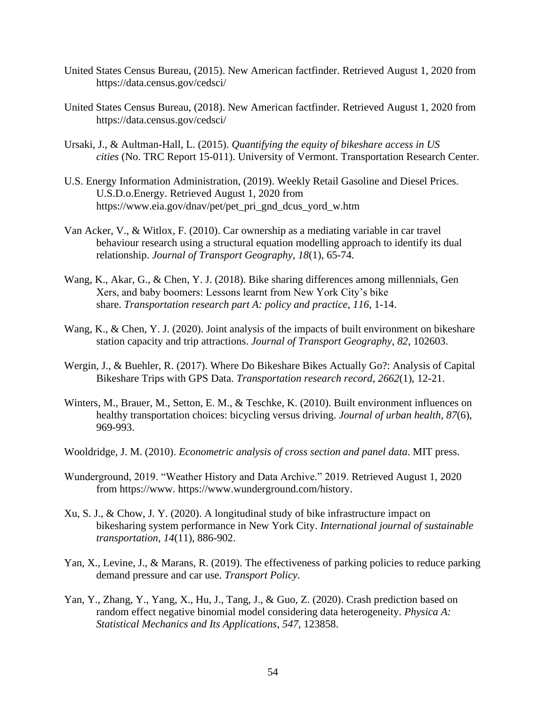- United States Census Bureau, (2015). New American factfinder. Retrieved August 1, 2020 from https://data.census.gov/cedsci/
- United States Census Bureau, (2018). New American factfinder. Retrieved August 1, 2020 from https://data.census.gov/cedsci/
- Ursaki, J., & Aultman-Hall, L. (2015). *Quantifying the equity of bikeshare access in US cities* (No. TRC Report 15-011). University of Vermont. Transportation Research Center.
- U.S. Energy Information Administration, (2019). Weekly Retail Gasoline and Diesel Prices. U.S.D.o.Energy. Retrieved August 1, 2020 from https://www.eia.gov/dnav/pet/pet\_pri\_gnd\_dcus\_yord\_w.htm
- Van Acker, V., & Witlox, F. (2010). Car ownership as a mediating variable in car travel behaviour research using a structural equation modelling approach to identify its dual relationship. *Journal of Transport Geography*, *18*(1), 65-74.
- Wang, K., Akar, G., & Chen, Y. J. (2018). Bike sharing differences among millennials, Gen Xers, and baby boomers: Lessons learnt from New York City's bike share. *Transportation research part A: policy and practice*, *116*, 1-14.
- Wang, K., & Chen, Y. J. (2020). Joint analysis of the impacts of built environment on bikeshare station capacity and trip attractions. *Journal of Transport Geography*, *82*, 102603.
- Wergin, J., & Buehler, R. (2017). Where Do Bikeshare Bikes Actually Go?: Analysis of Capital Bikeshare Trips with GPS Data. *Transportation research record*, *2662*(1), 12-21.
- Winters, M., Brauer, M., Setton, E. M., & Teschke, K. (2010). Built environment influences on healthy transportation choices: bicycling versus driving. *Journal of urban health*, *87*(6), 969-993.
- Wooldridge, J. M. (2010). *Econometric analysis of cross section and panel data*. MIT press.
- Wunderground, 2019. "Weather History and Data Archive." 2019. Retrieved August 1, 2020 from https://www. https://www.wunderground.com/history.
- Xu, S. J., & Chow, J. Y. (2020). A longitudinal study of bike infrastructure impact on bikesharing system performance in New York City. *International journal of sustainable transportation*, *14*(11), 886-902.
- Yan, X., Levine, J., & Marans, R. (2019). The effectiveness of parking policies to reduce parking demand pressure and car use. *Transport Policy*.
- Yan, Y., Zhang, Y., Yang, X., Hu, J., Tang, J., & Guo, Z. (2020). Crash prediction based on random effect negative binomial model considering data heterogeneity. *Physica A: Statistical Mechanics and Its Applications*, *547*, 123858.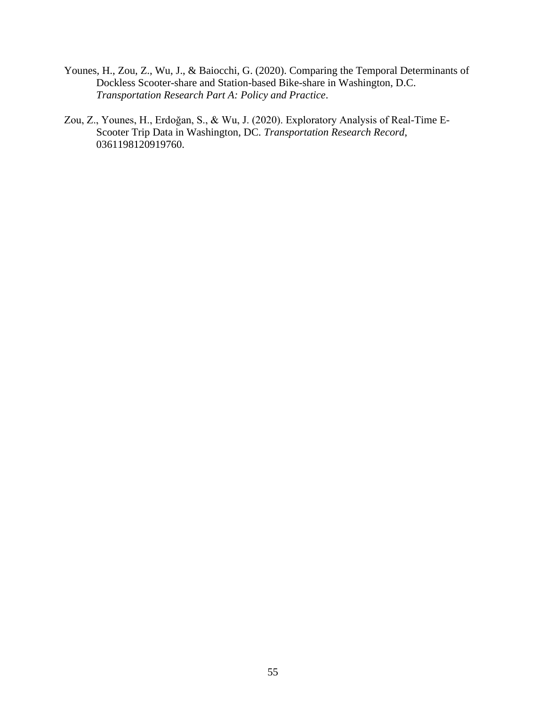- Younes, H., Zou, Z., Wu, J., & Baiocchi, G. (2020). Comparing the Temporal Determinants of Dockless Scooter-share and Station-based Bike-share in Washington, D.C. *Transportation Research Part A: Policy and Practice*.
- Zou, Z., Younes, H., Erdoğan, S., & Wu, J. (2020). Exploratory Analysis of Real-Time E-Scooter Trip Data in Washington, DC. *Transportation Research Record*, 0361198120919760.